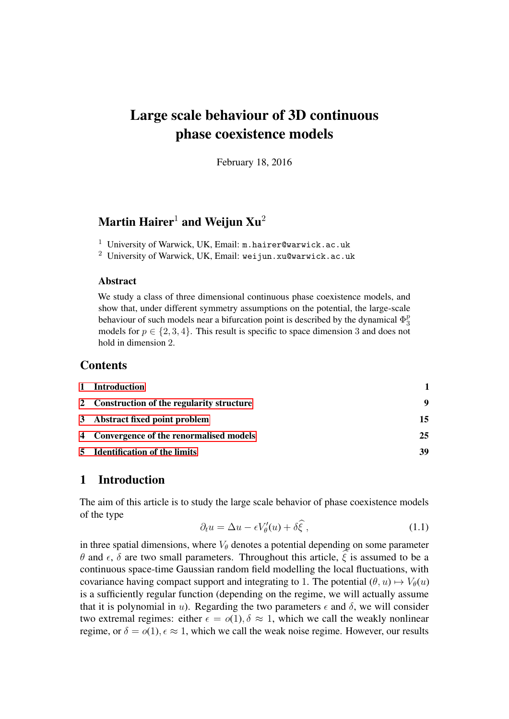# Large scale behaviour of 3D continuous phase coexistence models

February 18, 2016

# Martin Hairer<sup>1</sup> and Weijun  $Xu^2$

- <sup>1</sup> University of Warwick, UK, Email:  $m.hairer@warwick.$ ac.uk
- <sup>2</sup> University of Warwick, UK, Email: weijun.xu@warwick.ac.uk

# Abstract

We study a class of three dimensional continuous phase coexistence models, and show that, under different symmetry assumptions on the potential, the large-scale behaviour of such models near a bifurcation point is described by the dynamical  $\Phi_3^p$ 3 models for  $p \in \{2, 3, 4\}$ . This result is specific to space dimension 3 and does not hold in dimension 2.

# **Contents**

| 1 Introduction                             |    |
|--------------------------------------------|----|
| 2 Construction of the regularity structure | 9  |
| 3 Abstract fixed point problem             | 15 |
| 4 Convergence of the renormalised models   | 25 |
| 5 Identification of the limits             | 39 |

# <span id="page-0-0"></span>1 Introduction

<span id="page-0-1"></span>The aim of this article is to study the large scale behavior of phase coexistence models of the type

$$
\partial_t u = \Delta u - \epsilon V'_{\theta}(u) + \delta \widehat{\xi} \,, \tag{1.1}
$$

in three spatial dimensions, where  $V_{\theta}$  denotes a potential depending on some parameter θ and  $\epsilon$ , δ are two small parameters. Throughout this article,  $\epsilon$  is assumed to be a continuous space-time Gaussian random field modelling the local fluctuations, with covariance having compact support and integrating to 1. The potential  $(\theta, u) \mapsto V_{\theta}(u)$ is a sufficiently regular function (depending on the regime, we will actually assume that it is polynomial in u). Regarding the two parameters  $\epsilon$  and  $\delta$ , we will consider two extremal regimes: either  $\epsilon = o(1)$ ,  $\delta \approx 1$ , which we call the weakly nonlinear regime, or  $\delta = o(1)$ ,  $\epsilon \approx 1$ , which we call the weak noise regime. However, our results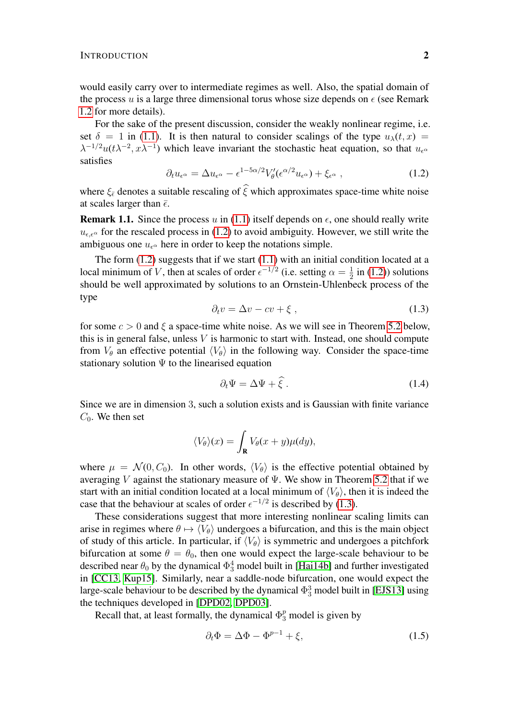would easily carry over to intermediate regimes as well. Also, the spatial domain of the process u is a large three dimensional torus whose size depends on  $\epsilon$  (see Remark [1.2](#page-3-0) for more details).

For the sake of the present discussion, consider the weakly nonlinear regime, i.e. set  $\delta = 1$  in [\(1.1\)](#page-0-1). It is then natural to consider scalings of the type  $u_{\lambda}(t, x) =$  $\lambda^{-1/2}u(t\lambda^{-2},x\lambda^{-1})$  which leave invariant the stochastic heat equation, so that  $u_{\epsilon}$ satisfies

$$
\partial_t u_{\epsilon^\alpha} = \Delta u_{\epsilon^\alpha} - \epsilon^{1 - 5\alpha/2} V_\theta'(\epsilon^{\alpha/2} u_{\epsilon^\alpha}) + \xi_{\epsilon^\alpha} \,, \tag{1.2}
$$

where  $\xi_{\bar{\epsilon}}$  denotes a suitable rescaling of  $\hat{\xi}$  which approximates space-time white noise at scales larger than  $\bar{\epsilon}$ .

**Remark 1.1.** Since the process u in [\(1.1\)](#page-0-1) itself depends on  $\epsilon$ , one should really write  $u_{\epsilon,\epsilon}$  for the rescaled process in [\(1.2\)](#page-1-0) to avoid ambiguity. However, we still write the ambiguous one  $u_{\epsilon^{\alpha}}$  here in order to keep the notations simple.

The form  $(1.2)$  suggests that if we start  $(1.1)$  with an initial condition located at a local minimum of V, then at scales of order  $\epsilon^{-1/2}$  (i.e. setting  $\alpha = \frac{1}{2}$ )  $\frac{1}{2}$  in [\(1.2\)](#page-1-0)) solutions should be well approximated by solutions to an Ornstein-Uhlenbeck process of the type

<span id="page-1-1"></span><span id="page-1-0"></span>
$$
\partial_t v = \Delta v - cv + \xi \tag{1.3}
$$

for some  $c > 0$  and  $\xi$  a space-time white noise. As we will see in Theorem [5.2](#page-42-0) below, this is in general false, unless  $V$  is harmonic to start with. Instead, one should compute from  $V_\theta$  an effective potential  $\langle V_\theta \rangle$  in the following way. Consider the space-time stationary solution  $\Psi$  to the linearised equation

<span id="page-1-3"></span>
$$
\partial_t \Psi = \Delta \Psi + \xi \,. \tag{1.4}
$$

Since we are in dimension 3, such a solution exists and is Gaussian with finite variance  $C_0$ . We then set

$$
\langle V_{\theta} \rangle(x) = \int_{\mathbf{R}} V_{\theta}(x+y) \mu(dy),
$$

where  $\mu = \mathcal{N}(0, C_0)$ . In other words,  $\langle V_{\theta} \rangle$  is the effective potential obtained by averaging V against the stationary measure of  $\Psi$ . We show in Theorem [5.2](#page-42-0) that if we start with an initial condition located at a local minimum of  $\langle V_{\theta} \rangle$ , then it is indeed the case that the behaviour at scales of order  $\epsilon^{-1/2}$  is described by [\(1.3\)](#page-1-1).

These considerations suggest that more interesting nonlinear scaling limits can arise in regimes where  $\theta \mapsto \langle V_{\theta} \rangle$  undergoes a bifurcation, and this is the main object of study of this article. In particular, if  $\langle V_{\theta} \rangle$  is symmetric and undergoes a pitchfork bifurcation at some  $\theta = \theta_0$ , then one would expect the large-scale behaviour to be described near  $\theta_0$  by the dynamical  $\Phi_3^4$  model built in [\[Hai14b\]](#page-50-0) and further investigated in [\[CC13,](#page-49-0) [Kup15\]](#page-50-1). Similarly, near a saddle-node bifurcation, one would expect the large-scale behaviour to be described by the dynamical  $\Phi_3^3$  model built in [\[EJS13\]](#page-49-1) using the techniques developed in [\[DPD02,](#page-49-2) [DPD03\]](#page-49-3).

Recall that, at least formally, the dynamical  $\Phi_3^p$  model is given by

<span id="page-1-2"></span>
$$
\partial_t \Phi = \Delta \Phi - \Phi^{p-1} + \xi,\tag{1.5}
$$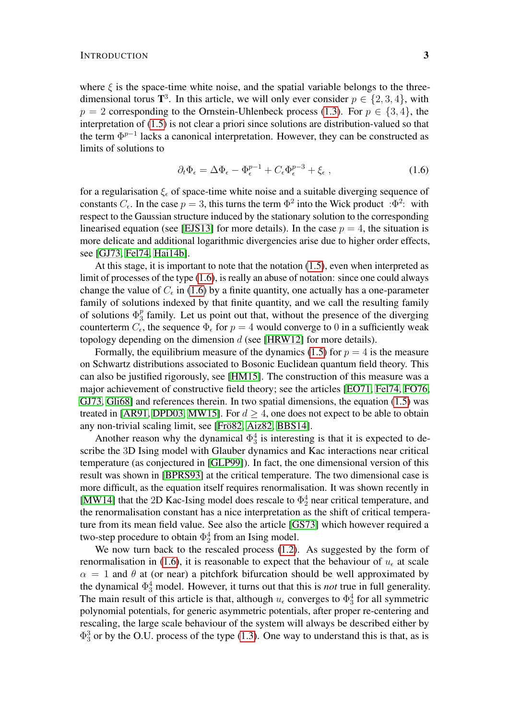where  $\xi$  is the space-time white noise, and the spatial variable belongs to the threedimensional torus  $\mathbf{T}^3$ . In this article, we will only ever consider  $p \in \{2,3,4\}$ , with  $p = 2$  corresponding to the Ornstein-Uhlenbeck process [\(1.3\)](#page-1-1). For  $p \in \{3, 4\}$ , the interpretation of [\(1.5\)](#page-1-2) is not clear a priori since solutions are distribution-valued so that the term  $\Phi^{p-1}$  lacks a canonical interpretation. However, they can be constructed as limits of solutions to

<span id="page-2-0"></span>
$$
\partial_t \Phi_{\epsilon} = \Delta \Phi_{\epsilon} - \Phi_{\epsilon}^{p-1} + C_{\epsilon} \Phi_{\epsilon}^{p-3} + \xi_{\epsilon} , \qquad (1.6)
$$

for a regularisation  $\xi_{\epsilon}$  of space-time white noise and a suitable diverging sequence of constants  $C_{\epsilon}$ . In the case  $p = 3$ , this turns the term  $\Phi^2$  into the Wick product : $\Phi^2$ : with respect to the Gaussian structure induced by the stationary solution to the corresponding linearised equation (see [\[EJS13\]](#page-49-1) for more details). In the case  $p = 4$ , the situation is more delicate and additional logarithmic divergencies arise due to higher order effects, see [\[GJ73,](#page-49-4) [Fel74,](#page-49-5) [Hai14b\]](#page-50-0).

At this stage, it is important to note that the notation [\(1.5\)](#page-1-2), even when interpreted as limit of processes of the type [\(1.6\)](#page-2-0), is really an abuse of notation: since one could always change the value of  $C_{\epsilon}$  in [\(1.6\)](#page-2-0) by a finite quantity, one actually has a one-parameter family of solutions indexed by that finite quantity, and we call the resulting family of solutions  $\Phi_3^p$  $\frac{p}{3}$  family. Let us point out that, without the presence of the diverging counterterm  $C_{\epsilon}$ , the sequence  $\Phi_{\epsilon}$  for  $p=4$  would converge to 0 in a sufficiently weak topology depending on the dimension  $d$  (see [\[HRW12\]](#page-50-2) for more details).

Formally, the equilibrium measure of the dynamics [\(1.5\)](#page-1-2) for  $p = 4$  is the measure on Schwartz distributions associated to Bosonic Euclidean quantum field theory. This can also be justified rigorously, see [\[HM15\]](#page-50-3). The construction of this measure was a major achievement of constructive field theory; see the articles [\[EO71,](#page-49-6) [Fel74,](#page-49-5) [FO76,](#page-49-7) [GJ73,](#page-49-4) [Gli68\]](#page-50-4) and references therein. In two spatial dimensions, the equation [\(1.5\)](#page-1-2) was treated in [\[AR91,](#page-49-8) [DPD03,](#page-49-3) [MW15\]](#page-50-5). For  $d \geq 4$ , one does not expect to be able to obtain any non-trivial scaling limit, see [Frö82, [Aiz82,](#page-49-10) [BBS14\]](#page-49-11).

Another reason why the dynamical  $\Phi_3^4$  is interesting is that it is expected to describe the 3D Ising model with Glauber dynamics and Kac interactions near critical temperature (as conjectured in [\[GLP99\]](#page-50-6)). In fact, the one dimensional version of this result was shown in [\[BPRS93\]](#page-49-12) at the critical temperature. The two dimensional case is more difficult, as the equation itself requires renormalisation. It was shown recently in [\[MW14\]](#page-50-7) that the 2D Kac-Ising model does rescale to  $\Phi_2^4$  near critical temperature, and the renormalisation constant has a nice interpretation as the shift of critical temperature from its mean field value. See also the article [\[GS73\]](#page-50-8) which however required a two-step procedure to obtain  $\Phi_2^4$  from an Ising model.

We now turn back to the rescaled process  $(1.2)$ . As suggested by the form of renormalisation in [\(1.6\)](#page-2-0), it is reasonable to expect that the behaviour of  $u_{\epsilon}$  at scale  $\alpha = 1$  and  $\theta$  at (or near) a pitchfork bifurcation should be well approximated by the dynamical  $\Phi_3^4$  model. However, it turns out that this is *not* true in full generality. The main result of this article is that, although  $u_{\epsilon}$  converges to  $\Phi_3^4$  for all symmetric polynomial potentials, for generic asymmetric potentials, after proper re-centering and rescaling, the large scale behaviour of the system will always be described either by  $\Phi_3^3$  or by the O.U. process of the type [\(1.3\)](#page-1-1). One way to understand this is that, as is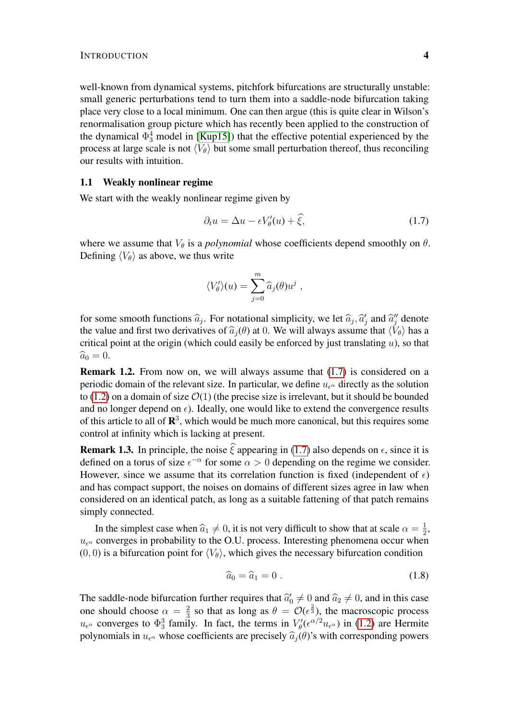well-known from dynamical systems, pitchfork bifurcations are structurally unstable: small generic perturbations tend to turn them into a saddle-node bifurcation taking place very close to a local minimum. One can then argue (this is quite clear in Wilson's renormalisation group picture which has recently been applied to the construction of the dynamical  $\Phi_3^4$  model in [\[Kup15\]](#page-50-1)) that the effective potential experienced by the process at large scale is not  $\langle V_{\theta} \rangle$  but some small perturbation thereof, thus reconciling our results with intuition.

# 1.1 Weakly nonlinear regime

We start with the weakly nonlinear regime given by

<span id="page-3-1"></span>
$$
\partial_t u = \Delta u - \epsilon V'_\theta(u) + \hat{\xi},\tag{1.7}
$$

where we assume that  $V_{\theta}$  is a *polynomial* whose coefficients depend smoothly on  $\theta$ . Defining  $\langle V_{\theta} \rangle$  as above, we thus write

$$
\langle V'_{\theta} \rangle(u) = \sum_{j=0}^{m} \widehat{a}_{j}(\theta) u^{j} ,
$$

for some smooth functions  $\hat{a}_j$ . For notational simplicity, we let  $\hat{a}_j$ ,  $\hat{a}'_j$  and  $\hat{a}''_j$  denote the value and first two derivatives of  $\hat{a}$  ( $\theta$ ) at 0. We will always assume that  $\langle V_{\alpha} \rangle$  has a the value and first two derivatives of  $\hat{a}_i(\theta)$  at 0. We will always assume that  $\langle V_{\theta} \rangle$  has a critical point at the origin (which could easily be enforced by just translating  $u$ ), so that  $\widehat{a}_0 = 0.$ 

<span id="page-3-0"></span>Remark 1.2. From now on, we will always assume that [\(1.7\)](#page-3-1) is considered on a periodic domain of the relevant size. In particular, we define  $u_{\epsilon}$  directly as the solution to [\(1.2\)](#page-1-0) on a domain of size  $\mathcal{O}(1)$  (the precise size is irrelevant, but it should be bounded and no longer depend on  $\epsilon$ ). Ideally, one would like to extend the convergence results of this article to all of  $\mathbb{R}^3$ , which would be much more canonical, but this requires some control at infinity which is lacking at present.

**Remark 1.3.** In principle, the noise  $\hat{\xi}$  appearing in [\(1.7\)](#page-3-1) also depends on  $\epsilon$ , since it is defined on a torus of size  $\epsilon^{-\alpha}$  for some  $\alpha > 0$  depending on the regime we consider. However, since we assume that its correlation function is fixed (independent of  $\epsilon$ ) and has compact support, the noises on domains of different sizes agree in law when considered on an identical patch, as long as a suitable fattening of that patch remains simply connected.

In the simplest case when  $\hat{a}_1 \neq 0$ , it is not very difficult to show that at scale  $\alpha = \frac{1}{2}$ <br>converges in probability to the O II process. Interesting phenomena occur when  $\frac{1}{2}$ ,  $u_{\epsilon}$  converges in probability to the O.U. process. Interesting phenomena occur when (0, 0) is a bifurcation point for  $\langle V_{\theta} \rangle$ , which gives the necessary bifurcation condition

<span id="page-3-2"></span>
$$
\widehat{a}_0 = \widehat{a}_1 = 0 \tag{1.8}
$$

The saddle-node bifurcation further requires that  $\hat{a}'_0 \neq 0$  and  $\hat{a}_2 \neq 0$ , and in this case one should choose  $\alpha = \frac{2}{3}$  $\frac{2}{3}$  so that as long as  $\theta = \mathcal{O}(\epsilon^{\frac{2}{3}})$ , the macroscopic process  $u_{\epsilon^{\alpha}}$  converges to  $\Phi_3^3$  family. In fact, the terms in  $V'_{\theta}(\epsilon^{\alpha/2}u_{\epsilon^{\alpha}})$  in [\(1.2\)](#page-1-0) are Hermite polynomials in  $u_{\epsilon^{\alpha}}$  whose coefficients are precisely  $\hat{a}_i(\theta)$ 's with corresponding powers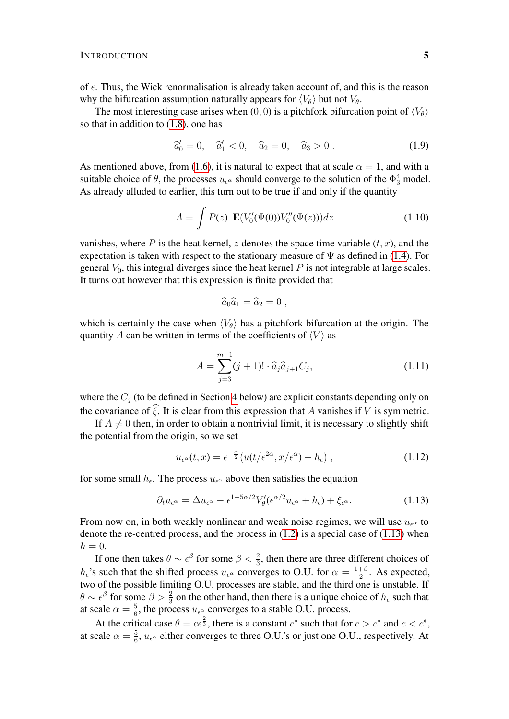of  $\epsilon$ . Thus, the Wick renormalisation is already taken account of, and this is the reason why the bifurcation assumption naturally appears for  $\langle V_{\theta} \rangle$  but not  $V_{\theta}$ .

The most interesting case arises when (0, 0) is a pitchfork bifurcation point of  $\langle V_{\theta} \rangle$ so that in addition to [\(1.8\)](#page-3-2), one has

<span id="page-4-2"></span>
$$
\hat{a}'_0 = 0, \quad \hat{a}'_1 < 0, \quad \hat{a}_2 = 0, \quad \hat{a}_3 > 0 \,. \tag{1.9}
$$

As mentioned above, from [\(1.6\)](#page-2-0), it is natural to expect that at scale  $\alpha = 1$ , and with a suitable choice of  $\theta$ , the processes  $u_{\epsilon^{\alpha}}$  should converge to the solution of the  $\Phi_3^4$  model. As already alluded to earlier, this turn out to be true if and only if the quantity

$$
A = \int P(z) \mathbf{E}(V_0'(\Psi(0))V_0''(\Psi(z)))dz \qquad (1.10)
$$

vanishes, where P is the heat kernel, z denotes the space time variable  $(t, x)$ , and the expectation is taken with respect to the stationary measure of  $\Psi$  as defined in [\(1.4\)](#page-1-3). For general  $V_0$ , this integral diverges since the heat kernel  $P$  is not integrable at large scales. It turns out however that this expression is finite provided that

<span id="page-4-1"></span>
$$
\widehat{a}_0 \widehat{a}_1 = \widehat{a}_2 = 0 ,
$$

which is certainly the case when  $\langle V_{\theta} \rangle$  has a pitchfork bifurcation at the origin. The quantity A can be written in terms of the coefficients of  $\langle V \rangle$  as

$$
A = \sum_{j=3}^{m-1} (j+1)! \cdot \widehat{a}_j \widehat{a}_{j+1} C_j,
$$
\n(1.11)

where the  $C_j$  (to be defined in Section [4](#page-24-0) below) are explicit constants depending only on the covariance of  $\hat{\xi}$ . It is clear from this expression that A vanishes if V is symmetric.

If  $A \neq 0$  then, in order to obtain a nontrivial limit, it is necessary to slightly shift the potential from the origin, so we set

<span id="page-4-0"></span>
$$
u_{\epsilon^{\alpha}}(t,x) = \epsilon^{-\frac{\alpha}{2}} \left( u(t/\epsilon^{2\alpha}, x/\epsilon^{\alpha}) - h_{\epsilon} \right), \qquad (1.12)
$$

for some small  $h_{\epsilon}$ . The process  $u_{\epsilon}$  above then satisfies the equation

$$
\partial_t u_{\epsilon^\alpha} = \Delta u_{\epsilon^\alpha} - \epsilon^{1 - 5\alpha/2} V_\theta' (\epsilon^{\alpha/2} u_{\epsilon^\alpha} + h_\epsilon) + \xi_{\epsilon^\alpha}.
$$
 (1.13)

From now on, in both weakly nonlinear and weak noise regimes, we will use  $u_{\epsilon^{\alpha}}$  to denote the re-centred process, and the process in  $(1.2)$  is a special case of  $(1.13)$  when  $h = 0$ .

If one then takes  $\theta \sim \epsilon^{\beta}$  for some  $\beta < \frac{2}{3}$ , then there are three different choices of  $h_{\epsilon}$ 's such that the shifted process  $u_{\epsilon}$ <sup> $\alpha$ </sup> converges to O.U. for  $\alpha = \frac{1+\beta}{2}$  $\frac{+\beta}{2}$ . As expected, two of the possible limiting O.U. processes are stable, and the third one is unstable. If  $\theta \sim \epsilon^{\beta}$  for some  $\beta > \frac{2}{3}$  on the other hand, then there is a unique choice of  $h_{\epsilon}$  such that at scale  $\alpha = \frac{5}{6}$  $\frac{5}{6}$ , the process  $u_{\epsilon^{\alpha}}$  converges to a stable O.U. process.

At the critical case  $\theta = c\epsilon^{\frac{2}{3}}$ , there is a constant  $c^*$  such that for  $c > c^*$  and  $c < c^*$ , at scale  $\alpha = \frac{5}{6}$  $\frac{5}{6}$ ,  $u_{\epsilon^{\alpha}}$  either converges to three O.U.'s or just one O.U., respectively. At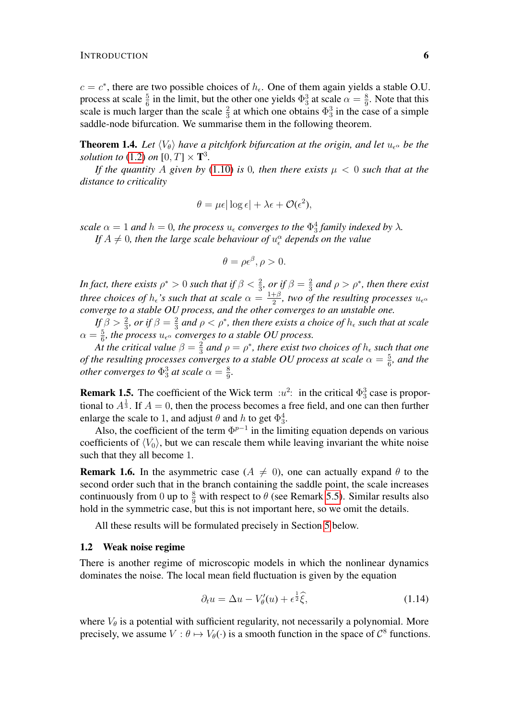$c = c^*$ , there are two possible choices of  $h_{\epsilon}$ . One of them again yields a stable O.U. process at scale  $\frac{5}{6}$  in the limit, but the other one yields  $\Phi_3^3$  at scale  $\alpha = \frac{8}{9}$  $\frac{8}{9}$ . Note that this scale is much larger than the scale  $\frac{2}{3}$  at which one obtains  $\Phi_3^3$  in the case of a simple saddle-node bifurcation. We summarise them in the following theorem.

**Theorem 1.4.** Let  $\langle V_{\theta} \rangle$  have a pitchfork bifurcation at the origin, and let  $u_{\epsilon}$  be the *solution to*  $(1.2)$  *on*  $[0, T] \times T^3$ *.* 

*If the quantity* A given by [\(1.10\)](#page-4-1) *is* 0*, then there exists*  $\mu < 0$  *such that at the distance to criticality*

$$
\theta = \mu \epsilon |\log \epsilon| + \lambda \epsilon + \mathcal{O}(\epsilon^2),
$$

*scale*  $\alpha = 1$  *and*  $h = 0$ *, the process*  $u_{\epsilon}$  *converges to the*  $\Phi_3^4$  *family indexed by*  $\lambda$ *.* If  $A \neq 0$ , then the large scale behaviour of  $u_{\epsilon}^{\alpha}$  depends on the value

$$
\theta = \rho \epsilon^{\beta}, \rho > 0.
$$

In fact, there exists  $\rho^* > 0$  such that if  $\beta < \frac{2}{3}$ , or if  $\beta = \frac{2}{3}$  $\frac{2}{3}$  and  $\rho > \rho^*$ , then there exist *three choices of*  $h_{\epsilon}$ *'s such that at scale*  $\alpha = \frac{1+\beta}{2}$  $\frac{+\beta}{2}$ , two of the resulting processes  $u_{\epsilon}$ <sub> $\alpha$ </sub> *converge to a stable OU process, and the other converges to an unstable one.*

If  $\beta > \frac{2}{3}$ , or if  $\beta = \frac{2}{3}$  $\frac{2}{3}$  and  $\rho < \rho^*$ , then there exists a choice of  $h_{\epsilon}$  such that at scale  $\alpha = \frac{5}{6}$ , the process  $u_{\epsilon}$ <sup> $\alpha$ </sup> converges to a stable OU process.

 $A$ *t* the critical value  $β = \frac{2}{3}$  $\frac{2}{3}$  and  $\rho = \rho^*$ , there exist two choices of  $h_{\epsilon}$  such that one *of the resulting processes converges to a stable OU process at scale*  $\alpha = \frac{5}{6}$  $\frac{5}{6}$ , and the *other converges to*  $\Phi_3^3$  *at scale*  $\alpha = \frac{8}{9}$  $\frac{8}{9}$ .

**Remark 1.5.** The coefficient of the Wick term  $:u^2$ : in the critical  $\Phi_3^3$  case is proportional to  $A^{\frac{1}{3}}$ . If  $A = 0$ , then the process becomes a free field, and one can then further enlarge the scale to 1, and adjust  $\theta$  and h to get  $\Phi_3^4$ .

Also, the coefficient of the term  $\Phi^{p-1}$  in the limiting equation depends on various coefficients of  $\langle V_0 \rangle$ , but we can rescale them while leaving invariant the white noise such that they all become 1.

**Remark 1.6.** In the asymmetric case ( $A \neq 0$ ), one can actually expand  $\theta$  to the second order such that in the branch containing the saddle point, the scale increases continuously from 0 up to  $\frac{8}{9}$  with respect to  $\theta$  (see Remark [5.5\)](#page-43-0). Similar results also hold in the symmetric case, but this is not important here, so we omit the details.

All these results will be formulated precisely in Section [5](#page-38-0) below.

### 1.2 Weak noise regime

There is another regime of microscopic models in which the nonlinear dynamics dominates the noise. The local mean field fluctuation is given by the equation

<span id="page-5-0"></span>
$$
\partial_t u = \Delta u - V'_{\theta}(u) + \epsilon^{\frac{1}{2}} \hat{\xi},\tag{1.14}
$$

where  $V_{\theta}$  is a potential with sufficient regularity, not necessarily a polynomial. More precisely, we assume  $V : \theta \mapsto V_{\theta}(\cdot)$  is a smooth function in the space of  $\mathcal{C}^8$  functions.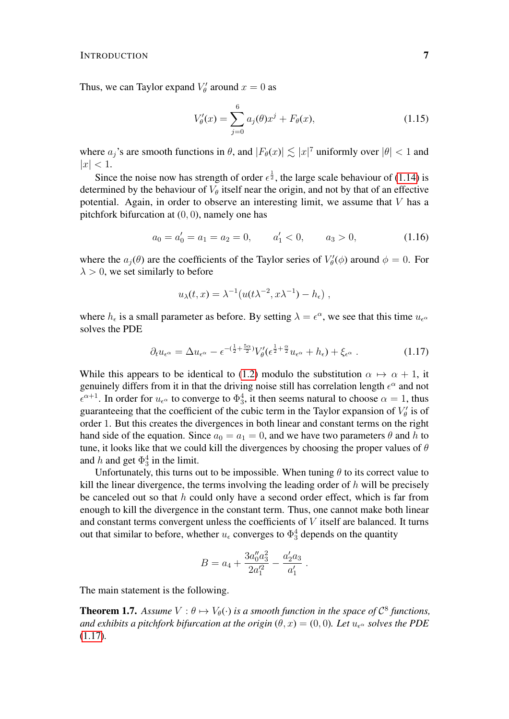Thus, we can Taylor expand  $V'_{\theta}$  around  $x = 0$  as

<span id="page-6-1"></span>
$$
V'_{\theta}(x) = \sum_{j=0}^{6} a_j(\theta)x^j + F_{\theta}(x),
$$
\n(1.15)

where  $a_j$ 's are smooth functions in  $\theta$ , and  $|F_{\theta}(x)| \lesssim |x|^7$  uniformly over  $|\theta| < 1$  and  $|x| < 1.$ 

Since the noise now has strength of order  $\epsilon^{\frac{1}{2}}$ , the large scale behaviour of [\(1.14\)](#page-5-0) is determined by the behaviour of  $V_{\theta}$  itself near the origin, and not by that of an effective potential. Again, in order to observe an interesting limit, we assume that  $V$  has a pitchfork bifurcation at (0, 0), namely one has

<span id="page-6-2"></span>
$$
a_0 = a'_0 = a_1 = a_2 = 0, \qquad a'_1 < 0, \qquad a_3 > 0,\tag{1.16}
$$

where the  $a_j(\theta)$  are the coefficients of the Taylor series of  $V'_{\theta}(\phi)$  around  $\phi = 0$ . For  $\lambda > 0$ , we set similarly to before

$$
u_{\lambda}(t,x) = \lambda^{-1}(u(t\lambda^{-2},x\lambda^{-1}) - h_{\epsilon}),
$$

where  $h_{\epsilon}$  is a small parameter as before. By setting  $\lambda = \epsilon^{\alpha}$ , we see that this time  $u_{\epsilon^{\alpha}}$ solves the PDE

<span id="page-6-0"></span>
$$
\partial_t u_{\epsilon^\alpha} = \Delta u_{\epsilon^\alpha} - \epsilon^{-(\frac{1}{2} + \frac{5\alpha}{2})} V'_\theta(\epsilon^{\frac{1}{2} + \frac{\alpha}{2}} u_{\epsilon^\alpha} + h_\epsilon) + \xi_{\epsilon^\alpha} \,. \tag{1.17}
$$

While this appears to be identical to [\(1.2\)](#page-1-0) modulo the substitution  $\alpha \mapsto \alpha + 1$ , it genuinely differs from it in that the driving noise still has correlation length  $\epsilon^{\alpha}$  and not  $\epsilon^{\alpha+1}$ . In order for  $u_{\epsilon^{\alpha}}$  to converge to  $\Phi_3^4$ , it then seems natural to choose  $\alpha = 1$ , thus guaranteeing that the coefficient of the cubic term in the Taylor expansion of  $V'_{\theta}$  is of order 1. But this creates the divergences in both linear and constant terms on the right hand side of the equation. Since  $a_0 = a_1 = 0$ , and we have two parameters  $\theta$  and h to tune, it looks like that we could kill the divergences by choosing the proper values of  $\theta$ and h and get  $\Phi_3^4$  in the limit.

Unfortunately, this turns out to be impossible. When tuning  $\theta$  to its correct value to kill the linear divergence, the terms involving the leading order of  $h$  will be precisely be canceled out so that  $h$  could only have a second order effect, which is far from enough to kill the divergence in the constant term. Thus, one cannot make both linear and constant terms convergent unless the coefficients of  $V$  itself are balanced. It turns out that similar to before, whether  $u_{\epsilon}$  converges to  $\Phi_3^4$  depends on the quantity

$$
B = a_4 + \frac{3a_0''a_3^2}{2a_1'^2} - \frac{a_2'a_3}{a_1'}.
$$

The main statement is the following.

**Theorem 1.7.** Assume  $V : \theta \mapsto V_{\theta}(\cdot)$  is a smooth function in the space of  $\mathcal{C}^8$  functions, *and exhibits a pitchfork bifurcation at the origin*  $(\theta, x) = (0, 0)$ *. Let*  $u_{\epsilon}$ *solves the PDE* [\(1.17\)](#page-6-0)*.*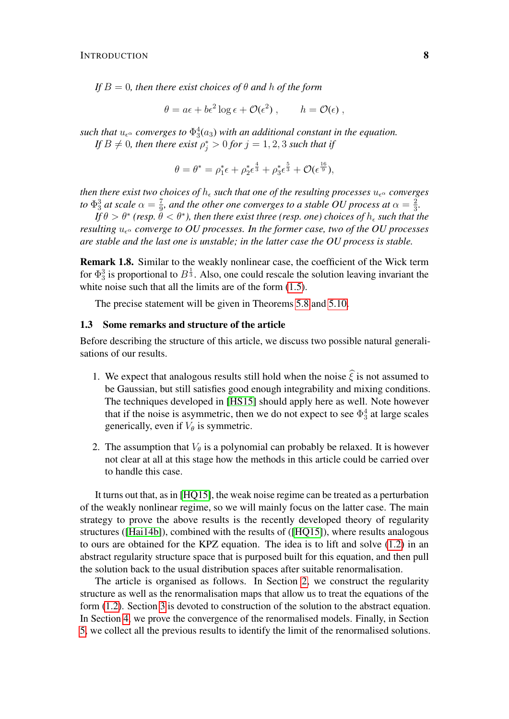*If*  $B = 0$ *, then there exist choices of*  $\theta$  *and*  $h$  *of the form* 

$$
\theta = a\epsilon + b\epsilon^2 \log \epsilon + \mathcal{O}(\epsilon^2), \qquad h = \mathcal{O}(\epsilon),
$$

such that  $u_{\epsilon^{\alpha}}$  converges to  $\Phi_3^4(a_3)$  with an additional constant in the equation. If  $B \neq 0$ , then there exist  $\rho_j^* > 0$  for  $j = 1, 2, 3$  such that if

$$
\theta = \theta^* = \rho_1^* \epsilon + \rho_2^* \epsilon^{\frac{4}{3}} + \rho_3^* \epsilon^{\frac{5}{3}} + \mathcal{O}(\epsilon^{\frac{16}{9}}),
$$

*then there exist two choices of*  $h_{\epsilon}$  *such that one of the resulting processes*  $u_{\epsilon}^{\alpha}$  *converges to*  $\Phi_3^3$  *at scale*  $\alpha = \frac{7}{9}$  $\frac{7}{9}$ , and the other one converges to a stable OU process at  $\alpha=\frac{2}{3}$  $\frac{2}{3}$ .

If  $\theta>\theta^*$  (resp.  $\check{\theta}<\theta^*$ ), then there exist three (resp. one) choices of  $h_\epsilon$  such that the *resulting*  $u_{\epsilon}$  *converge to OU processes. In the former case, two of the OU processes are stable and the last one is unstable; in the latter case the OU process is stable.*

Remark 1.8. Similar to the weakly nonlinear case, the coefficient of the Wick term for  $\Phi_3^3$  is proportional to  $B^{\frac{1}{3}}$ . Also, one could rescale the solution leaving invariant the white noise such that all the limits are of the form  $(1.5)$ .

The precise statement will be given in Theorems [5.8](#page-47-0) and [5.10.](#page-47-1)

# 1.3 Some remarks and structure of the article

Before describing the structure of this article, we discuss two possible natural generalisations of our results.

- 1. We expect that analogous results still hold when the noise  $\hat{\xi}$  is not assumed to be Gaussian, but still satisfies good enough integrability and mixing conditions. The techniques developed in [\[HS15\]](#page-50-9) should apply here as well. Note however that if the noise is asymmetric, then we do not expect to see  $\Phi_3^4$  at large scales generically, even if  $V_{\theta}$  is symmetric.
- 2. The assumption that  $V_{\theta}$  is a polynomial can probably be relaxed. It is however not clear at all at this stage how the methods in this article could be carried over to handle this case.

It turns out that, as in [\[HQ15\]](#page-50-10), the weak noise regime can be treated as a perturbation of the weakly nonlinear regime, so we will mainly focus on the latter case. The main strategy to prove the above results is the recently developed theory of regularity structures ([\[Hai14b\]](#page-50-0)), combined with the results of ([\[HQ15\]](#page-50-10)), where results analogous to ours are obtained for the KPZ equation. The idea is to lift and solve [\(1.2\)](#page-1-0) in an abstract regularity structure space that is purposed built for this equation, and then pull the solution back to the usual distribution spaces after suitable renormalisation.

The article is organised as follows. In Section [2,](#page-8-0) we construct the regularity structure as well as the renormalisation maps that allow us to treat the equations of the form [\(1.2\)](#page-1-0). Section [3](#page-14-0) is devoted to construction of the solution to the abstract equation. In Section [4,](#page-24-0) we prove the convergence of the renormalised models. Finally, in Section [5,](#page-38-0) we collect all the previous results to identify the limit of the renormalised solutions.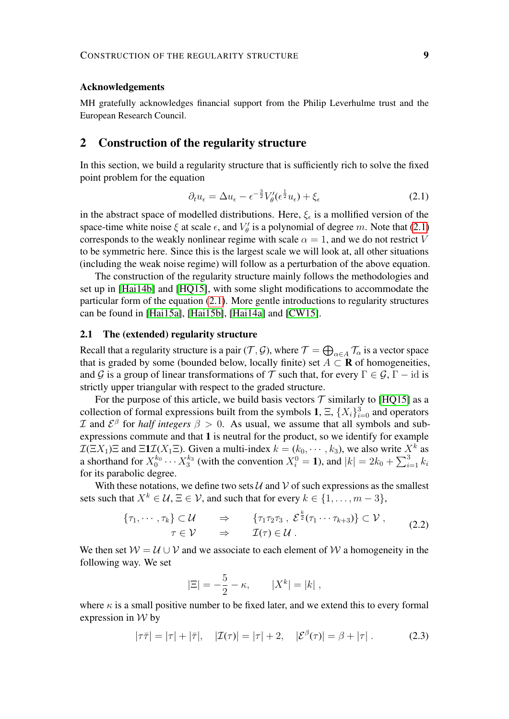#### Acknowledgements

MH gratefully acknowledges financial support from the Philip Leverhulme trust and the European Research Council.

# <span id="page-8-0"></span>2 Construction of the regularity structure

In this section, we build a regularity structure that is sufficiently rich to solve the fixed point problem for the equation

<span id="page-8-1"></span>
$$
\partial_t u_{\epsilon} = \Delta u_{\epsilon} - \epsilon^{-\frac{3}{2}} V_{\theta}^{\prime} (\epsilon^{\frac{1}{2}} u_{\epsilon}) + \xi_{\epsilon}
$$
\n(2.1)

in the abstract space of modelled distributions. Here,  $\xi_{\epsilon}$  is a mollified version of the space-time white noise  $\xi$  at scale  $\epsilon$ , and  $V'_{\theta}$  is a polynomial of degree m. Note that [\(2.1\)](#page-8-1) corresponds to the weakly nonlinear regime with scale  $\alpha = 1$ , and we do not restrict V to be symmetric here. Since this is the largest scale we will look at, all other situations (including the weak noise regime) will follow as a perturbation of the above equation.

The construction of the regularity structure mainly follows the methodologies and set up in [\[Hai14b\]](#page-50-0) and [\[HQ15\]](#page-50-10), with some slight modifications to accommodate the particular form of the equation [\(2.1\)](#page-8-1). More gentle introductions to regularity structures can be found in [\[Hai15a\]](#page-50-11), [\[Hai15b\]](#page-50-12), [\[Hai14a\]](#page-50-13) and [\[CW15\]](#page-49-13).

# 2.1 The (extended) regularity structure

Recall that a regularity structure is a pair  $(\mathcal{T}, \mathcal{G})$ , where  $\mathcal{T} = \bigoplus_{\alpha \in A} \mathcal{T}_\alpha$  is a vector space that is graded by some (bounded below, locally finite) set  $A \subset \mathbf{R}$  of homogeneities, and G is a group of linear transformations of T such that, for every  $\Gamma \in \mathcal{G}, \Gamma - \text{id}$  is strictly upper triangular with respect to the graded structure.

For the purpose of this article, we build basis vectors  $\mathcal T$  similarly to [\[HQ15\]](#page-50-10) as a collection of formal expressions built from the symbols 1,  $\Xi$ ,  $\{X_i\}_{i=0}^3$  and operators *I* and  $\mathcal{E}^{\beta}$  for *half integers*  $\beta > 0$ . As usual, we assume that all symbols and subexpressions commute and that 1 is neutral for the product, so we identify for example  $\mathcal{I}(\Xi X_1)\Xi$  and  $\Xi \mathbf{1} \mathcal{I}(X_1 \Xi)$ . Given a multi-index  $k = (k_0, \dots, k_3)$ , we also write  $X^k$  as a shorthand for  $X_0^{k_0} \cdots X_3^{k_3}$  (with the convention  $X_i^0 = 1$ ), and  $|k| = 2k_0 + \sum_{i=1}^3 k_i$ for its parabolic degree.

With these notations, we define two sets  $U$  and  $V$  of such expressions as the smallest sets such that  $X^k \in \mathcal{U}, \Xi \in \mathcal{V}$ , and such that for every  $k \in \{1, \ldots, m-3\}$ ,

$$
\{\tau_1, \cdots, \tau_k\} \subset \mathcal{U} \qquad \Rightarrow \qquad \{\tau_1 \tau_2 \tau_3, \ \mathcal{E}^{\frac{k}{2}}(\tau_1 \cdots \tau_{k+3})\} \subset \mathcal{V} \ , \qquad (2.2)
$$

$$
\tau \in \mathcal{V} \qquad \Rightarrow \qquad \mathcal{I}(\tau) \in \mathcal{U} \ .
$$

We then set  $W = U \cup V$  and we associate to each element of W a homogeneity in the following way. We set

<span id="page-8-2"></span>
$$
|\Xi| = -\frac{5}{2} - \kappa, \qquad |X^k| = |k| \;,
$$

where  $\kappa$  is a small positive number to be fixed later, and we extend this to every formal expression in  $W$  by

$$
|\tau\bar{\tau}| = |\tau| + |\bar{\tau}|, \quad |\mathcal{I}(\tau)| = |\tau| + 2, \quad |\mathcal{E}^{\beta}(\tau)| = \beta + |\tau| \,. \tag{2.3}
$$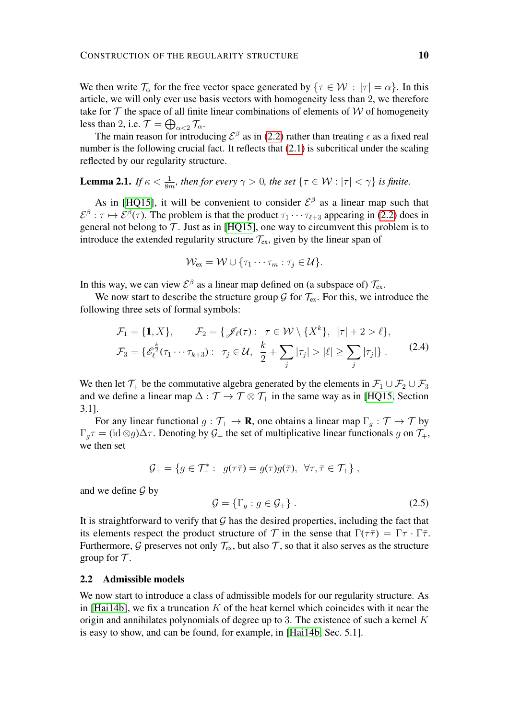We then write  $\mathcal{T}_{\alpha}$  for the free vector space generated by  $\{\tau \in \mathcal{W} : |\tau| = \alpha\}$ . In this article, we will only ever use basis vectors with homogeneity less than 2, we therefore take for  $T$  the space of all finite linear combinations of elements of  $W$  of homogeneity less than 2, i.e.  $\mathcal{T} = \bigoplus_{\alpha < 2} \mathcal{T}_\alpha$ .

The main reason for introducing  $\mathcal{E}^{\beta}$  as in [\(2.2\)](#page-8-2) rather than treating  $\epsilon$  as a fixed real number is the following crucial fact. It reflects that  $(2.1)$  is subcritical under the scaling reflected by our regularity structure.

**Lemma 2.1.** *If*  $\kappa < \frac{1}{8m}$ , then for every  $\gamma > 0$ , the set  $\{\tau \in \mathcal{W} : |\tau| < \gamma\}$  is finite.

As in [\[HQ15\]](#page-50-10), it will be convenient to consider  $\mathcal{E}^{\beta}$  as a linear map such that  $\mathcal{E}^{\beta}$ :  $\tau \mapsto \mathcal{E}^{\beta}(\tau)$ . The problem is that the product  $\tau_1 \cdots \tau_{\ell+3}$  appearing in [\(2.2\)](#page-8-2) does in general not belong to  $\mathcal T$ . Just as in [\[HQ15\]](#page-50-10), one way to circumvent this problem is to introduce the extended regularity structure  $\mathcal{T}_{ex}$ , given by the linear span of

$$
\mathcal{W}_{\mathrm{ex}} = \mathcal{W} \cup \{\tau_1 \cdots \tau_m : \tau_j \in \mathcal{U}\}.
$$

In this way, we can view  $\mathcal{E}^{\beta}$  as a linear map defined on (a subspace of)  $\mathcal{T}_{ex}$ .

We now start to describe the structure group  $\mathcal G$  for  $\mathcal T_{\text{ex}}$ . For this, we introduce the following three sets of formal symbols:

$$
\mathcal{F}_1 = \{1, X\}, \qquad \mathcal{F}_2 = \{ \mathcal{J}_{\ell}(\tau) : \ \tau \in \mathcal{W} \setminus \{X^k\}, \ |\tau| + 2 > \ell \},
$$
\n
$$
\mathcal{F}_3 = \{ \mathcal{E}_{\ell}^{\frac{k}{2}}(\tau_1 \cdots \tau_{k+3}) : \ \tau_j \in \mathcal{U}, \ \frac{k}{2} + \sum_j |\tau_j| > |\ell| \ge \sum_j |\tau_j| \}.
$$
\n(2.4)

We then let  $\mathcal{T}_+$  be the commutative algebra generated by the elements in  $\mathcal{F}_1 \cup \mathcal{F}_2 \cup \mathcal{F}_3$ and we define a linear map  $\Delta : \mathcal{T} \to \mathcal{T} \otimes \mathcal{T}_+$  in the same way as in [\[HQ15,](#page-50-10) Section 3.1].

For any linear functional  $g : \mathcal{T}_+ \to \mathbf{R}$ , one obtains a linear map  $\Gamma_g : \mathcal{T} \to \mathcal{T}$  by  $\Gamma_q \tau = (\text{id} \otimes g) \Delta \tau$ . Denoting by  $\mathcal{G}_+$  the set of multiplicative linear functionals g on  $\mathcal{T}_+$ , we then set

$$
\mathcal{G}_+ = \{ g \in \mathcal{T}_+^* : g(\tau \bar{\tau}) = g(\tau)g(\bar{\tau}), \ \forall \tau, \bar{\tau} \in \mathcal{T}_+ \},
$$

and we define  $\mathcal G$  by

$$
\mathcal{G} = \{\Gamma_g : g \in \mathcal{G}_+\} \tag{2.5}
$$

It is straightforward to verify that  $G$  has the desired properties, including the fact that its elements respect the product structure of T in the sense that  $\Gamma(\tau \bar{\tau}) = \Gamma \tau \cdot \Gamma \bar{\tau}$ . Furthermore,  $\mathcal G$  preserves not only  $\mathcal T_{\text{ex}}$ , but also  $\mathcal T$ , so that it also serves as the structure group for  $\mathcal T$ .

### <span id="page-9-0"></span>2.2 Admissible models

We now start to introduce a class of admissible models for our regularity structure. As in [\[Hai14b\]](#page-50-0), we fix a truncation  $K$  of the heat kernel which coincides with it near the origin and annihilates polynomials of degree up to 3. The existence of such a kernel  $K$ is easy to show, and can be found, for example, in [\[Hai14b,](#page-50-0) Sec. 5.1].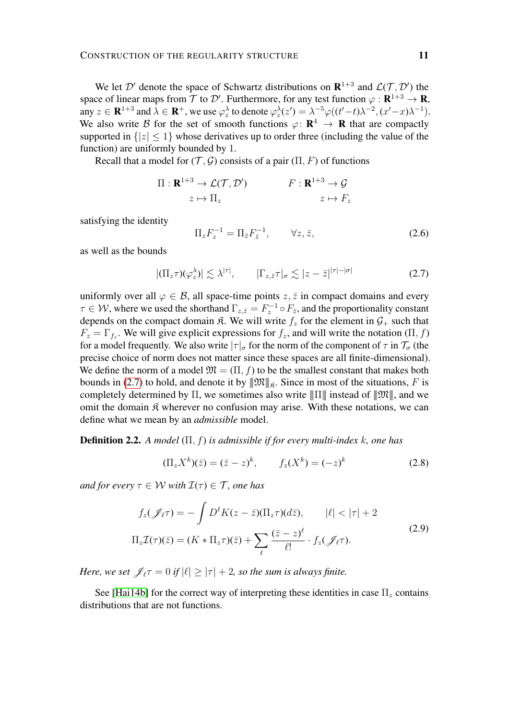We let  $\mathcal{D}'$  denote the space of Schwartz distributions on  $\mathbb{R}^{1+3}$  and  $\mathcal{L}(\mathcal{T}, \mathcal{D}')$  the space of linear maps from  $\mathcal T$  to  $\mathcal D'$ . Furthermore, for any test function  $\varphi : \mathbf{R}^{1+3} \to \mathbf{R}$ , any  $z \in \mathbf{R}^{1+3}$  and  $\lambda \in \mathbf{R}^+$ , we use  $\varphi_z^{\lambda}$  to denote  $\varphi_z^{\lambda}(z') = \lambda^{-5} \varphi((t'-t)\lambda^{-2}, (x'-x)\lambda^{-1})$ . We also write B for the set of smooth functions  $\varphi \colon \mathbf{R}^4 \to \mathbf{R}$  that are compactly supported in  $\{|z| \leq 1\}$  whose derivatives up to order three (including the value of the function) are uniformly bounded by 1.

Recall that a model for  $(\mathcal{T}, \mathcal{G})$  consists of a pair  $(\Pi, F)$  of functions

$$
\Pi: \mathbf{R}^{1+3} \to \mathcal{L}(\mathcal{T}, \mathcal{D}')
$$

$$
F: \mathbf{R}^{1+3} \to \mathcal{G}
$$

$$
z \mapsto \Pi_z
$$

$$
z \mapsto F_z
$$

satisfying the identity

$$
\Pi_z F_z^{-1} = \Pi_{\bar{z}} F_{\bar{z}}^{-1}, \qquad \forall z, \bar{z}, \qquad (2.6)
$$

as well as the bounds

<span id="page-10-0"></span>
$$
|(\Pi_z \tau)(\varphi_z^{\lambda})| \lesssim \lambda^{|\tau|}, \qquad |\Gamma_{z,\bar{z}} \tau|_{\sigma} \lesssim |z-\bar{z}|^{|\tau|-|\sigma|} \tag{2.7}
$$

uniformly over all  $\varphi \in \mathcal{B}$ , all space-time points  $z, \bar{z}$  in compact domains and every  $\tau \in W$ , where we used the shorthand  $\Gamma_{z,\bar{z}} = F_z^{-1} \circ F_{\bar{z}}$ , and the proportionality constant depends on the compact domain  $\hat{\mathcal{R}}$ . We will write  $f_z$  for the element in  $\mathcal{G}_+$  such that  $F_z = \Gamma_{f_z}$ . We will give explicit expressions for  $f_z$ , and will write the notation  $(\Pi, f)$ for a model frequently. We also write  $|\tau|_{\sigma}$  for the norm of the component of  $\tau$  in  $\mathcal{T}_{\sigma}$  (the precise choice of norm does not matter since these spaces are all finite-dimensional). We define the norm of a model  $\mathfrak{M} = (\Pi, f)$  to be the smallest constant that makes both bounds in [\(2.7\)](#page-10-0) to hold, and denote it by  $\|\mathfrak{M}\|_{\mathfrak{K}}$ . Since in most of the situations, F is completely determined by  $\Pi$ , we sometimes also write  $\|\Pi\|$  instead of  $\|\mathfrak{M}\|$ , and we omit the domain  $\hat{\mathcal{R}}$  wherever no confusion may arise. With these notations, we can define what we mean by an *admissible* model.

Definition 2.2. *A model* (Π, f) *is admissible if for every multi-index* k*, one has*

<span id="page-10-2"></span><span id="page-10-1"></span>
$$
(\Pi_z X^k)(\bar{z}) = (\bar{z} - z)^k, \qquad f_z(X^k) = (-z)^k \tag{2.8}
$$

*and for every*  $\tau \in W$  *with*  $\mathcal{I}(\tau) \in \mathcal{T}$ *, one has* 

$$
f_z(\mathcal{J}_{\ell}\tau) = -\int D^{\ell}K(z-\bar{z})(\Pi_z\tau)(d\bar{z}), \qquad |\ell| < |\tau| + 2
$$
  

$$
\Pi_z \mathcal{I}(\tau)(\bar{z}) = (K \ast \Pi_z \tau)(\bar{z}) + \sum_{\ell} \frac{(\bar{z}-z)^{\ell}}{\ell!} \cdot f_z(\mathcal{J}_{\ell}\tau).
$$
 (2.9)

*Here, we set*  $\mathcal{J}_{\ell} \tau = 0$  *if*  $|\ell| \ge |\tau| + 2$ *, so the sum is always finite.* 

See [\[Hai14b\]](#page-50-0) for the correct way of interpreting these identities in case  $\Pi_z$  contains distributions that are not functions.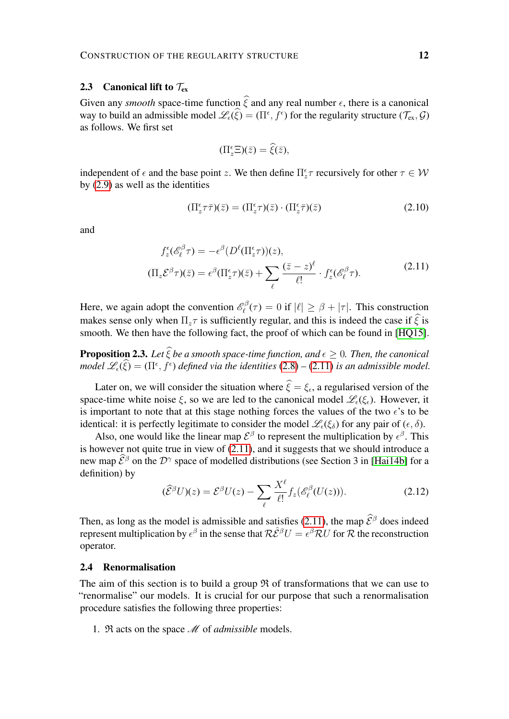# <span id="page-11-2"></span>2.3 Canonical lift to  $\mathcal{T}_{ex}$

Given any *smooth* space-time function  $\hat{\xi}$  and any real number  $\epsilon$ , there is a canonical way to build an admissible model  $\mathcal{L}_{\epsilon}(\xi) = (\Pi^{\epsilon}, f^{\epsilon})$  for the regularity structure  $(\mathcal{T}_{ex}, \mathcal{G})$ as follows. We first set

$$
(\Pi_z^{\epsilon} \Xi)(\bar{z}) = \widehat{\xi}(\bar{z}),
$$

independent of  $\epsilon$  and the base point z. We then define  $\Pi_z^{\epsilon}\tau$  recursively for other  $\tau \in \mathcal{W}$ by [\(2.9\)](#page-10-1) as well as the identities

$$
(\Pi_z^{\epsilon}\tau\bar{\tau})(\bar{z}) = (\Pi_z^{\epsilon}\tau)(\bar{z}) \cdot (\Pi_z^{\epsilon}\bar{\tau})(\bar{z})
$$
\n(2.10)

<span id="page-11-0"></span>and

$$
f_z^{\epsilon}(\mathcal{E}_{\ell}^{\beta}\tau) = -\epsilon^{\beta}(D^{\ell}(\Pi_z^{\epsilon}\tau))(z),
$$
  
\n
$$
(\Pi_z \mathcal{E}^{\beta}\tau)(\bar{z}) = \epsilon^{\beta}(\Pi_z^{\epsilon}\tau)(\bar{z}) + \sum_{\ell} \frac{(\bar{z}-z)^{\ell}}{\ell!} \cdot f_z^{\epsilon}(\mathcal{E}_{\ell}^{\beta}\tau).
$$
\n(2.11)

Here, we again adopt the convention  $\mathscr{E}_{\ell}^{\beta}$  $\ell_{\ell}^{\beta\beta}(\tau) = 0$  if  $|\ell| \ge \beta + |\tau|$ . This construction makes sense only when  $\Pi_z \tau$  is sufficiently regular, and this is indeed the case if  $\hat{\xi}$  is smooth. We then have the following fact, the proof of which can be found in [\[HQ15\]](#page-50-10).

**Proposition 2.3.** Let  $\widehat{\xi}$  be a smooth space-time function, and  $\epsilon > 0$ . Then, the canonical *model*  $\mathscr{L}_{\epsilon}(\xi) = (\Pi^{\epsilon}, f^{\epsilon})$  *defined via the identities*  $(2.8) - (2.11)$  $(2.8) - (2.11)$  $(2.8) - (2.11)$  *is an admissible model.* 

Later on, we will consider the situation where  $\xi = \xi_{\epsilon}$ , a regularised version of the space-time white noise  $\xi$ , so we are led to the canonical model  $\mathscr{L}_{\varepsilon}(\xi_{\varepsilon})$ . However, it is important to note that at this stage nothing forces the values of the two  $\epsilon$ 's to be identical: it is perfectly legitimate to consider the model  $\mathscr{L}_{\epsilon}(\xi_{\delta})$  for any pair of  $(\epsilon, \delta)$ .

Also, one would like the linear map  $\mathcal{E}^{\beta}$  to represent the multiplication by  $\epsilon^{\beta}$ . This is however not quite true in view of [\(2.11\)](#page-11-0), and it suggests that we should introduce a new map  $\hat{\mathcal{E}}^{\beta}$  on the  $\mathcal{D}^{\gamma}$  space of modelled distributions (see Section 3 in [\[Hai14b\]](#page-50-0) for a definition) by

$$
(\widehat{\mathcal{E}}^{\beta}U)(z) = \mathcal{E}^{\beta}U(z) - \sum_{\ell} \frac{X^{\ell}}{\ell!} f_z(\mathscr{E}_{\ell}^{\beta}(U(z))).
$$
\n(2.12)

Then, as long as the model is admissible and satisfies [\(2.11\)](#page-11-0), the map  $\hat{\mathcal{E}}^{\beta}$  does indeed represent multiplication by  $\epsilon^{\beta}$  in the sense that  $R\hat{\mathcal{E}}^{\beta}U = \epsilon^{\beta}RU$  for R the reconstruction operator.

# <span id="page-11-1"></span>2.4 Renormalisation

The aim of this section is to build a group  $\Re$  of transformations that we can use to "renormalise" our models. It is crucial for our purpose that such a renormalisation procedure satisfies the following three properties:

1. R acts on the space M of *admissible* models.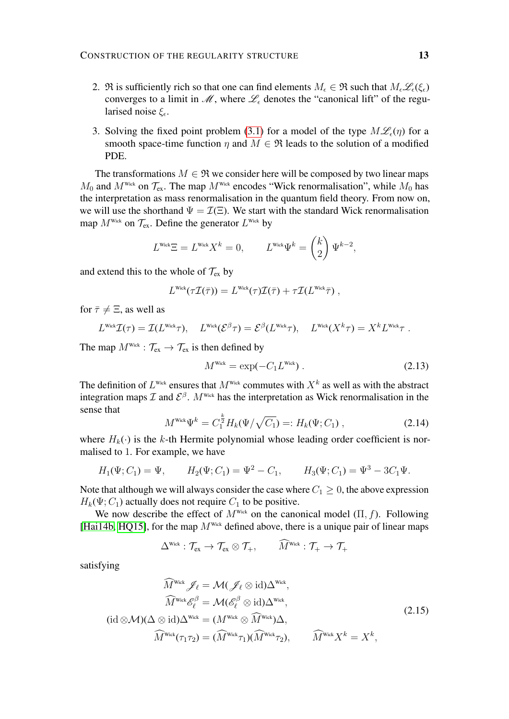- 2. R is sufficiently rich so that one can find elements  $M_{\epsilon} \in \mathfrak{R}$  such that  $M_{\epsilon} \mathcal{L}_{\epsilon}(\xi_{\epsilon})$ converges to a limit in  $\mathcal{M}$ , where  $\mathcal{L}_{\epsilon}$  denotes the "canonical lift" of the regularised noise  $\xi_{\epsilon}$ .
- 3. Solving the fixed point problem [\(3.1\)](#page-14-1) for a model of the type  $M\mathcal{L}_{\epsilon}(\eta)$  for a smooth space-time function  $\eta$  and  $M \in \mathfrak{R}$  leads to the solution of a modified PDE.

The transformations  $M \in \mathfrak{R}$  we consider here will be composed by two linear maps  $M_0$  and  $M^{\text{Wick}}$  on  $\mathcal{T}_{\text{ex}}$ . The map  $M^{\text{Wick}}$  encodes "Wick renormalisation", while  $M_0$  has the interpretation as mass renormalisation in the quantum field theory. From now on, we will use the shorthand  $\Psi = \mathcal{I}(\Xi)$ . We start with the standard Wick renormalisation map  $M^{\text{Wick}}$  on  $\mathcal{T}_{\text{ex}}$ . Define the generator  $L^{\text{Wick}}$  by

$$
LWick \Xi = LWick Xk = 0, \qquad LWick \Psik = \begin{pmatrix} k \\ 2 \end{pmatrix} \Psik-2,
$$

and extend this to the whole of  $\mathcal{T}_{ex}$  by

$$
L^{\text{Wick}}(\tau \mathcal{I}(\bar{\tau})) = L^{\text{Wick}}(\tau) \mathcal{I}(\bar{\tau}) + \tau \mathcal{I}(L^{\text{Wick}}\bar{\tau}),
$$

for  $\bar{\tau} \neq \Xi$ , as well as

$$
L^{\text{Wick}}\mathcal{I}(\tau)=\mathcal{I}(L^{\text{Wick}}\tau),\quad L^{\text{Wick}}(\mathcal{E}^{\beta}\tau)=\mathcal{E}^{\beta}(L^{\text{Wick}}\tau),\quad L^{\text{Wick}}(X^{k}\tau)=X^{k}L^{\text{Wick}}\tau.
$$

The map  $M^{\text{Wick}}$  :  $\mathcal{T}_{\text{ex}} \to \mathcal{T}_{\text{ex}}$  is then defined by

$$
M^{\text{Wick}} = \exp(-C_1 L^{\text{Wick}}) \tag{2.13}
$$

The definition of  $L^{\text{Wick}}$  ensures that  $M^{\text{Wick}}$  commutes with  $X^k$  as well as with the abstract integration maps  $\mathcal I$  and  $\mathcal E^{\beta}$ .  $M^{\text{wick}}$  has the interpretation as Wick renormalisation in the sense that

$$
M^{\text{Wick}}\Psi^k = C_1^{\frac{k}{2}}H_k(\Psi/\sqrt{C_1}) =: H_k(\Psi; C_1) , \qquad (2.14)
$$

where  $H_k(\cdot)$  is the k-th Hermite polynomial whose leading order coefficient is normalised to 1. For example, we have

$$
H_1(\Psi; C_1) = \Psi, \qquad H_2(\Psi; C_1) = \Psi^2 - C_1, \qquad H_3(\Psi; C_1) = \Psi^3 - 3C_1\Psi.
$$

Note that although we will always consider the case where  $C_1 \geq 0$ , the above expression  $H_k(\Psi; C_1)$  actually does not require  $C_1$  to be positive.

We now describe the effect of  $M^{Wick}$  on the canonical model ( $\Pi$ ,  $f$ ). Following [\[Hai14b,](#page-50-0) [HQ15\]](#page-50-10), for the map  $M^{\text{Wick}}$  defined above, there is a unique pair of linear maps

$$
\Delta^{\text{Wick}} : \mathcal{T}_{ex} \to \mathcal{T}_{ex} \otimes \mathcal{T}_{+}, \qquad \widehat{M}^{\text{Wick}} : \mathcal{T}_{+} \to \mathcal{T}_{+}
$$

satisfying

<span id="page-12-0"></span>
$$
\widehat{M}^{\text{Wick}} \mathscr{J}_{\ell} = \mathcal{M}(\mathscr{J}_{\ell} \otimes \text{id}) \Delta^{\text{Wick}},
$$
\n
$$
\widehat{M}^{\text{Wick}} \mathscr{E}_{\ell}^{\beta} = \mathcal{M}(\mathscr{E}_{\ell}^{\beta} \otimes \text{id}) \Delta^{\text{Wick}},
$$
\n
$$
(\text{id} \otimes \mathcal{M})(\Delta \otimes \text{id}) \Delta^{\text{Wick}} = (M^{\text{Wick}} \otimes \widehat{M}^{\text{Wick}}) \Delta,
$$
\n
$$
\widehat{M}^{\text{Wick}}(\tau_1 \tau_2) = (\widehat{M}^{\text{Wick}} \tau_1)(\widehat{M}^{\text{Wick}} \tau_2), \qquad \widehat{M}^{\text{Wick}} X^k = X^k,
$$
\n(2.15)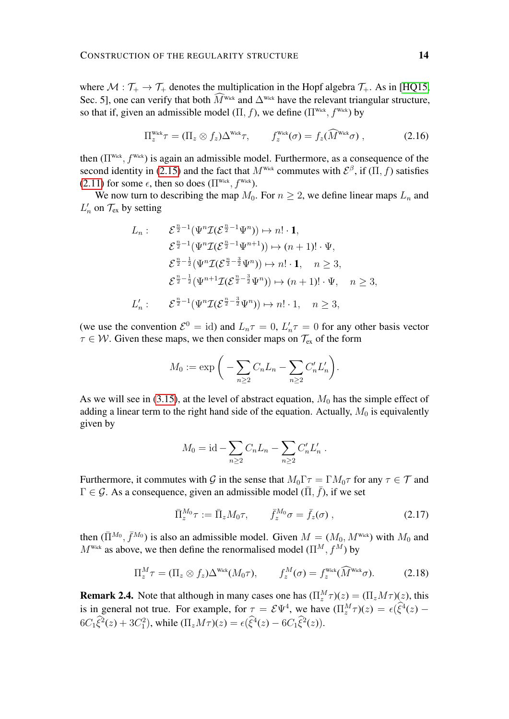where  $M : \mathcal{T}_+ \to \mathcal{T}_+$  denotes the multiplication in the Hopf algebra  $\mathcal{T}_+$ . As in [\[HQ15,](#page-50-10) Sec. 5], one can verify that both  $\widehat{M}^{\text{Wick}}$  and  $\Delta^{\text{Wick}}$  have the relevant triangular structure, so that if, given an admissible model  $(\Pi, f)$ , we define  $(\Pi^{\text{Wick}}, f^{\text{Wick}})$  by

$$
\Pi_z^{\text{Wick}} \tau = (\Pi_z \otimes f_z) \Delta^{\text{Wick}} \tau, \qquad f_z^{\text{Wick}}(\sigma) = f_z(\widehat{M}^{\text{Wick}} \sigma) , \qquad (2.16)
$$

then  $(\Pi^{\text{Wick}}, f^{\text{Wick}})$  is again an admissible model. Furthermore, as a consequence of the second identity in [\(2.15\)](#page-12-0) and the fact that  $M^{\text{Wick}}$  commutes with  $\mathcal{E}^{\beta}$ , if  $(\Pi, f)$  satisfies [\(2.11\)](#page-11-0) for some  $\epsilon$ , then so does ( $\Pi^{\text{Wick}}$ ,  $f^{\text{Wick}}$ ).

We now turn to describing the map  $M_0$ . For  $n \geq 2$ , we define linear maps  $L_n$  and  $L'_n$  on  $\mathcal{T}_{\text{ex}}$  by setting

$$
L_n: \qquad \mathcal{E}^{\frac{n}{2}-1}(\Psi^n \mathcal{I}(\mathcal{E}^{\frac{n}{2}-1}\Psi^n)) \mapsto n! \cdot \mathbf{1},
$$
  

$$
\mathcal{E}^{\frac{n}{2}-1}(\Psi^n \mathcal{I}(\mathcal{E}^{\frac{n}{2}-1}\Psi^{n+1})) \mapsto (n+1)! \cdot \Psi,
$$
  

$$
\mathcal{E}^{\frac{n}{2}-\frac{1}{2}}(\Psi^n \mathcal{I}(\mathcal{E}^{\frac{n}{2}-\frac{3}{2}}\Psi^n)) \mapsto n! \cdot \mathbf{1}, \quad n \ge 3,
$$
  

$$
\mathcal{E}^{\frac{n}{2}-\frac{1}{2}}(\Psi^{n+1} \mathcal{I}(\mathcal{E}^{\frac{n}{2}-\frac{3}{2}}\Psi^n)) \mapsto (n+1)! \cdot \Psi, \quad n \ge 3,
$$
  

$$
L'_n: \qquad \mathcal{E}^{\frac{n}{2}-1}(\Psi^n \mathcal{I}(\mathcal{E}^{\frac{n}{2}-\frac{3}{2}}\Psi^n)) \mapsto n! \cdot 1, \quad n \ge 3,
$$

(we use the convention  $\mathcal{E}^0 = id$ ) and  $L_n \tau = 0$ ,  $L'_n \tau = 0$  for any other basis vector  $\tau \in \mathcal{W}$ . Given these maps, we then consider maps on  $\mathcal{T}_{ex}$  of the form

$$
M_0 := \exp\bigg(-\sum_{n\geq 2} C_n L_n - \sum_{n\geq 2} C'_n L'_n\bigg).
$$

As we will see in [\(3.15\)](#page-24-1), at the level of abstract equation,  $M_0$  has the simple effect of adding a linear term to the right hand side of the equation. Actually,  $M_0$  is equivalently given by

$$
M_0 = id - \sum_{n \ge 2} C_n L_n - \sum_{n \ge 2} C'_n L'_n.
$$

Furthermore, it commutes with G in the sense that  $M_0\Gamma\tau = \Gamma M_0\tau$  for any  $\tau \in \mathcal{T}$  and  $\Gamma \in \mathcal{G}$ . As a consequence, given an admissible model  $(\overline{\Pi}, \overline{f})$ , if we set

$$
\bar{\Pi}_z^{M_0} \tau := \bar{\Pi}_z M_0 \tau, \qquad \bar{f}_z^{M_0} \sigma = \bar{f}_z(\sigma) , \qquad (2.17)
$$

then  $(\bar{\Pi}^{M_0}, \bar{f}^{M_0})$  is also an admissible model. Given  $M = (M_0, M^{\text{Wick}})$  with  $M_0$  and  $M^{\text{Wick}}$  as above, we then define the renormalised model  $(\Pi^M, f^M)$  by

$$
\Pi_z^M \tau = (\Pi_z \otimes f_z) \Delta^{\text{Wick}} (M_0 \tau), \qquad f_z^M(\sigma) = f_z^{\text{Wick}} (\widehat{M}^{\text{Wick}} \sigma). \tag{2.18}
$$

**Remark 2.4.** Note that although in many cases one has  $(\Pi_z^M \tau)(z) = (\Pi_z M \tau)(z)$ , this is in general not true. For example, for  $\tau = \mathcal{E}\Psi^4$ , we have  $(\Pi_z^M \tau)(z) = \epsilon(\hat{\xi}^4(z) - \hat{\xi}^3)$  $6C_1 \hat{\xi}^2(z) + 3C_1^2$ , while  $(\Pi_z M \tau)(z) = \epsilon(\hat{\xi}^4(z) - 6C_1 \hat{\xi}^2(z)).$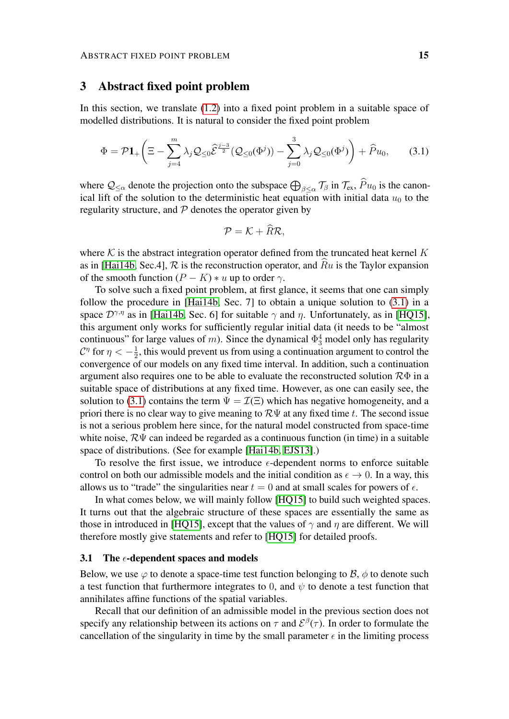# <span id="page-14-0"></span>3 Abstract fixed point problem

In this section, we translate [\(1.2\)](#page-1-0) into a fixed point problem in a suitable space of modelled distributions. It is natural to consider the fixed point problem

$$
\Phi = \mathcal{P}\mathbf{1}_{+}\left(\Xi - \sum_{j=4}^{m} \lambda_{j} \mathcal{Q}_{\leq 0} \widehat{\mathcal{E}}^{\frac{j-3}{2}} (\mathcal{Q}_{\leq 0}(\Phi^{j})) - \sum_{j=0}^{3} \lambda_{j} \mathcal{Q}_{\leq 0}(\Phi^{j})\right) + \widehat{P}u_{0},\qquad(3.1)
$$

where  $\mathcal{Q}_{\leq \alpha}$  denote the projection onto the subspace  $\bigoplus_{\beta \leq \alpha} \mathcal{T}_{\beta}$  in  $\mathcal{T}_{ex}$ ,  $Pu_0$  is the canonical lift of the solution to the deterministic heat equation with initial data  $u_0$  to the regularity structure, and  $P$  denotes the operator given by

<span id="page-14-1"></span>
$$
\mathcal{P}=\mathcal{K}+R\mathcal{R},
$$

where  $K$  is the abstract integration operator defined from the truncated heat kernel  $K$ as in [\[Hai14b,](#page-50-0) Sec.4],  $\mathcal R$  is the reconstruction operator, and  $\hat Ru$  is the Taylor expansion of the smooth function  $(P - K) * u$  up to order  $\gamma$ .

To solve such a fixed point problem, at first glance, it seems that one can simply follow the procedure in [\[Hai14b,](#page-50-0) Sec. 7] to obtain a unique solution to [\(3.1\)](#page-14-1) in a space  $\mathcal{D}^{\gamma,\eta}$  as in [\[Hai14b,](#page-50-0) Sec. 6] for suitable  $\gamma$  and  $\eta$ . Unfortunately, as in [\[HQ15\]](#page-50-10), this argument only works for sufficiently regular initial data (it needs to be "almost continuous" for large values of m). Since the dynamical  $\Phi_3^4$  model only has regularity  $\mathcal{C}^\eta$  for  $\eta<-\frac{1}{2}$  $\frac{1}{2}$ , this would prevent us from using a continuation argument to control the convergence of our models on any fixed time interval. In addition, such a continuation argument also requires one to be able to evaluate the reconstructed solution  $\mathcal{R}\Phi$  in a suitable space of distributions at any fixed time. However, as one can easily see, the solution to [\(3.1\)](#page-14-1) contains the term  $\Psi = \mathcal{I}(\Xi)$  which has negative homogeneity, and a priori there is no clear way to give meaning to  $\mathcal{R}\Psi$  at any fixed time t. The second issue is not a serious problem here since, for the natural model constructed from space-time white noise,  $\mathcal{R}\Psi$  can indeed be regarded as a continuous function (in time) in a suitable space of distributions. (See for example [\[Hai14b,](#page-50-0) [EJS13\]](#page-49-1).)

To resolve the first issue, we introduce  $\epsilon$ -dependent norms to enforce suitable control on both our admissible models and the initial condition as  $\epsilon \to 0$ . In a way, this allows us to "trade" the singularities near  $t = 0$  and at small scales for powers of  $\epsilon$ .

In what comes below, we will mainly follow [\[HQ15\]](#page-50-10) to build such weighted spaces. It turns out that the algebraic structure of these spaces are essentially the same as those in introduced in [\[HQ15\]](#page-50-10), except that the values of  $\gamma$  and  $\eta$  are different. We will therefore mostly give statements and refer to [\[HQ15\]](#page-50-10) for detailed proofs.

#### 3.1 The  $\epsilon$ -dependent spaces and models

Below, we use  $\varphi$  to denote a space-time test function belonging to  $\beta$ ,  $\phi$  to denote such a test function that furthermore integrates to 0, and  $\psi$  to denote a test function that annihilates affine functions of the spatial variables.

Recall that our definition of an admissible model in the previous section does not specify any relationship between its actions on  $\tau$  and  $\mathcal{E}^{\beta}(\tau)$ . In order to formulate the cancellation of the singularity in time by the small parameter  $\epsilon$  in the limiting process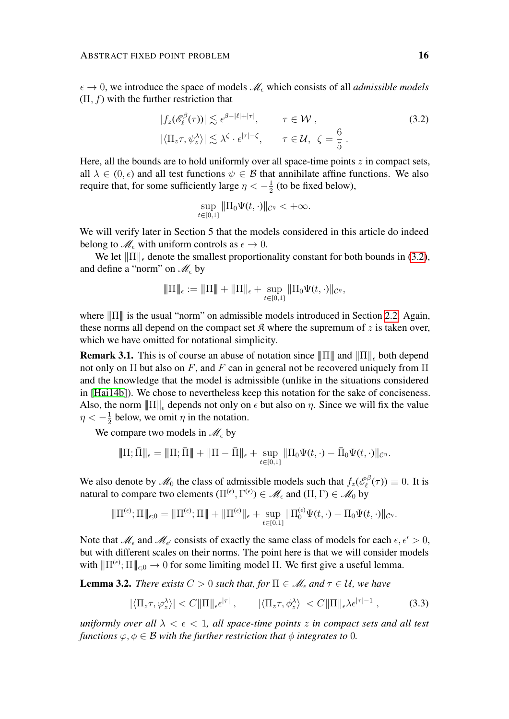$\epsilon \to 0$ , we introduce the space of models  $\mathcal{M}_{\epsilon}$  which consists of all *admissible models*  $(\Pi, f)$  with the further restriction that

$$
|f_z(\mathscr{E}_{\ell}^{\beta}(\tau))| \lesssim \epsilon^{\beta - |\ell| + |\tau|}, \qquad \tau \in \mathcal{W},
$$
  

$$
|\langle \Pi_z \tau, \psi_z^{\lambda} \rangle| \lesssim \lambda^{\zeta} \cdot \epsilon^{|\tau| - \zeta}, \qquad \tau \in \mathcal{U}, \ \zeta = \frac{6}{5}.
$$
 (3.2)

Here, all the bounds are to hold uniformly over all space-time points  $z$  in compact sets, all  $\lambda \in (0, \epsilon)$  and all test functions  $\psi \in \mathcal{B}$  that annihilate affine functions. We also require that, for some sufficiently large  $\eta < -\frac{1}{2}$  $\frac{1}{2}$  (to be fixed below),

<span id="page-15-0"></span>
$$
\sup_{t\in[0,1]}\|\Pi_0\Psi(t,\cdot)\|_{\mathcal{C}^\eta}<+\infty.
$$

We will verify later in Section 5 that the models considered in this article do indeed belong to  $\mathcal{M}_{\epsilon}$  with uniform controls as  $\epsilon \to 0$ .

We let  $\|\Pi\|_{\epsilon}$  denote the smallest proportionality constant for both bounds in [\(3.2\)](#page-15-0), and define a "norm" on  $\mathcal{M}_{\epsilon}$  by

$$
\|\Pi\|_{\epsilon} := \|\Pi\| + \|\Pi\|_{\epsilon} + \sup_{t \in [0,1]} \|\Pi_0 \Psi(t, \cdot)\|_{\mathcal{C}^{\eta}},
$$

where  $\|\Pi\|$  is the usual "norm" on admissible models introduced in Section [2.2.](#page-9-0) Again, these norms all depend on the compact set  $\mathfrak K$  where the supremum of z is taken over, which we have omitted for notational simplicity.

**Remark 3.1.** This is of course an abuse of notation since  $\|\Pi\|$  and  $\|\Pi\|_{\epsilon}$  both depend not only on Π but also on F, and F can in general not be recovered uniquely from Π and the knowledge that the model is admissible (unlike in the situations considered in [\[Hai14b\]](#page-50-0)). We chose to nevertheless keep this notation for the sake of conciseness. Also, the norm  $\|\Pi\|_{\epsilon}$  depends not only on  $\epsilon$  but also on  $\eta$ . Since we will fix the value  $\eta < -\frac{1}{2}$  $\frac{1}{2}$  below, we omit  $\eta$  in the notation.

We compare two models in  $\mathcal{M}_{\epsilon}$  by

$$
\|\Pi;\bar{\Pi}\|_{\epsilon} = \|\Pi;\bar{\Pi}\| + \|\Pi - \bar{\Pi}\|_{\epsilon} + \sup_{t \in [0,1]} \|\Pi_0 \Psi(t,\cdot) - \bar{\Pi}_0 \Psi(t,\cdot)\|_{\mathcal{C}^{\eta}}.
$$

We also denote by  $\mathcal{M}_0$  the class of admissible models such that  $f_z(\mathscr{E}_{\ell}^{\beta})$  $\mathcal{L}^{\circ\beta}(\tau)$   $\equiv$  0. It is natural to compare two elements  $(\Pi^{(\epsilon)}, \Gamma^{(\epsilon)}) \in \mathscr{M}_{\epsilon}$  and  $(\Pi, \Gamma) \in \mathscr{M}_{0}$  by

$$
\|\Pi^{(\epsilon)};\Pi\|_{\epsilon;0}=\|\Pi^{(\epsilon)};\Pi\|+\|\Pi^{(\epsilon)}\|_{\epsilon}+\sup_{t\in[0,1]}\|\Pi^{(\epsilon)}_0\Psi(t,\cdot)-\Pi_0\Psi(t,\cdot)\|_{\mathcal{C}^{\eta}}.
$$

Note that  $\mathcal{M}_{\epsilon}$  and  $\mathcal{M}_{\epsilon'}$  consists of exactly the same class of models for each  $\epsilon, \epsilon' > 0$ , but with different scales on their norms. The point here is that we will consider models with  $\|\Pi^{(\epsilon)}; \Pi\|_{\epsilon;0} \to 0$  for some limiting model  $\Pi$ . We first give a useful lemma.

<span id="page-15-2"></span>**Lemma 3.2.** *There exists*  $C > 0$  *such that, for*  $\Pi \in \mathcal{M}_{\epsilon}$  *and*  $\tau \in \mathcal{U}$ *, we have* 

<span id="page-15-1"></span>
$$
|\langle \Pi_z \tau, \varphi_z^{\lambda} \rangle| < C \|\Pi\|_{\epsilon} \epsilon^{|\tau|} \,, \qquad |\langle \Pi_z \tau, \phi_z^{\lambda} \rangle| < C \|\Pi\|_{\epsilon} \lambda \epsilon^{|\tau|-1} \,, \tag{3.3}
$$

*uniformly over all*  $\lambda < \epsilon < 1$ *, all space-time points z in compact sets and all test functions*  $\varphi, \varphi \in \mathcal{B}$  *with the further restriction that*  $\varphi$  *integrates to* 0*.*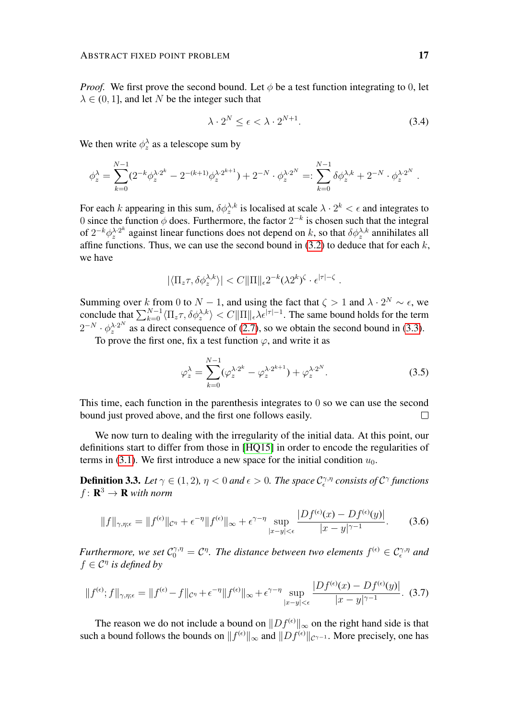*Proof.* We first prove the second bound. Let  $\phi$  be a test function integrating to 0, let  $\lambda \in (0, 1]$ , and let N be the integer such that

$$
\lambda \cdot 2^N \le \epsilon < \lambda \cdot 2^{N+1}.\tag{3.4}
$$

We then write  $\phi_z^{\lambda}$  as a telescope sum by

$$
\phi_z^{\lambda} = \sum_{k=0}^{N-1} (2^{-k} \phi_z^{\lambda \cdot 2^k} - 2^{-(k+1)} \phi_z^{\lambda \cdot 2^{k+1}}) + 2^{-N} \cdot \phi_z^{\lambda \cdot 2^N} =: \sum_{k=0}^{N-1} \delta \phi_z^{\lambda \cdot k} + 2^{-N} \cdot \phi_z^{\lambda \cdot 2^N}.
$$

For each k appearing in this sum,  $\delta \phi_x^{\lambda,k}$  is localised at scale  $\lambda \cdot 2^k < \epsilon$  and integrates to 0 since the function  $\phi$  does. Furthermore, the factor  $2^{-k}$  is chosen such that the integral of  $2^{-k}\phi_z^{\lambda \cdot 2^k}$  $\lambda^{2k}$  against linear functions does not depend on k, so that  $\delta \phi^{\lambda,k}_z$  annihilates all affine functions. Thus, we can use the second bound in  $(3.2)$  to deduce that for each k, we have

$$
|\langle \Pi_z \tau, \delta \phi_z^{\lambda, k} \rangle| < C \|\Pi\|_{\epsilon} 2^{-k} (\lambda 2^k)^{\zeta} \cdot \epsilon^{|\tau| - \zeta} \, .
$$

Summing over k from 0 to  $N-1$ , and using the fact that  $\zeta > 1$  and  $\lambda \cdot 2^N \sim \epsilon$ , we conclude that  $\sum_{k=0}^{N-1} \langle \Pi_z \tau, \delta \phi_z^{\lambda, k} \rangle < C \|\Pi\|_{\epsilon} \lambda \bar{\epsilon}^{|\tau|-1}$ . The same bound holds for the term  $2^{-N} \cdot \phi_z^{\lambda_2}$  as a direct consequence of [\(2.7\)](#page-10-0), so we obtain the second bound in [\(3.3\)](#page-15-1).

To prove the first one, fix a test function  $\varphi$ , and write it as

$$
\varphi_z^{\lambda} = \sum_{k=0}^{N-1} (\varphi_z^{\lambda \cdot 2^k} - \varphi_z^{\lambda \cdot 2^{k+1}}) + \varphi_z^{\lambda \cdot 2^N}.
$$
 (3.5)

This time, each function in the parenthesis integrates to 0 so we can use the second bound just proved above, and the first one follows easily.  $\Box$ 

We now turn to dealing with the irregularity of the initial data. At this point, our definitions start to differ from those in [\[HQ15\]](#page-50-10) in order to encode the regularities of terms in [\(3.1\)](#page-14-1). We first introduce a new space for the initial condition  $u_0$ .

**Definition 3.3.** Let  $\gamma \in (1, 2)$ ,  $\eta < 0$  and  $\epsilon > 0$ . The space  $\mathcal{C}_{\epsilon}^{\gamma, \eta}$  consists of  $\mathcal{C}^{\gamma}$  functions  $f: \mathbf{R}^3 \to \mathbf{R}$  with norm

<span id="page-16-1"></span><span id="page-16-0"></span>
$$
||f||_{\gamma,\eta;\epsilon} = ||f^{(\epsilon)}||_{\mathcal{C}^{\eta}} + \epsilon^{-\eta} ||f^{(\epsilon)}||_{\infty} + \epsilon^{\gamma-\eta} \sup_{|x-y| < \epsilon} \frac{|Df^{(\epsilon)}(x) - Df^{(\epsilon)}(y)|}{|x-y|^{\gamma-1}}.
$$
 (3.6)

*Furthermore, we set*  $C_0^{\gamma,\eta} = C^{\eta}$ . The distance between two elements  $f^{(\epsilon)} \in C_{\epsilon}^{\gamma,\eta}$  and  $f \in \mathcal{C}^{\eta}$  is defined by

$$
||f^{(\epsilon)};f||_{\gamma,\eta;\epsilon} = ||f^{(\epsilon)} - f||_{\mathcal{C}^{\eta}} + \epsilon^{-\eta} ||f^{(\epsilon)}||_{\infty} + \epsilon^{\gamma-\eta} \sup_{|x-y| < \epsilon} \frac{|Df^{(\epsilon)}(x) - Df^{(\epsilon)}(y)|}{|x-y|^{\gamma-1}}. \tag{3.7}
$$

The reason we do not include a bound on  $||Df^{(\epsilon)}||_{\infty}$  on the right hand side is that such a bound follows the bounds on  $||f^{(\epsilon)}||_{\infty}$  and  $||Df^{(\epsilon)}||_{\mathcal{C}^{\gamma-1}}$ . More precisely, one has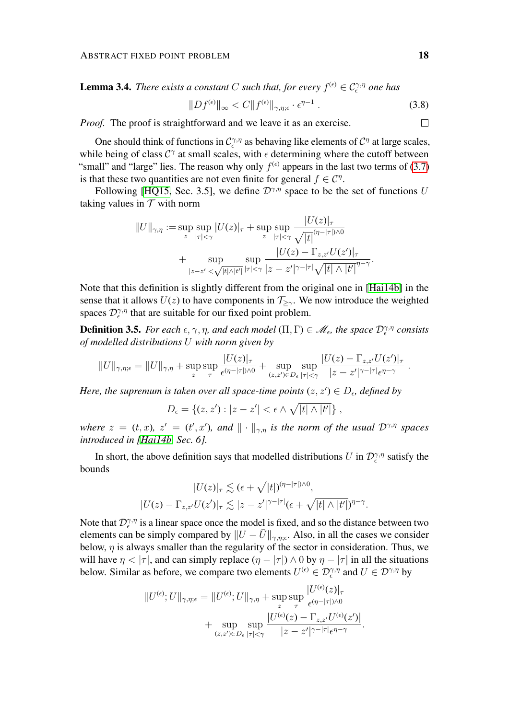**Lemma 3.4.** *There exists a constant* C *such that, for every*  $f^{(\epsilon)} \in C_{\epsilon}^{\gamma,\eta}$  *one has* 

$$
||Df^{(\epsilon)}||_{\infty} < C||f^{(\epsilon)}||_{\gamma,\eta;\epsilon} \cdot \epsilon^{\eta-1} \tag{3.8}
$$

*Proof.* The proof is straightforward and we leave it as an exercise.

One should think of functions in  $C_{\epsilon}^{\gamma,\eta}$  as behaving like elements of  $C^{\eta}$  at large scales, while being of class  $C^{\gamma}$  at small scales, with  $\epsilon$  determining where the cutoff between "small" and "large" lies. The reason why only  $f^{(\epsilon)}$  appears in the last two terms of [\(3.7\)](#page-16-0) is that these two quantities are not even finite for general  $f \in \mathcal{C}^{\eta}$ .

Following [\[HQ15,](#page-50-10) Sec. 3.5], we define  $\mathcal{D}^{\gamma,\eta}$  space to be the set of functions U taking values in  $T$  with norm

$$
||U||_{\gamma,\eta} := \sup_{z} \sup_{|\tau| < \gamma} |U(z)|_{\tau} + \sup_{z} \sup_{|\tau| < \gamma} \frac{|U(z)|_{\tau}}{\sqrt{|t|^{(\eta - |\tau|)/0}}} + \sup_{|z - z'| < \sqrt{|t|/|t'|}} \sup_{|\tau| < \gamma} \frac{|U(z) - \Gamma_{z,z'}U(z')|_{\tau}}{|z - z'|^{\gamma - |\tau|} \sqrt{|t| \wedge |t'|}^{\eta - \gamma}}.
$$

Note that this definition is slightly different from the original one in [\[Hai14b\]](#page-50-0) in the sense that it allows  $U(z)$  to have components in  $\mathcal{T}_{\geq \gamma}$ . We now introduce the weighted spaces  $\mathcal{D}_{\epsilon}^{\gamma,\eta}$  that are suitable for our fixed point problem.

<span id="page-17-0"></span>**Definition 3.5.** *For each*  $\epsilon, \gamma, \eta$ *, and each model*  $(\Pi, \Gamma) \in \mathcal{M}_{\epsilon}$ *, the space*  $\mathcal{D}_{\epsilon}^{\gamma, \eta}$  consists *of modelled distributions* U *with norm given by*

$$
||U||_{\gamma,\eta;\epsilon} = ||U||_{\gamma,\eta} + \sup_z \sup_\tau \frac{|U(z)|_\tau}{\epsilon^{(\eta-|\tau|)\wedge 0}} + \sup_{(z,z')\in D_\epsilon} \sup_{|\tau|<\gamma} \frac{|U(z)-\Gamma_{z,z'}U(z')|_\tau}{|z-z'|^{\gamma-|\tau|}\epsilon^{\eta-\gamma}}
$$

*Here, the supremum is taken over all space-time points*  $(z, z') \in D_{\epsilon}$ , *defined by* 

$$
D_{\epsilon} = \{(z, z'): |z - z'| < \epsilon \wedge \sqrt{|t| \wedge |t'|}\},\,
$$

*where*  $z = (t, x)$ ,  $z' = (t', x')$ , and  $\|\cdot\|_{\gamma, \eta}$  *is the norm of the usual*  $\mathcal{D}^{\gamma, \eta}$  *spaces introduced in [\[Hai14b,](#page-50-0) Sec. 6].*

In short, the above definition says that modelled distributions U in  $\mathcal{D}_{\epsilon}^{\gamma,\eta}$  satisfy the bounds

$$
|U(z)|_{\tau} \lesssim (\epsilon + \sqrt{|t|})^{(\eta - |\tau|)\wedge 0},
$$
  

$$
|U(z) - \Gamma_{z,z'}U(z')|_{\tau} \lesssim |z - z'|^{\gamma - |\tau|} (\epsilon + \sqrt{|t| \wedge |t'|})^{\eta - \gamma}.
$$

Note that  $\mathcal{D}_{\epsilon}^{\gamma,\eta}$  is a linear space once the model is fixed, and so the distance between two elements can be simply compared by  $||U - \overline{U}||_{\gamma, \eta; \epsilon}$ . Also, in all the cases we consider below,  $\eta$  is always smaller than the regularity of the sector in consideration. Thus, we will have  $\eta < |\tau|$ , and can simply replace  $(\eta - |\tau|) \wedge 0$  by  $\eta - |\tau|$  in all the situations below. Similar as before, we compare two elements  $U^{(\epsilon)} \in \mathcal{D}_\epsilon^{\gamma,\eta}$  and  $U \in \mathcal{D}^{\gamma,\eta}$  by

$$
||U^{(\epsilon)};U||_{\gamma,\eta;\epsilon} = ||U^{(\epsilon)};U||_{\gamma,\eta} + \sup_{z} \sup_{\tau} \frac{|U^{(\epsilon)}(z)|_{\tau}}{\epsilon^{(\eta-|\tau|)\wedge 0}} + \sup_{(z,z')\in D_{\epsilon}|\tau|<\gamma} \frac{|U^{(\epsilon)}(z) - \Gamma_{z,z'}U^{(\epsilon)}(z')|}{|z-z'|^{\gamma-|\tau|}\epsilon^{\eta-\gamma}}.
$$

 $\Box$ 

.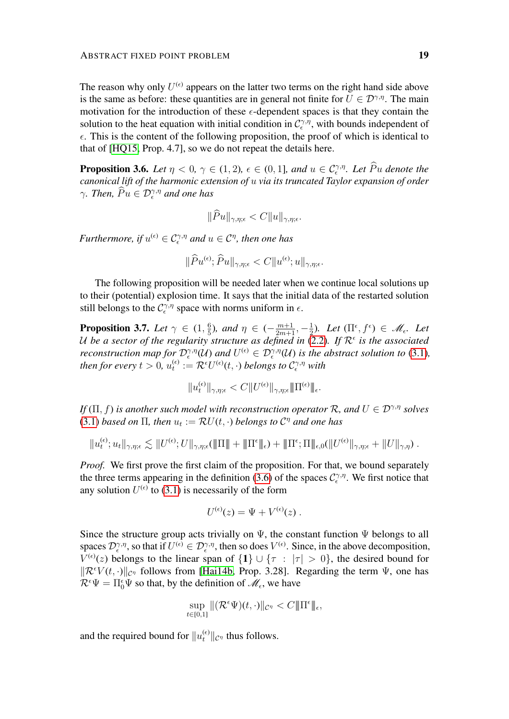The reason why only  $U^{(\epsilon)}$  appears on the latter two terms on the right hand side above is the same as before: these quantities are in general not finite for  $U \in \mathcal{D}^{\gamma,\eta}$ . The main motivation for the introduction of these  $\epsilon$ -dependent spaces is that they contain the solution to the heat equation with initial condition in  $\mathcal{C}^{\gamma,\eta}_{\epsilon}$ , with bounds independent of  $\epsilon$ . This is the content of the following proposition, the proof of which is identical to that of [\[HQ15,](#page-50-10) Prop. 4.7], so we do not repeat the details here.

<span id="page-18-0"></span>**Proposition 3.6.** *Let*  $\eta < 0, \gamma \in (1, 2), \epsilon \in (0, 1]$ *, and*  $u \in C^{\gamma, \eta}_{\epsilon}$ *. Let*  $\widehat{P}u$  *denote the canonical lift of the harmonic extension of* u *via its truncated Taylor expansion of order*  $\gamma$ *. Then,*  $\widehat{P}u \in \mathcal{D}_{\epsilon}^{\gamma,\eta}$  *and one has* 

$$
\|\widehat{P}u\|_{\gamma,\eta;\epsilon} < C\|u\|_{\gamma,\eta;\epsilon}.
$$

*Furthermore, if*  $u^{(\epsilon)} \in C^{\gamma, \eta}_\epsilon$  and  $u \in C^\eta$ , then one has

$$
\|\widehat{P}u^{(\epsilon)};\widehat{P}u\|_{\gamma,\eta;\epsilon}
$$

The following proposition will be needed later when we continue local solutions up to their (potential) explosion time. It says that the initial data of the restarted solution still belongs to the  $C_{\epsilon}^{\gamma,\eta}$  space with norms uniform in  $\epsilon$ .

<span id="page-18-1"></span>**Proposition 3.7.** *Let*  $\gamma \in (1, \frac{6}{5})$  $(\frac{6}{5})$ *, and*  $\eta \in (-\frac{m+1}{2m+1}, -\frac{1}{2})$  $(\prod^{\epsilon}, f^{\epsilon}) \in \mathcal{M}_{\epsilon}$ . Let U be a sector of the regularity structure as defined in  $(2.2)$ . If  $\mathcal{R}^{\epsilon}$  is the associated *reconstruction map for*  $\mathcal{D}_{\epsilon}^{\gamma,\eta}(\mathcal{U})$  *and*  $U^{(\epsilon)} \in \mathcal{D}_{\epsilon}^{\gamma,\eta}(\mathcal{U})$  *is the abstract solution to* [\(3.1\)](#page-14-1), then for every  $t > 0$ ,  $u_t^{(\epsilon)}$  $t^{(\epsilon)}_t:=\mathcal{R}^\epsilon U^{(\epsilon)}(t,\cdot)$  belongs to  $\mathcal{C}^{\gamma,\eta}_\epsilon$  with

$$
\|u^{(\epsilon)}_t\|_{\gamma,\eta;\epsilon}
$$

*If*  $(\Pi, f)$  *is another such model with reconstruction operator*  $\mathcal{R}$ *, and*  $U \in \mathcal{D}^{\gamma, \eta}$  *solves* [\(3.1\)](#page-14-1) *based on*  $\Pi$ *, then*  $u_t := \mathcal{R}U(t, \cdot)$  *belongs to*  $\mathcal{C}^{\eta}$  *and one has* 

$$
||u_{t}^{(\epsilon)};u_{t}||_{\gamma,\eta;\epsilon} \lesssim ||U^{(\epsilon)};U||_{\gamma,\eta;\epsilon}(\|\Pi\|+\|\Pi^{\epsilon}\|_{\epsilon})+\|\Pi^{\epsilon};\Pi\|_{\epsilon,0}(||U^{(\epsilon)}|_{\gamma,\eta;\epsilon}+||U||_{\gamma,\eta}).
$$

*Proof.* We first prove the first claim of the proposition. For that, we bound separately the three terms appearing in the definition [\(3.6\)](#page-16-1) of the spaces  $\mathcal{C}^{\gamma,\eta}_{\epsilon}$ . We first notice that any solution  $U^{(\epsilon)}$  to [\(3.1\)](#page-14-1) is necessarily of the form

$$
U^{(\epsilon)}(z) = \Psi + V^{(\epsilon)}(z) .
$$

Since the structure group acts trivially on  $\Psi$ , the constant function  $\Psi$  belongs to all spaces  $\mathcal{D}_{\epsilon}^{\gamma,\eta}$ , so that if  $U^{(\epsilon)} \in \mathcal{D}_{\epsilon}^{\gamma,\eta}$ , then so does  $V^{(\epsilon)}$ . Since, in the above decomposition,  $V^{(\epsilon)}(z)$  belongs to the linear span of  $\{1\} \cup \{\tau : |\tau| > 0\}$ , the desired bound for  $\|\mathcal{R}^{\epsilon}V(t,\cdot)\|_{\mathcal{C}^{\eta}}$  follows from [\[Hai14b,](#page-50-0) Prop. 3.28]. Regarding the term  $\Psi$ , one has  $\mathcal{R}^{\epsilon}\Psi = \Pi_0^{\epsilon}\Psi$  so that, by the definition of  $\mathscr{M}_{\epsilon}$ , we have

$$
\sup_{t\in[0,1]}\|(\mathcal{R}^{\epsilon}\Psi)(t,\cdot)\|_{\mathcal{C}^{\eta}}
$$

and the required bound for  $||u_t^{(\epsilon)}||_{\mathcal{C}^{\eta}}$  thus follows.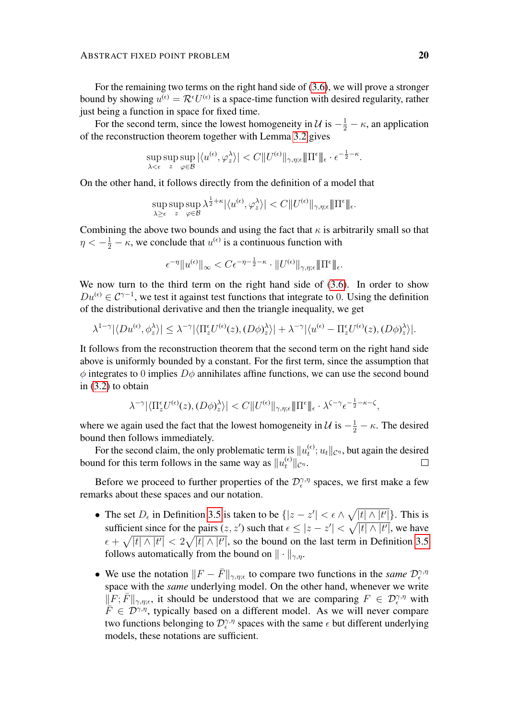For the remaining two terms on the right hand side of [\(3.6\)](#page-16-1), we will prove a stronger bound by showing  $u^{(\epsilon)} = \mathcal{R}^{\epsilon} U^{(\epsilon)}$  is a space-time function with desired regularity, rather just being a function in space for fixed time.

For the second term, since the lowest homogeneity in  $\mathcal{U}$  is  $-\frac{1}{2} - \kappa$ , an application of the reconstruction theorem together with Lemma [3.2](#page-15-2) gives

$$
\sup_{\lambda < \epsilon} \sup_z \sup_{\varphi \in \mathcal{B}} |\langle u^{(\epsilon)}, \varphi_z^{\lambda} \rangle| < C \| U^{(\epsilon)} \|_{\gamma, \eta; \epsilon} \| \Pi^{\epsilon} \|_{\epsilon} \cdot \epsilon^{-\frac{1}{2} - \kappa}.
$$

On the other hand, it follows directly from the definition of a model that

$$
\sup_{\lambda \geq \epsilon} \sup_z \sup_{\varphi \in \mathcal{B}} \lambda^{\frac{1}{2}+\kappa} |\langle u^{(\epsilon)}, \varphi_z^{\lambda} \rangle| < C \| U^{(\epsilon)} \|_{\gamma, \eta; \epsilon} \| \Pi^{\epsilon} \|_{\epsilon}.
$$

Combining the above two bounds and using the fact that  $\kappa$  is arbitrarily small so that  $\eta < -\frac{1}{2} - \kappa$ , we conclude that  $u^{(\epsilon)}$  is a continuous function with

$$
\epsilon^{-\eta} \|u^{(\epsilon)}\|_{\infty} < C \epsilon^{-\eta - \frac{1}{2} - \kappa} \cdot \|U^{(\epsilon)}\|_{\gamma, \eta; \epsilon} \| \Pi^{\epsilon} \|_{\epsilon}.
$$

We now turn to the third term on the right hand side of  $(3.6)$ . In order to show  $Du^{(\epsilon)} \in \mathcal{C}^{\gamma-1}$ , we test it against test functions that integrate to 0. Using the definition of the distributional derivative and then the triangle inequality, we get

$$
\lambda^{1-\gamma} |\langle Du^{(\epsilon)}, \phi_z^{\lambda} \rangle| \leq \lambda^{-\gamma} |\langle \Pi_z^{\epsilon} U^{(\epsilon)}(z), (D\phi_z^{\lambda} \rangle| + \lambda^{-\gamma} |\langle u^{(\epsilon)} - \Pi_z^{\epsilon} U^{(\epsilon)}(z), (D\phi_z^{\lambda} \rangle|.
$$

It follows from the reconstruction theorem that the second term on the right hand side above is uniformly bounded by a constant. For the first term, since the assumption that  $\phi$  integrates to 0 implies  $D\phi$  annihilates affine functions, we can use the second bound in [\(3.2\)](#page-15-0) to obtain

$$
\lambda^{-\gamma} \big| \big\langle \Pi_z^\epsilon U^{(\epsilon)}(z), (D\phi)_z^\lambda \big\rangle \big| < C \big\| U^{(\epsilon)} \big\|_{\gamma, \eta; \epsilon} \big\| \Pi^\epsilon \big\|_\epsilon \cdot \lambda^{\zeta - \gamma} \epsilon^{-\frac{1}{2} - \kappa - \zeta},
$$

where we again used the fact that the lowest homogeneity in  $\mathcal{U}$  is  $-\frac{1}{2} - \kappa$ . The desired bound then follows immediately.

For the second claim, the only problematic term is  $||u_t^{(\epsilon)}||$  $_t^{(\epsilon)}$ ;  $u_t ||_{\mathcal{C}^{\eta}}$ , but again the desired bound for this term follows in the same way as  $||u_t^{(\epsilon)}||_{\mathcal{C}^{\eta}}$ .  $\Box$ 

Before we proceed to further properties of the  $\mathcal{D}_{\epsilon}^{\gamma,\eta}$  spaces, we first make a few remarks about these spaces and our notation.

- The set  $D_{\epsilon}$  in Definition [3.5](#page-17-0) is taken to be  $\{|z-z'| < \epsilon \wedge \sqrt{|t| \wedge |t'|}\}\$ . This is sufficient since for the pairs  $(z, z')$  such that  $\epsilon \leq |z - z'| < \sqrt{|t| \wedge |t'|}$ , we have  $\epsilon + \sqrt{|t| \wedge |t'|} < 2\sqrt{|t| \wedge |t'|}$ , so the bound on the last term in Definition [3.5](#page-17-0) follows automatically from the bound on  $\|\cdot\|_{\gamma,\eta}$ .
- We use the notation  $||F \bar{F}||_{\gamma, \eta; \epsilon}$  to compare two functions in the *same*  $\mathcal{D}_{\epsilon}^{\gamma, \eta}$ space with the *same* underlying model. On the other hand, whenever we write  $\Vert F; \bar{F} \Vert_{\gamma,\eta;\epsilon}$ , it should be understood that we are comparing  $F \in \mathcal{D}_\epsilon^{\gamma,\eta}$  with  $F \in \mathcal{D}^{\gamma,\eta}$ , typically based on a different model. As we will never compare two functions belonging to  $\mathcal{D}_{\epsilon}^{\gamma,\eta}$  spaces with the same  $\epsilon$  but different underlying models, these notations are sufficient.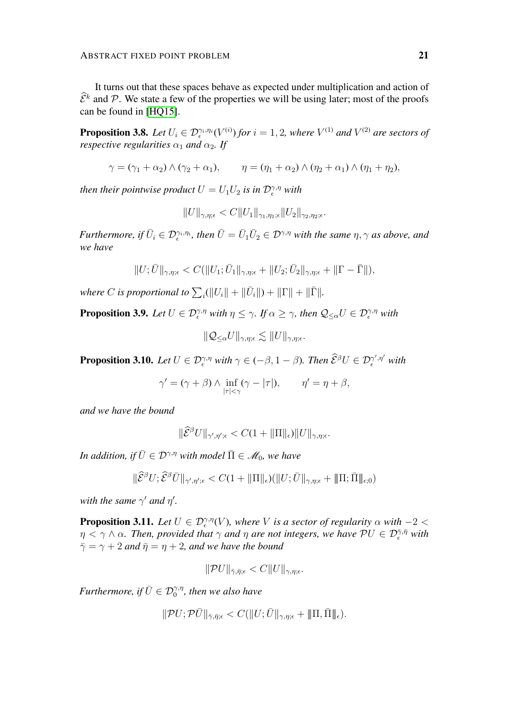It turns out that these spaces behave as expected under multiplication and action of  $\hat{\mathcal{E}}^k$  and  $\hat{\mathcal{P}}$ . We state a few of the properties we will be using later; most of the proofs can be found in [\[HQ15\]](#page-50-10).

<span id="page-20-2"></span>**Proposition 3.8.** Let  $U_i \in \mathcal{D}_{\epsilon}^{\gamma_i, \eta_i}(V^{(i)})$  for  $i = 1, 2$ , where  $V^{(1)}$  and  $V^{(2)}$  are sectors of *respective regularities*  $\alpha_1$  *and*  $\alpha_2$ *. If* 

$$
\gamma = (\gamma_1 + \alpha_2) \wedge (\gamma_2 + \alpha_1), \qquad \eta = (\eta_1 + \alpha_2) \wedge (\eta_2 + \alpha_1) \wedge (\eta_1 + \eta_2),
$$

*then their pointwise product*  $U = U_1 U_2$  *is in*  $\mathcal{D}^{\gamma,\eta}_\epsilon$  *with* 

$$
||U||_{\gamma,\eta;\epsilon} < C||U_1||_{\gamma_1,\eta_1;\epsilon}||U_2||_{\gamma_2,\eta_2;\epsilon}.
$$

*Furthermore, if*  $\bar{U}_i \in \mathcal{D}_\epsilon^{\gamma_i, \eta_i}$ , then  $\bar{U} = \bar{U}_1 \bar{U}_2 \in \mathcal{D}^{\gamma, \eta}$  with the same  $\eta, \gamma$  as above, and *we have*

$$
||U; \overline{U}||_{\gamma,\eta;\epsilon} < C(||U_1; \overline{U}_1||_{\gamma,\eta;\epsilon} + ||U_2; \overline{U}_2||_{\gamma,\eta;\epsilon} + ||\Gamma - \overline{\Gamma}||),
$$

where C is proportional to  $\sum_i (||U_i|| + ||\bar{U}_i||) + ||\Gamma|| + ||\bar{\Gamma}||$ .

<span id="page-20-0"></span>**Proposition 3.9.** Let  $U \in \mathcal{D}_{\epsilon}^{\gamma,\eta}$  with  $\eta \leq \gamma$ . If  $\alpha \geq \gamma$ , then  $\mathcal{Q}_{\leq \alpha}U \in \mathcal{D}_{\epsilon}^{\gamma,\eta}$  with

 $\|\mathcal{Q}_{\leq \alpha}U\|_{\gamma,\eta;\epsilon} \lesssim \|U\|_{\gamma,\eta;\epsilon}.$ 

<span id="page-20-3"></span>**Proposition 3.10.** Let  $U \in \mathcal{D}_{\epsilon}^{\gamma,\eta}$  with  $\gamma \in (-\beta, 1-\beta)$ . Then  $\widehat{\mathcal{E}}^{\beta}U \in \mathcal{D}_{\epsilon}^{\gamma',\eta'}$  with

$$
\gamma' = (\gamma + \beta) \wedge \inf_{|\tau| < \gamma} (\gamma - |\tau|), \qquad \eta' = \eta + \beta,
$$

*and we have the bound*

$$
\|\widehat{\mathcal{E}}^{\beta}U\|_{\gamma',\eta';\epsilon} < C(1 + \|\Pi\|_{\epsilon})\|U\|_{\gamma,\eta;\epsilon}.
$$

*In addition, if*  $\overline{U} \in \mathcal{D}^{\gamma,\eta}$  *with model*  $\overline{\Pi} \in \mathcal{M}_0$ *, we have* 

 $\|\widehat{\mathcal{E}}^{\beta}U;\widehat{\mathcal{E}}^{\beta}\bar{U}\|_{\gamma',\eta';\epsilon} < C(1 + \|\Pi\|_{\epsilon})(\|U;\bar{U}\|_{\gamma,\eta;\epsilon} + \|\Pi;\bar{\Pi}\|_{\epsilon;0})$ 

*with the same*  $\gamma'$  *and*  $\eta'$ *.* 

<span id="page-20-1"></span>**Proposition 3.11.** Let  $U \in \mathcal{D}_{\epsilon}^{\gamma,\eta}(V)$ , where V is a sector of regularity  $\alpha$  with  $-2 < \epsilon$  $\eta < \gamma \wedge \alpha$ . Then, provided that  $\gamma$  and  $\eta$  are not integers, we have  $\mathcal{P} U \in \mathcal{D}^{\bar{\gamma},\bar{\eta}}_{\epsilon}$  with  $\bar{\gamma} = \gamma + 2$  *and*  $\bar{\eta} = \eta + 2$ *, and we have the bound* 

$$
\|\mathcal{P}U\|_{\bar{\gamma},\bar{\eta};\epsilon} < C\|U\|_{\gamma,\eta;\epsilon}.
$$

Furthermore, if  $\bar U\in \mathcal{D}^{\gamma,\eta}_0$ , then we also have

$$
\|\mathcal{P}U;\mathcal{P}\bar{U}\|_{\bar{\gamma},\bar{\eta};\epsilon} < C(\|U;\bar{U}\|_{\gamma,\eta;\epsilon} + \|\Pi,\bar{\Pi}\|_{\epsilon}).
$$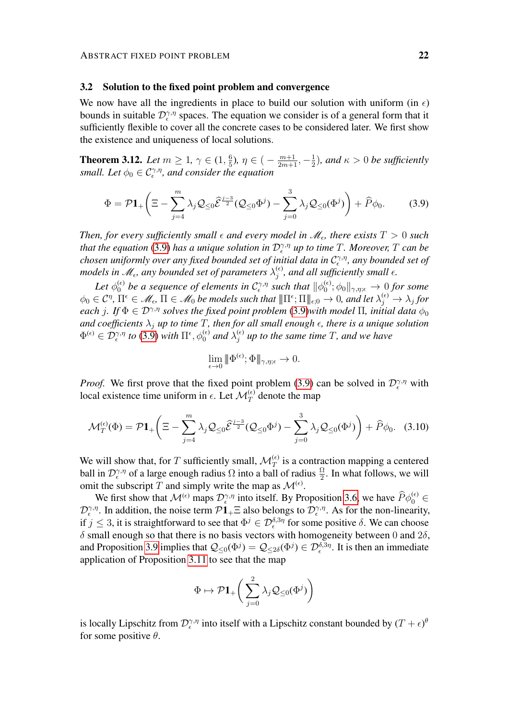#### 3.2 Solution to the fixed point problem and convergence

We now have all the ingredients in place to build our solution with uniform (in  $\epsilon$ ) bounds in suitable  $\mathcal{D}_{\epsilon}^{\gamma,\eta}$  spaces. The equation we consider is of a general form that it sufficiently flexible to cover all the concrete cases to be considered later. We first show the existence and uniqueness of local solutions.

<span id="page-21-1"></span>**Theorem 3.12.** *Let*  $m \ge 1$ ,  $\gamma \in (1, \frac{6}{5})$  $\frac{6}{5}$ ),  $\eta \in \big(-\frac{m+1}{2m+1}, -\frac{1}{2}\big)$  $(\frac{1}{2})$ , and  $\kappa > 0$  be sufficiently *small. Let*  $\phi_0 \in C_{\epsilon}^{\gamma, \eta}$ *, and consider the equation* 

<span id="page-21-0"></span>
$$
\Phi = \mathcal{P}\mathbf{1}_{+}\left(\Xi - \sum_{j=4}^{m} \lambda_j \mathcal{Q}_{\leq 0} \widehat{\mathcal{E}}^{\frac{j-3}{2}} (\mathcal{Q}_{\leq 0} \Phi^j) - \sum_{j=0}^{3} \lambda_j \mathcal{Q}_{\leq 0} (\Phi^j) \right) + \widehat{P}\phi_0.
$$
 (3.9)

Then, for every sufficiently small  $\epsilon$  and every model in  $\mathscr{M}_{\epsilon}$ , there exists  $T > 0$  such *that the equation* [\(3.9\)](#page-21-0) *has a unique solution in*  $\mathcal{D}_{\epsilon}^{\gamma,\eta}$  *up to time* T. Moreover, T can be chosen uniformly over any fixed bounded set of initial data in  $\mathcal{C}^{\gamma,\eta}_\epsilon$ , any bounded set of models in  $\mathscr{M}_{\epsilon}$ , any bounded set of parameters  $\lambda_j^{(\epsilon)}$  $j^{(\epsilon)}$ , and all sufficiently small  $\epsilon$ .

Let  $\phi_0^{(\epsilon)}$  be a sequence of elements in  $\mathcal{C}^{\gamma,\eta}_\epsilon$  such that  $\|\phi_0^{(\epsilon)}\|$  $\phi_0^{(\epsilon)}$ ;  $\phi_0\Vert_{\gamma,\eta;\epsilon}\to 0$  for some  $\phi_0 \in \mathcal{C}^{\eta}, \Pi^{\epsilon} \in \mathscr{M}_{\epsilon}, \Pi \in \mathscr{M}_0$  be models such that  $\|\Pi^{\epsilon}; \Pi\|_{\epsilon;0} \to 0$ , and let  $\lambda_j^{(\epsilon)} \to \lambda_j$  for *each* j. If  $\Phi \in \mathcal{D}^{\gamma,\eta}$  *solves the fixed point problem* [\(3.9\)](#page-21-0)*with model*  $\Pi$ *, initial data*  $\phi_0$ *and coefficients*  $\lambda_j$  *up to time* T, *then for all small enough*  $\epsilon$ *, there is a unique solution*  $\Phi^{(\epsilon)} \in \mathcal{D}^{\gamma,\eta}_\epsilon$  to [\(3.9\)](#page-21-0) with  $\Pi^\epsilon, \phi_0^{(\epsilon)}$  and  $\lambda_j^{(\epsilon)}$  $j_j^{(\epsilon)}$  up to the same time T, and we have

$$
\lim_{\epsilon \to 0} \|\Phi^{(\epsilon)}; \Phi\|_{\gamma, \eta; \epsilon} \to 0.
$$

*Proof.* We first prove that the fixed point problem [\(3.9\)](#page-21-0) can be solved in  $\mathcal{D}_{\epsilon}^{\gamma,\eta}$  with local existence time uniform in  $\epsilon$ . Let  $\mathcal{M}_T^{(\epsilon)}$  denote the map

$$
\mathcal{M}_T^{(\epsilon)}(\Phi) = \mathcal{P}\mathbf{1}_+\left(\Xi - \sum_{j=4}^m \lambda_j \mathcal{Q}_{\leq 0} \hat{\mathcal{E}}^{\frac{j-3}{2}}(\mathcal{Q}_{\leq 0}\Phi^j) - \sum_{j=0}^3 \lambda_j \mathcal{Q}_{\leq 0}(\Phi^j)\right) + \widehat{P}\phi_0.
$$
 (3.10)

We will show that, for T sufficiently small,  $\mathcal{M}_T^{(\epsilon)}$  is a contraction mapping a centered ball in  $\mathcal{D}_{\epsilon}^{\gamma,\eta}$  of a large enough radius  $\Omega$  into a ball of radius  $\frac{\Omega}{2}$ . In what follows, we will omit the subscript T and simply write the map as  $\mathcal{M}^{(\epsilon)}$ .

We first show that  $\mathcal{M}^{(\epsilon)}$  maps  $\mathcal{D}_{\epsilon}^{\gamma,\eta}$  into itself. By Proposition [3.6,](#page-18-0) we have  $\widehat{P}\phi_0^{(\epsilon)} \in \mathbb{R}$  $\mathcal{D}_{\epsilon}^{\gamma,\eta}$ . In addition, the noise term  $\mathcal{P}1_+\Xi$  also belongs to  $\mathcal{D}_{\epsilon}^{\gamma,\eta}$ . As for the non-linearity, if  $j \le 3$ , it is straightforward to see that  $\Phi^j \in \mathcal{D}_{\epsilon}^{\delta,3\eta}$  for some positive  $\delta$ . We can choose  $\delta$  small enough so that there is no basis vectors with homogeneity between 0 and  $2\delta$ , and Proposition [3.9](#page-20-0) implies that  $\mathcal{Q}_{\leq 0}(\Phi^j) = \mathcal{Q}_{\leq 2\delta}(\Phi^j) \in \mathcal{D}_{\epsilon}^{\delta,3\eta}$ . It is then an immediate application of Proposition [3.11](#page-20-1) to see that the map

$$
\Phi \mapsto \mathcal{P}{\bf 1}_{+}\bigg(\sum_{j=0}^2\lambda_j\mathcal{Q}_{\leq 0}(\Phi^j)\bigg)
$$

is locally Lipschitz from  $\mathcal{D}_{\epsilon}^{\gamma,\eta}$  into itself with a Lipschitz constant bounded by  $(T+\epsilon)^6$ for some positive  $\theta$ .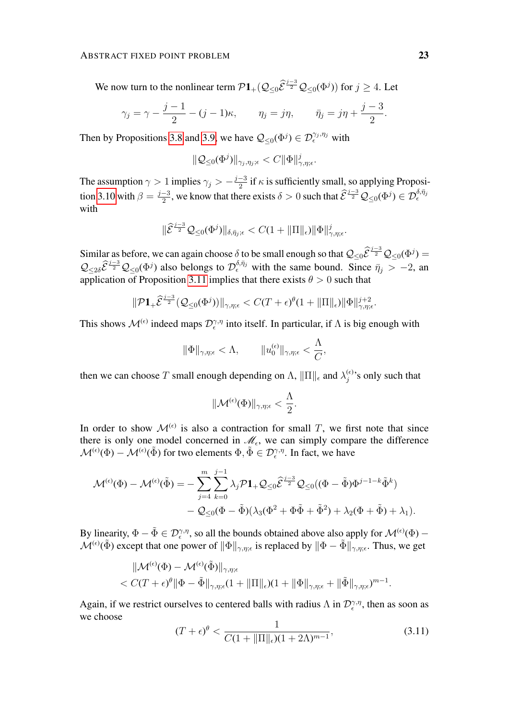We now turn to the nonlinear term  $\mathcal{P}1_+(\mathcal{Q}_{\leq 0}\hat{\mathcal{E}}^{\frac{j-3}{2}}\mathcal{Q}_{\leq 0}(\Phi^j))$  for  $j \geq 4$ . Let

$$
\gamma_j = \gamma - \frac{j-1}{2} - (j-1)\kappa, \qquad \eta_j = j\eta, \qquad \bar{\eta}_j = j\eta + \frac{j-3}{2}.
$$

Then by Propositions [3.8](#page-20-2) and [3.9,](#page-20-0) we have  $\mathcal{Q}_{\leq 0}(\Phi^j) \in \mathcal{D}_{\epsilon}^{\gamma_j, \eta_j}$  with

$$
\|\mathcal{Q}_{\leq 0}(\Phi^j)\|_{\gamma_j,\eta_j;\epsilon}
$$

The assumption  $\gamma > 1$  implies  $\gamma_j > -\frac{j-3}{2}$  $\frac{-3}{2}$  if  $\kappa$  is sufficiently small, so applying Proposi-tion [3.10](#page-20-3) with  $\beta = \frac{j-3}{2}$  $\frac{-3}{2}$ , we know that there exists  $\delta > 0$  such that  $\widehat{\mathcal{E}}^{\frac{j-3}{2}}\mathcal{Q}_{\leq 0}(\Phi^j) \in \mathcal{D}_{\epsilon}^{\delta, \bar{\eta}_j}$ with

$$
\|\widehat{\mathcal{E}}^{\frac{j-3}{2}}\mathcal{Q}_{\leq 0}(\Phi^j)\|_{\delta,\bar{\eta}_j;\epsilon} < C(1+\|\Pi\|_{\epsilon})\|\Phi\|_{\gamma,\eta;\epsilon}^j.
$$

Similar as before, we can again choose  $\delta$  to be small enough so that  $\mathcal{Q}_{\leq 0}\hat{\mathcal{E}}^{\frac{j-3}{2}}\mathcal{Q}_{\leq 0}(\Phi^j) =$  $\mathcal{Q}_{\leq 2\delta}\hat{\mathcal{E}}^{\frac{j-3}{2}}\mathcal{Q}_{\leq 0}(\Phi^j)$  also belongs to  $\mathcal{D}_{\epsilon}^{\delta,\bar{\eta}_j}$  with the same bound. Since  $\bar{\eta}_j > -2$ , and application of Proposition [3.11](#page-20-1) implies that there exists  $\theta > 0$  such that

$$
\|\mathcal{P} \mathbf{1}_{+} \widehat{\mathcal{E}}^{\frac{j-3}{2}}(\mathcal{Q}_{\leq 0}(\Phi^j))\|_{\gamma,\eta;\epsilon} < C(T+\epsilon)^{\theta} (1+\|\Pi\|_{\epsilon}) \|\Phi\|_{\gamma,\eta;\epsilon}^{j+2}
$$

This shows  $\mathcal{M}^{(\epsilon)}$  indeed maps  $\mathcal{D}_{\epsilon}^{\gamma,\eta}$  into itself. In particular, if  $\Lambda$  is big enough with

$$
\|\Phi\|_{\gamma,\eta;\epsilon} < \Lambda, \qquad \|u_0^{(\epsilon)}\|_{\gamma,\eta;\epsilon} < \frac{\Lambda}{C},
$$

then we can choose T small enough depending on  $\Lambda$ ,  $\|\Pi\|_{\epsilon}$  and  $\lambda_j^{(\epsilon)}$  $j^{(\epsilon)}$ 's only such that

$$
\|{\cal M}^{(\epsilon)}(\Phi)\|_{\gamma,\eta;\epsilon}<\frac{\Lambda}{2}.
$$

In order to show  $\mathcal{M}^{(\epsilon)}$  is also a contraction for small T, we first note that since there is only one model concerned in  $\mathcal{M}_{\epsilon}$ , we can simply compare the difference  $\mathcal{M}^{(\epsilon)}(\Phi) - \mathcal{M}^{(\epsilon)}(\tilde{\Phi})$  for two elements  $\Phi, \tilde{\Phi} \in \mathcal{D}_{\epsilon}^{\gamma,\eta}$ . In fact, we have

$$
\mathcal{M}^{(\epsilon)}(\Phi) - \mathcal{M}^{(\epsilon)}(\tilde{\Phi}) = -\sum_{j=4}^{m} \sum_{k=0}^{j-1} \lambda_j \mathcal{P} \mathbf{1}_{+} \mathcal{Q}_{\leq 0} \widehat{\mathcal{E}}^{\frac{j-3}{2}} \mathcal{Q}_{\leq 0}((\Phi - \tilde{\Phi}) \Phi^{j-1-k} \tilde{\Phi}^k) - \mathcal{Q}_{\leq 0}(\Phi - \tilde{\Phi}) (\lambda_3 (\Phi^2 + \Phi \tilde{\Phi} + \tilde{\Phi}^2) + \lambda_2 (\Phi + \tilde{\Phi}) + \lambda_1).
$$

By linearity,  $\Phi - \tilde{\Phi} \in \mathcal{D}_\epsilon^{\gamma,\eta}$ , so all the bounds obtained above also apply for  $\mathcal{M}^{(\epsilon)}(\Phi)$  –  $\mathcal{M}^{(\epsilon)}(\tilde{\Phi})$  except that one power of  $\|\Phi\|_{\gamma,\eta;\epsilon}$  is replaced by  $\|\Phi-\tilde{\Phi}\|_{\gamma,\eta;\epsilon}$ . Thus, we get

$$
\|\mathcal{M}^{(\epsilon)}(\Phi) - \mathcal{M}^{(\epsilon)}(\tilde{\Phi})\|_{\gamma,\eta;\epsilon} < C(T+\epsilon)^{\theta} \|\Phi - \tilde{\Phi}\|_{\gamma,\eta;\epsilon} (1 + \|\Pi\|_{\epsilon})(1 + \|\Phi\|_{\gamma,\eta;\epsilon} + \|\tilde{\Phi}\|_{\gamma,\eta;\epsilon})^{m-1}.
$$

Again, if we restrict ourselves to centered balls with radius  $\Lambda$  in  $\mathcal{D}_\epsilon^{\gamma,\eta}$ , then as soon as we choose

$$
(T+\epsilon)^{\theta} < \frac{1}{C(1+\|\Pi\|_{\epsilon})(1+2\Lambda)^{m-1}},\tag{3.11}
$$

.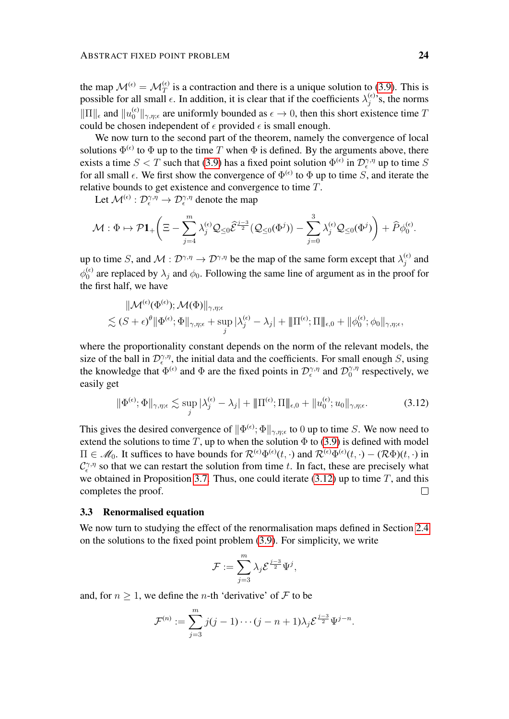the map  $\mathcal{M}^{(\epsilon)} = \mathcal{M}^{(\epsilon)}_T$  is a contraction and there is a unique solution to [\(3.9\)](#page-21-0). This is possible for all small  $\epsilon$ . In addition, it is clear that if the coefficients  $\lambda_j^{(\epsilon)}$  $j^{(\epsilon)}$ 's, the norms  $\|\Pi\|_{\epsilon}$  and  $\|u_0^{(\epsilon)}\|_{\gamma,\eta;\epsilon}$  are uniformly bounded as  $\epsilon \to 0$ , then this short existence time T could be chosen independent of  $\epsilon$  provided  $\epsilon$  is small enough.

We now turn to the second part of the theorem, namely the convergence of local solutions  $\Phi^{(\epsilon)}$  to  $\Phi$  up to the time T when  $\Phi$  is defined. By the arguments above, there exists a time  $S < T$  such that [\(3.9\)](#page-21-0) has a fixed point solution  $\Phi^{(\epsilon)}$  in  $\mathcal{D}_{\epsilon}^{\gamma,\eta}$  up to time S for all small  $\epsilon$ . We first show the convergence of  $\Phi^{(\epsilon)}$  to  $\Phi$  up to time S, and iterate the relative bounds to get existence and convergence to time T.

Let  $\mathcal{M}^{(\epsilon)}: \mathcal{D}^{\gamma,\eta}_{\epsilon} \to \mathcal{D}^{\gamma,\eta}_{\epsilon}$  denote the map

$$
\mathcal{M}:\Phi\mapsto\mathcal{P}{\bf 1}_{+}\bigg(\Xi-\sum_{j=4}^{m}\lambda_{j}^{(\epsilon)}\mathcal{Q}_{\leq0}\widehat{\mathcal{E}}^{\frac{j-3}{2}}(\mathcal{Q}_{\leq0}(\Phi^{j}))-\sum_{j=0}^{3}\lambda_{j}^{(\epsilon)}\mathcal{Q}_{\leq0}(\Phi^{j})\bigg)+\widehat{P}\phi_{0}^{(\epsilon)}.
$$

up to time S, and  $\mathcal{M}: \mathcal{D}^{\gamma,\eta} \to \mathcal{D}^{\gamma,\eta}$  be the map of the same form except that  $\lambda_j^{(\epsilon)}$  $j^{(\epsilon)}$  and  $\phi_0^{(\epsilon)}$  $\binom{6}{0}$  are replaced by  $\lambda_j$  and  $\phi_0$ . Following the same line of argument as in the proof for the first half, we have

$$
\|{\cal M}^{(\epsilon)}(\Phi^{(\epsilon)});{\cal M}(\Phi)\|_{\gamma,\eta;\epsilon}\\ \lesssim(S+\epsilon)^\theta\|\Phi^{(\epsilon)};\Phi\|_{\gamma,\eta;\epsilon}+\sup_j|\lambda_j^{(\epsilon)}-\lambda_j|+\|\Pi^{(\epsilon)};\Pi\|_{\epsilon,0}+\|\phi_0^{(\epsilon)};\phi_0\|_{\gamma,\eta;\epsilon},
$$

where the proportionality constant depends on the norm of the relevant models, the size of the ball in  $\mathcal{D}_{\epsilon}^{\gamma,\eta}$ , the initial data and the coefficients. For small enough S, using the knowledge that  $\Phi^{(\epsilon)}$  and  $\Phi$  are the fixed points in  $\mathcal{D}_{\epsilon}^{\gamma,\eta}$  and  $\mathcal{D}_{0}^{\gamma,\eta}$  $\int_0^{\gamma,\eta}$  respectively, we easily get

$$
\|\Phi^{(\epsilon)};\Phi\|_{\gamma,\eta;\epsilon} \lesssim \sup_j |\lambda_j^{(\epsilon)} - \lambda_j| + \|\Pi^{(\epsilon)};\Pi\|_{\epsilon,0} + \|u_0^{(\epsilon)};u_0\|_{\gamma,\eta;\epsilon}.
$$
 (3.12)

This gives the desired convergence of  $\|\Phi^{(\epsilon)}; \Phi\|_{\gamma, \eta; \epsilon}$  to 0 up to time S. We now need to extend the solutions to time T, up to when the solution  $\Phi$  to [\(3.9\)](#page-21-0) is defined with model  $\Pi \in \mathcal{M}_0$ . It suffices to have bounds for  $\mathcal{R}^{(\epsilon)}\Phi^{(\epsilon)}(t,\cdot)$  and  $\mathcal{R}^{(\epsilon)}\Phi^{(\epsilon)}(t,\cdot) - (\mathcal{R}\Phi)(t,\cdot)$  in  $C_{\epsilon}^{\gamma,\eta}$  so that we can restart the solution from time t. In fact, these are precisely what we obtained in Proposition [3.7.](#page-18-1) Thus, one could iterate  $(3.12)$  up to time T, and this completes the proof.  $\Box$ 

#### 3.3 Renormalised equation

We now turn to studying the effect of the renormalisation maps defined in Section [2.4](#page-11-1) on the solutions to the fixed point problem [\(3.9\)](#page-21-0). For simplicity, we write

<span id="page-23-0"></span>
$$
\mathcal{F}:=\sum_{j=3}^m\lambda_j\mathcal{E}^{\frac{j-3}{2}}\Psi^j,
$$

and, for  $n \geq 1$ , we define the *n*-th 'derivative' of F to be

$$
\mathcal{F}^{(n)} := \sum_{j=3}^m j(j-1)\cdots(j-n+1)\lambda_j \mathcal{E}^{\frac{j-3}{2}} \Psi^{j-n}.
$$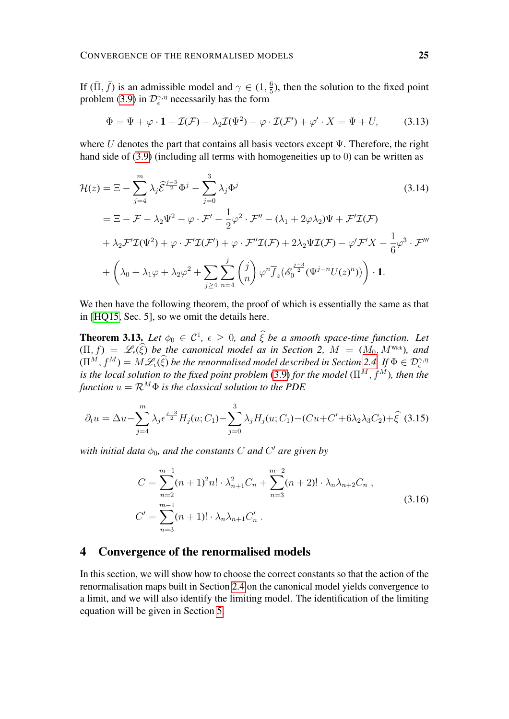If  $(\bar{\Pi}, \bar{f})$  is an admissible model and  $\gamma \in (1, \frac{6}{5})$  $\frac{6}{5}$ ), then the solution to the fixed point problem [\(3.9\)](#page-21-0) in  $\mathcal{D}_{\epsilon}^{\gamma,\eta}$  necessarily has the form

<span id="page-24-2"></span>
$$
\Phi = \Psi + \varphi \cdot \mathbf{1} - \mathcal{I}(\mathcal{F}) - \lambda_2 \mathcal{I}(\Psi^2) - \varphi \cdot \mathcal{I}(\mathcal{F}') + \varphi' \cdot X = \Psi + U,\tag{3.13}
$$

where U denotes the part that contains all basis vectors except  $\Psi$ . Therefore, the right hand side of [\(3.9\)](#page-21-0) (including all terms with homogeneities up to 0) can be written as

$$
\mathcal{H}(z) = \Xi - \sum_{j=4}^{m} \lambda_j \hat{\mathcal{E}}^{\frac{j-3}{2}} \Phi^j - \sum_{j=0}^{3} \lambda_j \Phi^j
$$
\n
$$
= \Xi - \mathcal{F} - \lambda_2 \Psi^2 - \varphi \cdot \mathcal{F}' - \frac{1}{2} \varphi^2 \cdot \mathcal{F}'' - (\lambda_1 + 2\varphi \lambda_2) \Psi + \mathcal{F}' \mathcal{I}(\mathcal{F})
$$
\n
$$
+ \lambda_2 \mathcal{F}' \mathcal{I}(\Psi^2) + \varphi \cdot \mathcal{F}' \mathcal{I}(\mathcal{F}') + \varphi \cdot \mathcal{F}'' \mathcal{I}(\mathcal{F}) + 2\lambda_2 \Psi \mathcal{I}(\mathcal{F}) - \varphi' \mathcal{F}' X - \frac{1}{6} \varphi^3 \cdot \mathcal{F}'''
$$
\n
$$
+ \left( \lambda_0 + \lambda_1 \varphi + \lambda_2 \varphi^2 + \sum_{j \ge 4} \sum_{n=4}^{j} \binom{j}{n} \varphi^n \overline{f}_z \big( \mathcal{E}_0^{\frac{j-3}{2}} (\Psi^{j-n} U(z)^n) \big) \right) \cdot \mathbf{1}.
$$
\n(3.14)

We then have the following theorem, the proof of which is essentially the same as that in [\[HQ15,](#page-50-10) Sec. 5], so we omit the details here.

**Theorem 3.13.** Let  $\phi_0 \in C^1$ ,  $\epsilon \geq 0$ , and  $\hat{\xi}$  be a smooth space-time function. Let  $(\Pi, f) = \mathscr{L}_{\epsilon}(\widehat{\xi})$  *be the canonical model as in Section 2,*  $M = (M_0, M^{\text{Wick}})$ *, and*  $(\Pi^M, f^M) = M \mathscr{L}_{\epsilon}(\xi)$  *be the renormalised model described in Section [2.4.](#page-11-1) If*  $\Phi \in \mathcal{D}_{\epsilon}^{\gamma, \eta}$ *is the local solution to the fixed point problem* [\(3.9\)](#page-21-0) *for the model* ( $\Pi^M$ ,  $f^{\tilde{M}}$ ), *then the function*  $u = \mathcal{R}^M \Phi$  *is the classical solution to the PDE* 

$$
\partial_t u = \Delta u - \sum_{j=4}^m \lambda_j \epsilon^{\frac{j-3}{2}} H_j(u; C_1) - \sum_{j=0}^3 \lambda_j H_j(u; C_1) - (Cu + C' + 6\lambda_2 \lambda_3 C_2) + \hat{\xi}
$$
(3.15)

with initial data  $\phi_0$ , and the constants  $C$  and  $C'$  are given by

<span id="page-24-1"></span>
$$
C = \sum_{n=2}^{m-1} (n+1)^2 n! \cdot \lambda_{n+1}^2 C_n + \sum_{n=3}^{m-2} (n+2)! \cdot \lambda_n \lambda_{n+2} C_n ,
$$
  
\n
$$
C' = \sum_{n=3}^{m-1} (n+1)! \cdot \lambda_n \lambda_{n+1} C'_n .
$$
\n(3.16)

# <span id="page-24-0"></span>4 Convergence of the renormalised models

In this section, we will show how to choose the correct constants so that the action of the renormalisation maps built in Section [2.4](#page-11-1) on the canonical model yields convergence to a limit, and we will also identify the limiting model. The identification of the limiting equation will be given in Section [5.](#page-38-0)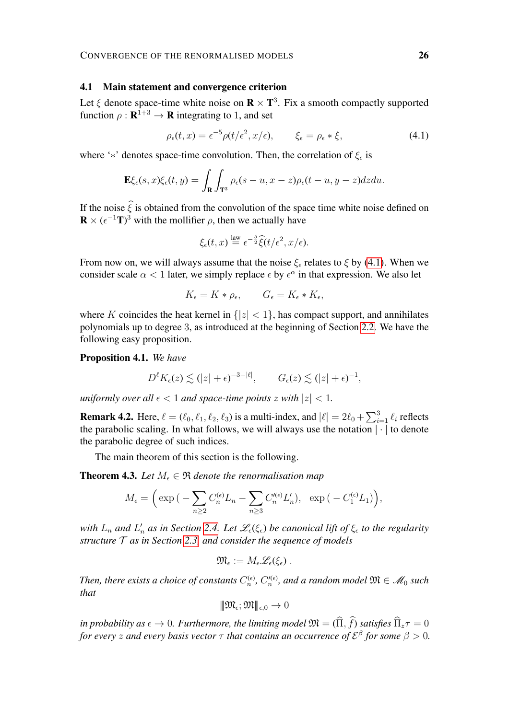#### 4.1 Main statement and convergence criterion

Let  $\xi$  denote space-time white noise on  $\mathbf{R} \times \mathbf{T}^3$ . Fix a smooth compactly supported function  $\rho : \mathbf{R}^{1+3} \to \mathbf{R}$  integrating to 1, and set

<span id="page-25-0"></span>
$$
\rho_{\epsilon}(t,x) = \epsilon^{-5} \rho(t/\epsilon^2, x/\epsilon), \qquad \xi_{\epsilon} = \rho_{\epsilon} * \xi,
$$
\n(4.1)

where '\*' denotes space-time convolution. Then, the correlation of  $\xi_{\epsilon}$  is

$$
\mathbf{E}\xi_{\epsilon}(s,x)\xi_{\epsilon}(t,y)=\int_{\mathbf{R}}\int_{\mathbf{T}^3}\rho_{\epsilon}(s-u,x-z)\rho_{\epsilon}(t-u,y-z)dzdu.
$$

If the noise  $\hat{\xi}$  is obtained from the convolution of the space time white noise defined on  $\mathbf{R} \times (\epsilon^{-1} \mathbf{T})^3$  with the mollifier  $\rho$ , then we actually have

$$
\xi_{\epsilon}(t,x) \stackrel{\text{law}}{=} \epsilon^{-\frac{5}{2}} \widehat{\xi}(t/\epsilon^2, x/\epsilon).
$$

From now on, we will always assume that the noise  $\xi_{\epsilon}$  relates to  $\xi$  by [\(4.1\)](#page-25-0). When we consider scale  $\alpha < 1$  later, we simply replace  $\epsilon$  by  $\epsilon^{\alpha}$  in that expression. We also let

$$
K_{\epsilon} = K * \rho_{\epsilon}, \qquad G_{\epsilon} = K_{\epsilon} * K_{\epsilon},
$$

where K coincides the heat kernel in  $\{|z| < 1\}$ , has compact support, and annihilates polynomials up to degree 3, as introduced at the beginning of Section [2.2.](#page-9-0) We have the following easy proposition.

<span id="page-25-2"></span>Proposition 4.1. *We have*

$$
D^{\ell}K_{\epsilon}(z) \lesssim (|z| + \epsilon)^{-3-|\ell|}, \qquad G_{\epsilon}(z) \lesssim (|z| + \epsilon)^{-1},
$$

*uniformly over all*  $\epsilon$  < 1 *and space-time points* z *with*  $|z|$  < 1*.* 

**Remark 4.2.** Here,  $\ell = (\ell_0, \ell_1, \ell_2, \ell_3)$  is a multi-index, and  $|\ell| = 2\ell_0 + \sum_{i=1}^3 \ell_i$  reflects the parabolic scaling. In what follows, we will always use the notation  $\left| \cdot \right|$  to denote the parabolic degree of such indices.

The main theorem of this section is the following.

<span id="page-25-1"></span>**Theorem 4.3.** *Let*  $M_{\epsilon} \in \Re$  *denote the renormalisation map* 

$$
M_{\epsilon} = \left(\exp\left(-\sum_{n\geq 2} C_n^{(\epsilon)} L_n - \sum_{n\geq 3} C_n'^{(\epsilon)} L_n'\right), \exp\left(-C_1^{(\epsilon)} L_1\right)\right),\,
$$

with  $L_n$  and  $L'_n$  as in Section [2.4.](#page-11-1) Let  $\mathscr{L}_\epsilon(\xi_\epsilon)$  be canonical lift of  $\xi_\epsilon$  to the regularity *structure* T *as in Section [2.3,](#page-11-2) and consider the sequence of models*

$$
\mathfrak{M}_{\epsilon}:=M_{\epsilon}\mathscr{L}_{\epsilon}(\xi_{\epsilon})\ .
$$

Then, there exists a choice of constants  $C_n^{(\epsilon)}$ ,  $C_n''^{(\epsilon)}$ , and a random model  $\mathfrak{M} \in \mathscr{M}_0$  such *that*

$$
\|\mathfrak{M}_{\epsilon};\mathfrak{M}\|_{\epsilon,0}\to 0
$$

*in probability as*  $\epsilon \to 0$ *. Furthermore, the limiting model*  $\mathfrak{M} = (\widehat{\Pi}, \widehat{f})$  *satisfies*  $\widehat{\Pi}_z \tau = 0$ *for every*  $z$  *and every basis vector*  $\tau$  *that contains an occurrence of*  $\mathcal{E}^{\beta}$  *for some*  $\beta > 0$ .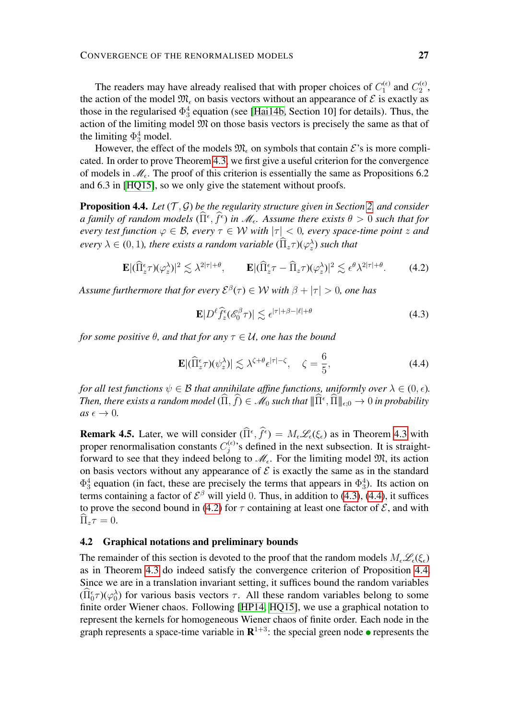The readers may have already realised that with proper choices of  $C_1^{(\epsilon)}$  $C_1^{(\epsilon)}$  and  $C_2^{(\epsilon)}$  $\frac{1}{2}$ the action of the model  $\mathfrak{M}_{\epsilon}$  on basis vectors without an appearance of  $\mathcal{E}$  is exactly as those in the regularised  $\Phi_3^4$  equation (see [\[Hai14b,](#page-50-0) Section 10] for details). Thus, the action of the limiting model M on those basis vectors is precisely the same as that of the limiting  $\Phi_3^4$  model.

However, the effect of the models  $\mathfrak{M}_{\epsilon}$  on symbols that contain  $\mathcal{E}$ 's is more complicated. In order to prove Theorem [4.3,](#page-25-1) we first give a useful criterion for the convergence of models in  $\mathcal{M}_{\epsilon}$ . The proof of this criterion is essentially the same as Propositions 6.2 and 6.3 in [\[HQ15\]](#page-50-10), so we only give the statement without proofs.

<span id="page-26-3"></span>**Proposition 4.4.** *Let*  $(T, \mathcal{G})$  *be the regularity structure given in Section [2,](#page-8-0) and consider a family of random models*  $(\widehat{\Pi}^{\epsilon}, \widehat{f}^{\epsilon})$  *in*  $\mathcal{M}_{\epsilon}$ . Assume there exists  $\theta > 0$  such that for *every test function*  $\varphi \in \mathcal{B}$ *, every*  $\tau \in \mathcal{W}$  *with*  $|\tau| < 0$ *, every space-time point* z and  $every \lambda \in (0,1)$ , there exists a random variable  $(\hat{\Pi}_z \tau)(\varphi_z^{\lambda})$  such that

$$
\mathbf{E} |(\widehat{\Pi}_{z}^{\epsilon} \tau)(\varphi_{z}^{\lambda})|^{2} \lesssim \lambda^{2|\tau|+\theta}, \qquad \mathbf{E} |(\widehat{\Pi}_{z}^{\epsilon} \tau - \widehat{\Pi}_{z} \tau)(\varphi_{z}^{\lambda})|^{2} \lesssim \epsilon^{\theta} \lambda^{2|\tau|+\theta}. \tag{4.2}
$$

Assume furthermore that for every  $\mathcal{E}^{\beta}(\tau)\in\mathcal{W}$  with  $\beta+|\tau|>0,$  one has

<span id="page-26-2"></span><span id="page-26-1"></span><span id="page-26-0"></span>
$$
\mathbf{E}|D^{\ell}\hat{f}_z^{\epsilon}(\mathscr{E}_0^{\beta}\tau)| \lesssim \epsilon^{|\tau|+\beta-|\ell|+\theta} \tag{4.3}
$$

*for some positive*  $\theta$ *, and that for any*  $\tau \in \mathcal{U}$ *, one has the bound* 

$$
\mathbf{E} |(\widehat{\Pi}_{z}^{\epsilon} \tau)(\psi_{z}^{\lambda})| \lesssim \lambda^{\zeta + \theta} \epsilon^{|\tau| - \zeta}, \quad \zeta = \frac{6}{5}, \tag{4.4}
$$

*for all test functions*  $\psi \in \mathcal{B}$  *that annihilate affine functions, uniformly over*  $\lambda \in (0, \epsilon)$ *. Then, there exists a random model*  $(\widehat{\Pi}, \widehat{f}) \in \mathscr{M}_0$  such that  $\|\widehat{\Pi}^{\epsilon}, \widehat{\Pi}\|_{\epsilon;0} \to 0$  in probability  $as \epsilon \rightarrow 0$ .

**Remark 4.5.** Later, we will consider  $(\hat{\Pi}^{\epsilon}, \hat{f}^{\epsilon}) = M_{\epsilon} \mathcal{L}_{\epsilon}(\xi_{\epsilon})$  as in Theorem [4.3](#page-25-1) with proper renormalisation constants  $C_i^{(\epsilon)}$  $j^{(ε)}$ 's defined in the next subsection. It is straightforward to see that they indeed belong to  $\mathcal{M}_{\epsilon}$ . For the limiting model  $\mathfrak{M}$ , its action on basis vectors without any appearance of  $\mathcal E$  is exactly the same as in the standard  $\Phi_3^4$  equation (in fact, these are precisely the terms that appears in  $\Phi_3^4$ ). Its action on terms containing a factor of  $\mathcal{E}^{\beta}$  will yield 0. Thus, in addition to [\(4.3\)](#page-26-0), [\(4.4\)](#page-26-1), it suffices to prove the second bound in [\(4.2\)](#page-26-2) for  $\tau$  containing at least one factor of  $\mathcal{E}$ , and with  $\Pi_z \tau = 0.$ 

#### 4.2 Graphical notations and preliminary bounds

The remainder of this section is devoted to the proof that the random models  $M_{\epsilon} \mathscr{L}_{\epsilon}(\xi)$ as in Theorem [4.3](#page-25-1) do indeed satisfy the convergence criterion of Proposition [4.4.](#page-26-3) Since we are in a translation invariant setting, it suffices bound the random variables  $(\hat{\Pi}_{0}^{\epsilon}\tau)(\varphi_{0}^{\lambda})$  for various basis vectors  $\tau$ . All these random variables belong to some finite order Wiener chaos. Following [\[HP14,](#page-50-14) [HQ15\]](#page-50-10), we use a graphical notation to represent the kernels for homogeneous Wiener chaos of finite order. Each node in the graph represents a space-time variable in  $\mathbb{R}^{1+3}$ : the special green node  $\bullet$  represents the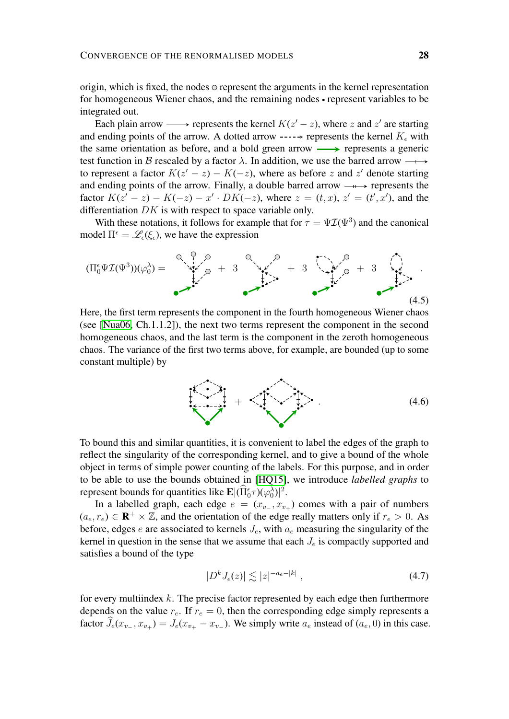origin, which is fixed, the nodes  $\circ$  represent the arguments in the kernel representation for homogeneous Wiener chaos, and the remaining nodes • represent variables to be integrated out.

Each plain arrow  $\longrightarrow$  represents the kernel  $K(z'-z)$ , where z and z' are starting and ending points of the arrow. A dotted arrow -----> represents the kernel  $K_{\epsilon}$  with the same orientation as before, and a bold green arrow  $\longrightarrow$  represents a generic test function in B rescaled by a factor  $\lambda$ . In addition, we use the barred arrow  $\longrightarrow$ to represent a factor  $K(z'-z) - K(-z)$ , where as before z and z' denote starting and ending points of the arrow. Finally, a double barred arrow  $-\rightarrow$  represents the factor  $K(z'-z) - K(-z) - x' \cdot DK(-z)$ , where  $z = (t, x)$ ,  $z' = (t', x')$ , and the differentiation  $DK$  is with respect to space variable only.

With these notations, it follows for example that for  $\tau = \Psi \mathcal{I}(\Psi^3)$  and the canonical model  $\Pi^{\epsilon} = \mathscr{L}_{\epsilon}(\xi_{\epsilon})$ , we have the expression



Here, the first term represents the component in the fourth homogeneous Wiener chaos (see [\[Nua06,](#page-50-15) Ch.1.1.2]), the next two terms represent the component in the second homogeneous chaos, and the last term is the component in the zeroth homogeneous chaos. The variance of the first two terms above, for example, are bounded (up to some constant multiple) by

<span id="page-27-2"></span><span id="page-27-1"></span> $+$   $\leq t$ ,  $\leq t$ ,  $\leq t$ ,  $\leq t$ ,  $\leq t$ ,  $\leq t$ ,  $\leq t$ ,  $\leq t$ ,  $\leq t$ ,  $\leq t$ ,  $\leq t$ ,  $\leq t$ ,  $\leq t$ ,  $\leq t$ ,  $\leq t$ ,  $\leq t$ ,  $\leq t$ ,  $\leq t$ ,  $\leq t$ ,  $\leq t$ ,  $\leq t$ ,  $\leq t$ ,  $\leq t$ ,  $\leq t$ ,  $\leq t$ ,  $\leq t$ ,  $\leq t$ ,

To bound this and similar quantities, it is convenient to label the edges of the graph to reflect the singularity of the corresponding kernel, and to give a bound of the whole object in terms of simple power counting of the labels. For this purpose, and in order to be able to use the bounds obtained in [\[HQ15\]](#page-50-10), we introduce *labelled graphs* to represent bounds for quantities like  $\mathbf{E} |(\hat{\Pi}_{0}^{\epsilon}\tau)(\varphi_{0}^{\lambda})|^{2}$ .

In a labelled graph, each edge  $e = (x_{v-}, x_{v+})$  comes with a pair of numbers  $(a_e, r_e) \in \mathbf{R}^+ \times \mathbb{Z}$ , and the orientation of the edge really matters only if  $r_e > 0$ . As before, edges e are associated to kernels  $J_e$ , with  $a_e$  measuring the singularity of the kernel in question in the sense that we assume that each  $J_e$  is compactly supported and satisfies a bound of the type

<span id="page-27-0"></span>
$$
|D^k J_e(z)| \lesssim |z|^{-a_e - |k|} \,, \tag{4.7}
$$

for every multiindex  $k$ . The precise factor represented by each edge then furthermore depends on the value  $r_e$ . If  $r_e = 0$ , then the corresponding edge simply represents a factor  $J_e(x_{v-}, x_{v+}) = J_e(x_{v+} - x_{v-})$ . We simply write  $a_e$  instead of  $(a_e, 0)$  in this case.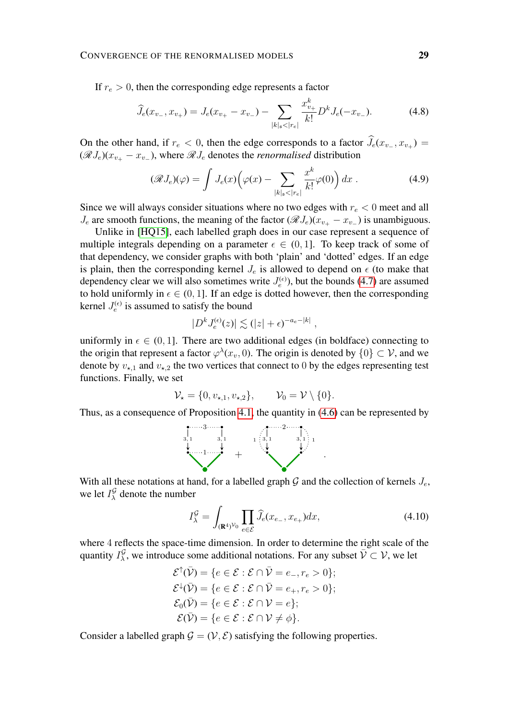If  $r_e > 0$ , then the corresponding edge represents a factor

<span id="page-28-1"></span>
$$
\widehat{J}_e(x_{v_-}, x_{v_+}) = J_e(x_{v_+} - x_{v_-}) - \sum_{|k|_{\mathfrak{s}} < |r_e|} \frac{x_{v_+}^k}{k!} D^k J_e(-x_{v_-}).\tag{4.8}
$$

On the other hand, if  $r_e < 0$ , then the edge corresponds to a factor  $J_e(x_{v-}, x_{v+}) =$  $(\mathscr{R}J_e)(x_{v+} - x_{v-})$ , where  $\mathscr{R}J_e$  denotes the *renormalised* distribution

<span id="page-28-2"></span>
$$
(\mathscr{R}J_e)(\varphi) = \int J_e(x) \Big(\varphi(x) - \sum_{|k|_\mathfrak{s} < |r_e|} \frac{x^k}{k!} \varphi(0)\Big) \, dx \; . \tag{4.9}
$$

Since we will always consider situations where no two edges with  $r_e < 0$  meet and all  $J_e$  are smooth functions, the meaning of the factor ( $\mathscr{R}J_e$ )( $x_{v_+} - x_{v_-}$ ) is unambiguous.

Unlike in [\[HQ15\]](#page-50-10), each labelled graph does in our case represent a sequence of multiple integrals depending on a parameter  $\epsilon \in (0, 1]$ . To keep track of some of that dependency, we consider graphs with both 'plain' and 'dotted' edges. If an edge is plain, then the corresponding kernel  $J_e$  is allowed to depend on  $\epsilon$  (to make that dependency clear we will also sometimes write  $J_e^{(\epsilon)}$ , but the bounds [\(4.7\)](#page-27-0) are assumed to hold uniformly in  $\epsilon \in (0, 1]$ . If an edge is dotted however, then the corresponding kernel  $J_e^{(\epsilon)}$  is assumed to satisfy the bound

$$
|D^k J_e^{(\epsilon)}(z)| \lesssim (|z| + \epsilon)^{-a_e - |k|},
$$

uniformly in  $\epsilon \in (0, 1]$ . There are two additional edges (in boldface) connecting to the origin that represent a factor  $\varphi^{\lambda}(x_v, 0)$ . The origin is denoted by  $\{0\} \subset \mathcal{V}$ , and we denote by  $v_{\star,1}$  and  $v_{\star,2}$  the two vertices that connect to 0 by the edges representing test functions. Finally, we set

$$
\mathcal{V}_{\star} = \{0, v_{\star,1}, v_{\star,2}\}, \qquad \mathcal{V}_{0} = \mathcal{V} \setminus \{0\}.
$$

Thus, as a consequence of Proposition [4.1,](#page-25-2) the quantity in [\(4.6\)](#page-27-1) can be represented by



With all these notations at hand, for a labelled graph  $G$  and the collection of kernels  $J_e$ , we let  $I_{\lambda}^{\mathcal{G}}$  $\frac{Q}{\lambda}$  denote the number

<span id="page-28-3"></span>
$$
I_{\lambda}^{\mathcal{G}} = \int_{(\mathbf{R}^4)^{\mathcal{V}_0}} \prod_{e \in \mathcal{E}} \widehat{J}_e(x_{e_-}, x_{e_+}) dx, \tag{4.10}
$$

where 4 reflects the space-time dimension. In order to determine the right scale of the quantity  $I_\lambda^{\mathcal{G}}$  $\overline{\mathcal{L}}$ , we introduce some additional notations. For any subset  $\overline{\mathcal{V}} \subset \mathcal{V}$ , we let

$$
\mathcal{E}^{\uparrow}(\bar{\mathcal{V}}) = \{ e \in \mathcal{E} : \mathcal{E} \cap \bar{\mathcal{V}} = e_-, r_e > 0 \};
$$
  

$$
\mathcal{E}^{\downarrow}(\bar{\mathcal{V}}) = \{ e \in \mathcal{E} : \mathcal{E} \cap \bar{\mathcal{V}} = e_+, r_e > 0 \};
$$
  

$$
\mathcal{E}_0(\bar{\mathcal{V}}) = \{ e \in \mathcal{E} : \mathcal{E} \cap \mathcal{V} = e \};
$$
  

$$
\mathcal{E}(\bar{\mathcal{V}}) = \{ e \in \mathcal{E} : \mathcal{E} \cap \mathcal{V} \neq \phi \}.
$$

<span id="page-28-0"></span>Consider a labelled graph  $\mathcal{G} = (\mathcal{V}, \mathcal{E})$  satisfying the following properties.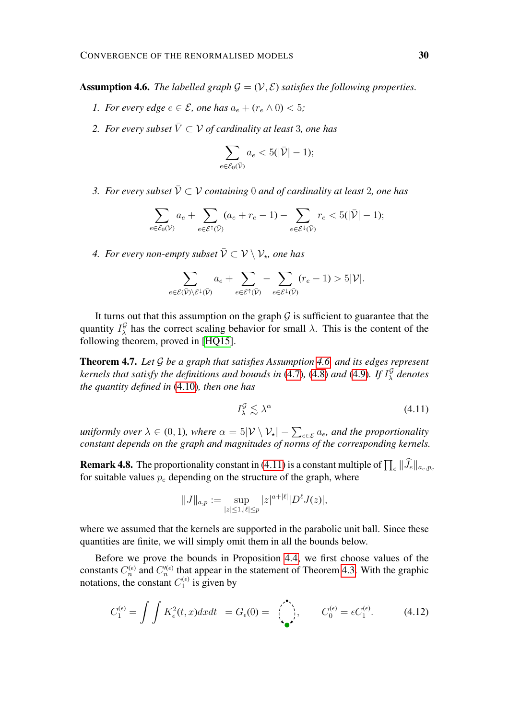**Assumption 4.6.** *The labelled graph*  $\mathcal{G} = (\mathcal{V}, \mathcal{E})$  *satisfies the following properties.* 

- *1. For every edge*  $e \in \mathcal{E}$ , one has  $a_e + (r_e \wedge 0) < 5$ ;
- *2. For every subset*  $\overline{V} \subset V$  *of cardinality at least* 3*, one has*

$$
\sum_{e \in \mathcal{E}_0(\bar{\mathcal{V}})} a_e < 5(|\bar{\mathcal{V}}| - 1);
$$

*3. For every subset*  $\bar{V} \subset V$  containing 0 and of cardinality at least 2, one has

$$
\sum_{e \in \mathcal{E}_0(\mathcal{V})} a_e + \sum_{e \in \mathcal{E}^\dagger(\bar{\mathcal{V}})} (a_e + r_e - 1) - \sum_{e \in \mathcal{E}^\dagger(\bar{\mathcal{V}})} r_e < 5(|\bar{\mathcal{V}}| - 1);
$$

4. For every non-empty subset  $\bar{\mathcal{V}} \subset \mathcal{V} \setminus \mathcal{V}_{\star}$ , one has

$$
\sum_{e \in \mathcal{E}(\bar{\mathcal{V}}) \setminus \mathcal{E}^{\downarrow}(\bar{\mathcal{V}})} a_e + \sum_{e \in \mathcal{E}^{\uparrow}(\bar{\mathcal{V}})} - \sum_{e \in \mathcal{E}^{\downarrow}(\bar{\mathcal{V}})} (r_e - 1) > 5|\mathcal{V}|.
$$

It turns out that this assumption on the graph  $G$  is sufficient to guarantee that the quantity  $I_\lambda^{\mathcal{G}}$  $\frac{G}{\lambda}$  has the correct scaling behavior for small  $\lambda$ . This is the content of the following theorem, proved in [\[HQ15\]](#page-50-10).

Theorem 4.7. *Let* G *be a graph that satisfies Assumption [4.6,](#page-28-0) and its edges represent kernels that satisfy the definitions and bounds in* [\(4.7\)](#page-27-0)*,* [\(4.8\)](#page-28-1) *and* [\(4.9\)](#page-28-2)*. If* I G λ *denotes the quantity defined in* [\(4.10\)](#page-28-3)*, then one has*

<span id="page-29-0"></span>
$$
I^{\mathcal{G}}_{\lambda} \lesssim \lambda^{\alpha} \tag{4.11}
$$

*uniformly over*  $\lambda \in (0,1)$ , where  $\alpha = 5|\mathcal{V} \setminus \mathcal{V}_\star| - \sum_{e \in \mathcal{E}} a_e$ , and the proportionality *constant depends on the graph and magnitudes of norms of the corresponding kernels.*

**Remark 4.8.** The proportionality constant in [\(4.11\)](#page-29-0) is a constant multiple of  $\prod_e ||J_e||_{a_e, p_e}$ for suitable values  $p_e$  depending on the structure of the graph, where

<span id="page-29-1"></span>
$$
||J||_{a,p} := \sup_{|z| \le 1, |\ell| \le p} |z|^{a+|\ell|} |D^{\ell} J(z)|,
$$

where we assumed that the kernels are supported in the parabolic unit ball. Since these quantities are finite, we will simply omit them in all the bounds below.

Before we prove the bounds in Proposition [4.4,](#page-26-3) we first choose values of the constants  $C_n^{(\epsilon)}$  and  $C_n''^{(\epsilon)}$  that appear in the statement of Theorem [4.3.](#page-25-1) With the graphic notations, the constant  $C_1^{(\epsilon)}$  $j_1^{(\epsilon)}$  is given by

$$
C_1^{(\epsilon)} = \int \int K_\epsilon^2(t, x) dx dt = G_\epsilon(0) = \left(\sum_{\bullet}^{\bullet} \right), \qquad C_0^{(\epsilon)} = \epsilon C_1^{(\epsilon)}.
$$
 (4.12)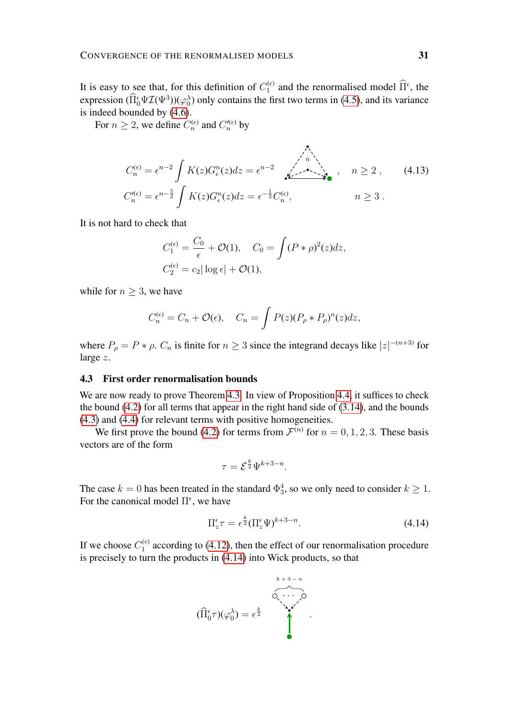It is easy to see that, for this definition of  $C_1^{(\epsilon)}$  $\hat{\Pi}^{\epsilon}$  and the renormalised model  $\hat{\Pi}^{\epsilon}$ , the expression  $(\Pi_0^{\epsilon} \Psi \mathcal{I}(\Psi^3))(\varphi_0^{\lambda})$  only contains the first two terms in [\(4.5\)](#page-27-2), and its variance

is indeed bounded by [\(4.6\)](#page-27-1). For  $n \geq 2$ , we define  $C_n^{(\epsilon)}$  and  $C_n''^{(\epsilon)}$  by

$$
C_n^{(\epsilon)} = \epsilon^{n-2} \int K(z) G_{\epsilon}^n(z) dz = \epsilon^{n-2} \sum_{k=-\infty}^{\infty} n \ge 2 , \qquad (4.13)
$$
  
\n
$$
C_n^{\prime(\epsilon)} = \epsilon^{n-\frac{5}{2}} \int K(z) G_{\epsilon}^n(z) dz = \epsilon^{-\frac{1}{2}} C_n^{(\epsilon)}, \qquad n \ge 3 .
$$

It is not hard to check that

<span id="page-30-1"></span>
$$
C_1^{(\epsilon)} = \frac{C_0}{\epsilon} + \mathcal{O}(1), \quad C_0 = \int (P * \rho)^2(z) dz,
$$
  

$$
C_2^{(\epsilon)} = c_2 |\log \epsilon| + \mathcal{O}(1),
$$

while for  $n \geq 3$ , we have

$$
C_n^{(\epsilon)} = C_n + \mathcal{O}(\epsilon), \quad C_n = \int P(z)(P_\rho * P_\rho)^n(z)dz,
$$

where  $P_{\rho} = P * \rho$ .  $C_n$  is finite for  $n \geq 3$  since the integrand decays like  $|z|^{-(n+3)}$  for large z.

### 4.3 First order renormalisation bounds

We are now ready to prove Theorem [4.3.](#page-25-1) In view of Proposition [4.4,](#page-26-3) it suffices to check the bound [\(4.2\)](#page-26-2) for all terms that appear in the right hand side of [\(3.14\)](#page-24-2), and the bounds [\(4.3\)](#page-26-0) and [\(4.4\)](#page-26-1) for relevant terms with positive homogeneities.

We first prove the bound [\(4.2\)](#page-26-2) for terms from  $\mathcal{F}^{(n)}$  for  $n = 0, 1, 2, 3$ . These basis vectors are of the form

<span id="page-30-0"></span>
$$
\tau = \mathcal{E}^{\frac{k}{2}} \Psi^{k+3-n}.
$$

The case  $k = 0$  has been treated in the standard  $\Phi_3^4$ , so we only need to consider  $k \geq 1$ . For the canonical model  $\Pi^{\epsilon}$ , we have

$$
\Pi_z^{\epsilon} \tau = \epsilon^{\frac{k}{2}} (\Pi_z^{\epsilon} \Psi)^{k+3-n}.
$$
\n(4.14)

If we choose  $C_1^{(\epsilon)}$  $1<sup>(c)</sup>$  according to [\(4.12\)](#page-29-1), then the effect of our renormalisation procedure is precisely to turn the products in [\(4.14\)](#page-30-0) into Wick products, so that

$$
(\widehat{\Pi}_{0}^{\epsilon}\tau)(\varphi_{0}^{\lambda})=\epsilon^{\frac{k}{2}}\qquad \qquad \bullet \qquad \qquad \bullet
$$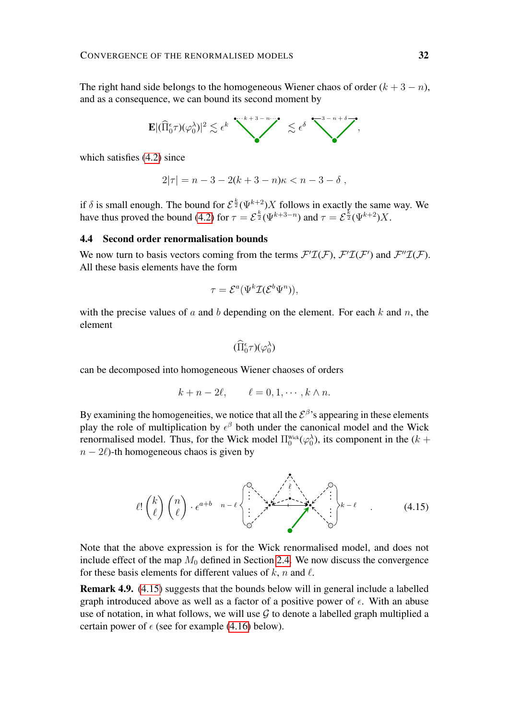The right hand side belongs to the homogeneous Wiener chaos of order  $(k + 3 - n)$ , and as a consequence, we can bound its second moment by

$$
\mathbf{E} |(\widehat{\Pi}_{0}^{\epsilon} \tau)(\varphi_{0}^{\lambda})|^{2} \lesssim \epsilon^{k} \sum_{k=1}^{\infty} \epsilon^{k+3-n} \lesssim \epsilon^{\delta} \sum_{k=1}^{\infty} \epsilon^{k+1}.
$$

which satisfies [\(4.2\)](#page-26-2) since

$$
2|\tau| = n - 3 - 2(k + 3 - n)\kappa < n - 3 - \delta \;,
$$

if  $\delta$  is small enough. The bound for  $\mathcal{E}^{\frac{k}{2}}(\Psi^{k+2})X$  follows in exactly the same way. We have thus proved the bound [\(4.2\)](#page-26-2) for  $\tau = \mathcal{E}^{\frac{k}{2}}(\Psi^{k+3-n})$  and  $\tau = \mathcal{E}^{\frac{k}{2}}(\Psi^{k+2})X$ .

### 4.4 Second order renormalisation bounds

We now turn to basis vectors coming from the terms  $\mathcal{F}'\mathcal{I}(\mathcal{F})$ ,  $\mathcal{F}'\mathcal{I}(\mathcal{F}')$  and  $\mathcal{F}''\mathcal{I}(\mathcal{F})$ . All these basis elements have the form

$$
\tau = \mathcal{E}^a(\Psi^k \mathcal{I}(\mathcal{E}^b \Psi^n)),
$$

with the precise values of a and b depending on the element. For each  $k$  and  $n$ , the element

$$
(\widehat{\Pi}_0^{\epsilon}\tau)(\varphi_0^{\lambda})
$$

can be decomposed into homogeneous Wiener chaoses of orders

<span id="page-31-0"></span>
$$
k + n - 2\ell, \qquad \ell = 0, 1, \cdots, k \wedge n.
$$

By examining the homogeneities, we notice that all the  $\mathcal{E}^{\beta}$ 's appearing in these elements play the role of multiplication by  $\epsilon^{\beta}$  both under the canonical model and the Wick renormalised model. Thus, for the Wick model  $\Pi_0^{\text{Wick}}(\varphi_0^{\lambda})$ , its component in the  $(k +$  $n - 2\ell$ )-th homogeneous chaos is given by

$$
\ell! \binom{k}{\ell} \binom{n}{\ell} \cdot \epsilon^{a+b} \left\{ \begin{matrix} 0 & \cdots & 0 \\ \vdots & \ddots & \vdots \\ 0 & \cdots & \ddots & \vdots \end{matrix} \right\}_{k-\ell} \tag{4.15}
$$

Note that the above expression is for the Wick renormalised model, and does not include effect of the map  $M_0$  defined in Section [2.4.](#page-11-1) We now discuss the convergence for these basis elements for different values of  $k$ , n and  $\ell$ .

Remark 4.9. [\(4.15\)](#page-31-0) suggests that the bounds below will in general include a labelled graph introduced above as well as a factor of a positive power of  $\epsilon$ . With an abuse use of notation, in what follows, we will use  $G$  to denote a labelled graph multiplied a certain power of  $\epsilon$  (see for example [\(4.16\)](#page-32-0) below).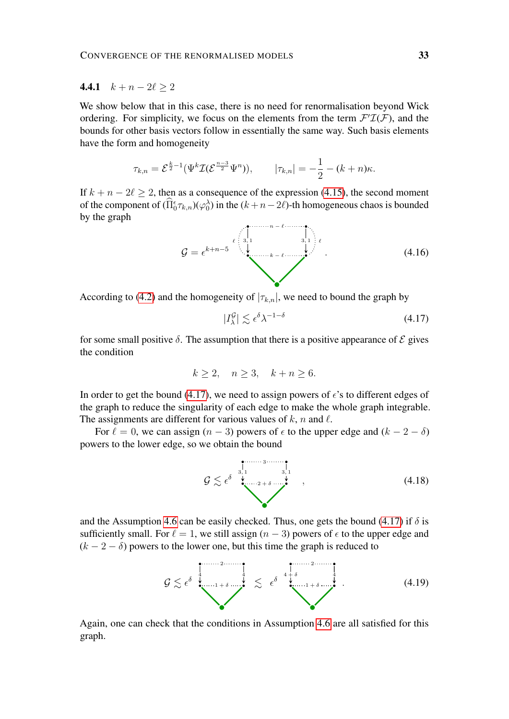# 4.4.1  $k + n - 2\ell \geq 2$

We show below that in this case, there is no need for renormalisation beyond Wick ordering. For simplicity, we focus on the elements from the term  $\mathcal{F}'\mathcal{I}(\mathcal{F})$ , and the bounds for other basis vectors follow in essentially the same way. Such basis elements have the form and homogeneity

$$
\tau_{k,n} = \mathcal{E}^{\frac{k}{2}-1}(\Psi^k \mathcal{I}(\mathcal{E}^{\frac{n-3}{2}} \Psi^n)), \qquad |\tau_{k,n}| = -\frac{1}{2} - (k+n)\kappa.
$$

If  $k + n - 2\ell > 2$ , then as a consequence of the expression [\(4.15\)](#page-31-0), the second moment of the component of  $(\prod_{0}^{\epsilon} \tau_{k,n})(\varphi_0^{\lambda})$  in the  $(k+n-2\ell)$ -th homogeneous chaos is bounded by the graph

<span id="page-32-0"></span>G = k+n−5 n − ` k − ` ` 3, 1 3, 1 ` . (4.16)

According to [\(4.2\)](#page-26-2) and the homogeneity of  $|\tau_{k,n}|$ , we need to bound the graph by

<span id="page-32-1"></span>
$$
|I_{\lambda}^{\mathcal{G}}| \lesssim \epsilon^{\delta} \lambda^{-1-\delta} \tag{4.17}
$$

for some small positive  $\delta$ . The assumption that there is a positive appearance of  $\mathcal E$  gives the condition

$$
k \ge 2, \quad n \ge 3, \quad k + n \ge 6.
$$

In order to get the bound [\(4.17\)](#page-32-1), we need to assign powers of  $\epsilon$ 's to different edges of the graph to reduce the singularity of each edge to make the whole graph integrable. The assignments are different for various values of  $k$ , n and  $\ell$ .

For  $\ell = 0$ , we can assign  $(n - 3)$  powers of  $\epsilon$  to the upper edge and  $(k - 2 - \delta)$ powers to the lower edge, so we obtain the bound



and the Assumption [4.6](#page-28-0) can be easily checked. Thus, one gets the bound [\(4.17\)](#page-32-1) if  $\delta$  is sufficiently small. For  $\ell = 1$ , we still assign  $(n - 3)$  powers of  $\epsilon$  to the upper edge and  $(k - 2 - \delta)$  powers to the lower one, but this time the graph is reduced to

$$
\mathcal{G} \lesssim \epsilon^{\delta} \stackrel{\stackrel{1}{\downarrow}}{\underbrace{\downarrow}} \cdots \stackrel{\stackrel{2}{\downarrow}}{\downarrow} \lesssim \epsilon^{\delta} \stackrel{\stackrel{1}{\downarrow} \stackrel{1}{\downarrow}}{\underbrace{\downarrow}} \cdots \stackrel{\stackrel{2}{\downarrow}}{\downarrow} \cdots \tag{4.19}
$$

Again, one can check that the conditions in Assumption [4.6](#page-28-0) are all satisfied for this graph.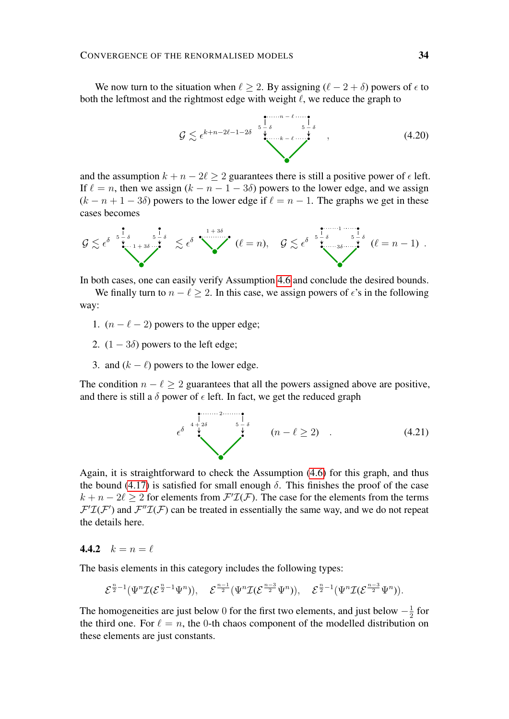We now turn to the situation when  $\ell \geq 2$ . By assigning  $(\ell - 2 + \delta)$  powers of  $\epsilon$  to both the leftmost and the rightmost edge with weight  $\ell$ , we reduce the graph to

$$
\mathcal{G} \lesssim \epsilon^{k+n-2\ell-1-2\delta} \stackrel{\stackrel{\scriptstyle{\bullet}}{\circ}}{\underset{\scriptstyle{\bullet}\atop{\scriptstyle{\bullet}\atop{\scriptstyle{\bullet}\atop{\scriptstyle{\bullet}\atop{\scriptstyle{\bullet}\atop{\scriptstyle{\bullet}\atop{\scriptstyle{\bullet}\atop{\scriptstyle{\bullet}}}}}}}}^{\scriptstyle{\bullet}\atop{\scriptstyle{\bullet}\atop{\scriptstyle{\bullet}\atop{\scriptstyle{\bullet}\atop{\scriptstyle{\bullet}\atop{\scriptstyle{\bullet}\atop{\scriptstyle{\bullet}\atop{\scriptstyle{\bullet}\atop{\scriptstyle{\bullet}\atop{\scriptstyle{\bullet}\atop{\scriptstyle{\bullet}\atop{\scriptstyle{\bullet}}}}}}}}}}}\frac{\stackrel{\scriptstyle{\bullet}}{\circ}}{\underset{\scriptstyle{\bullet}\atop{\scriptstyle{\bullet}\atop{\scriptstyle{\bullet}\atop{\scriptstyle{\bullet}\atop{\scriptstyle{\bullet}\atop{\scriptstyle{\bullet}\atop{\scriptstyle{\bullet}\atop{\scriptstyle{\bullet}}}}}}}}}}(4.20)
$$

and the assumption  $k + n - 2\ell > 2$  guarantees there is still a positive power of  $\epsilon$  left. If  $\ell = n$ , then we assign  $(k - n - 1 - 3\delta)$  powers to the lower edge, and we assign  $(k - n + 1 - 3\delta)$  powers to the lower edge if  $\ell = n - 1$ . The graphs we get in these cases becomes

$$
\mathcal{G} \lesssim \epsilon^{\delta} \sum_{\substack{\mathbf{v} \text{ is a } 1+\delta \\ \mathbf{v} \text{ is a } 1+\delta}}^{\mathbf{v} \text{ is a } 1+\delta} \lesssim \epsilon^{\delta} \sum_{\substack{\mathbf{v} \text{ is a } 1+\delta \\ \mathbf{v} \text{ is a } 1+\delta}}^{\mathbf{v} \text{ is a } 1+\delta} (\ell=n), \quad \mathcal{G} \lesssim \epsilon^{\delta} \sum_{\substack{\mathbf{v} \text{ is a } 1+\delta \\ \mathbf{v} \text{ is a } 1+\delta}}^{\mathbf{v} \text{ is a } 1+\delta} (\ell=n-1) .
$$

In both cases, one can easily verify Assumption [4.6](#page-28-0) and conclude the desired bounds.

We finally turn to  $n - \ell \geq 2$ . In this case, we assign powers of  $\epsilon$ 's in the following way:

- 1.  $(n \ell 2)$  powers to the upper edge;
- 2.  $(1 3\delta)$  powers to the left edge:
- 3. and  $(k \ell)$  powers to the lower edge.

The condition  $n - \ell \geq 2$  guarantees that all the powers assigned above are positive, and there is still a  $\delta$  power of  $\epsilon$  left. In fact, we get the reduced graph

$$
\epsilon^{\delta} \overset{4}{\overset{4}{\star}} \overset{2\delta}{\overset{5}{\star}} \overset{5}{\overset{1}{\star}} \overset{\delta}{(n-\ell \geq 2)} \tag{4.21}
$$

Again, it is straightforward to check the Assumption [\(4.6\)](#page-28-0) for this graph, and thus the bound [\(4.17\)](#page-32-1) is satisfied for small enough  $\delta$ . This finishes the proof of the case  $k + n - 2\ell \geq 2$  for elements from  $\mathcal{F}'\mathcal{I}(\mathcal{F})$ . The case for the elements from the terms  $F'L(F')$  and  $F''L(F)$  can be treated in essentially the same way, and we do not repeat the details here.

# 4.4.2  $k = n = \ell$

The basis elements in this category includes the following types:

$$
\mathcal{E}^{\frac{n}{2}-1}(\Psi^n\mathcal{I}(\mathcal{E}^{\frac{n}{2}-1}\Psi^n)),\quad \mathcal{E}^{\frac{n-1}{2}}(\Psi^n\mathcal{I}(\mathcal{E}^{\frac{n-3}{2}}\Psi^n)),\quad \mathcal{E}^{\frac{n}{2}-1}(\Psi^n\mathcal{I}(\mathcal{E}^{\frac{n-3}{2}}\Psi^n)).
$$

The homogeneities are just below 0 for the first two elements, and just below  $-\frac{1}{2}$  $rac{1}{2}$  for the third one. For  $\ell = n$ , the 0-th chaos component of the modelled distribution on these elements are just constants.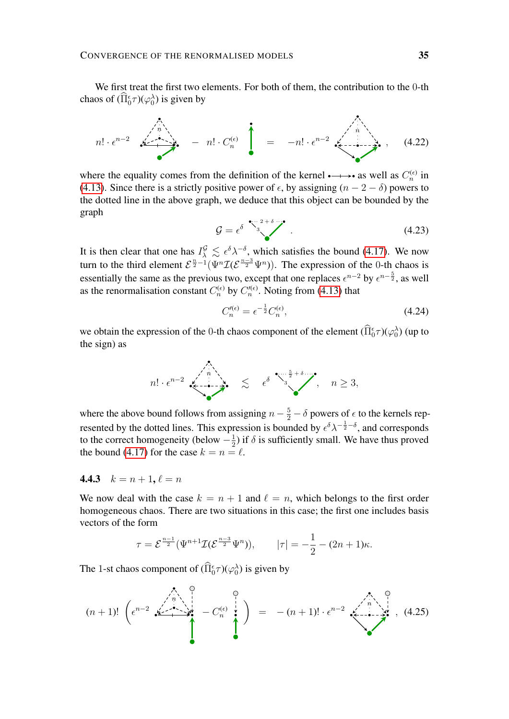We first treat the first two elements. For both of them, the contribution to the 0-th chaos of  $(\hat{\Pi}_0^{\epsilon}\tau)(\varphi_0^{\lambda})$  is given by

$$
n! \cdot \epsilon^{n-2} \xrightarrow{\lambda_n} - n! \cdot C_n^{(\epsilon)} = -n! \cdot \epsilon^{n-2} \xleftarrow{\lambda_n}, \quad (4.22)
$$

where the equality comes from the definition of the kernel  $\rightarrow \rightarrow \bullet$  as well as  $C_n^{(\epsilon)}$  in [\(4.13\)](#page-30-1). Since there is a strictly positive power of  $\epsilon$ , by assigning  $(n - 2 - \delta)$  powers to the dotted line in the above graph, we deduce that this object can be bounded by the graph

$$
\mathcal{G} = \epsilon^{\delta} \stackrel{\bullet \cdots 2 + \delta \cdots \bullet}{\bullet} \tag{4.23}
$$

It is then clear that one has  $I^{\mathcal{G}}_{\lambda} \leq \epsilon^{\delta} \lambda^{-\delta}$ , which satisfies the bound [\(4.17\)](#page-32-1). We now turn to the third element  $\mathcal{E}^{\frac{n}{2}-1}(\Psi^n\mathcal{I}(\mathcal{E}^{\frac{n-3}{2}}\Psi^n))$ . The expression of the 0-th chaos is essentially the same as the previous two, except that one replaces  $\epsilon^{n-2}$  by  $\epsilon^{n-\frac{5}{2}}$ , as well as the renormalisation constant  $C_n^{(\epsilon)}$  by  $C_n^{\prime(\epsilon)}$ . Noting from [\(4.13\)](#page-30-1) that

$$
C_n^{\prime(\epsilon)} = \epsilon^{-\frac{1}{2}} C_n^{(\epsilon)},\tag{4.24}
$$

we obtain the expression of the 0-th chaos component of the element  $(\hat{\Pi}_0^{\epsilon}\tau)(\varphi_0^{\lambda})$  (up to the sign) as

$$
n! \cdot \epsilon^{n-2} \xleftarrow[n]{\qquadn \atop n \rightarrow \infty} \lesssim \epsilon^{\delta} \xrightarrow{\bullet \cdots \frac{5}{2} + \delta \cdots}, \quad n \ge 3,
$$

where the above bound follows from assigning  $n - \frac{5}{2} - \delta$  powers of  $\epsilon$  to the kernels represented by the dotted lines. This expression is bounded by  $\epsilon^{\delta} \lambda^{-\frac{1}{2}-\delta}$ , and corresponds to the correct homogeneity (below  $-\frac{1}{2}$  $\frac{1}{2}$ ) if  $\delta$  is sufficiently small. We have thus proved the bound [\(4.17\)](#page-32-1) for the case  $k = n = \ell$ .

# 4.4.3  $k = n + 1, \ell = n$

We now deal with the case  $k = n + 1$  and  $\ell = n$ , which belongs to the first order homogeneous chaos. There are two situations in this case; the first one includes basis vectors of the form

$$
\tau = \mathcal{E}^{\frac{n-1}{2}}(\Psi^{n+1}\mathcal{I}(\mathcal{E}^{\frac{n-3}{2}}\Psi^n)), \qquad |\tau| = -\frac{1}{2} - (2n+1)\kappa.
$$

The 1-st chaos component of  $(\hat{\Pi}_0^{\epsilon} \tau)(\varphi_0^{\lambda})$  is given by

$$
(n+1)! \left( \epsilon^{n-2} \left( \begin{array}{c} 0 \\ \epsilon^{n-2} \end{array} \begin{array}{c} 0 \\ \epsilon^{n-1} \end{array} \right) = -(n+1)! \cdot \epsilon^{n-2} \left( \begin{array}{c} 0 \\ \epsilon^{n-1} \end{array} \right), (4.25)
$$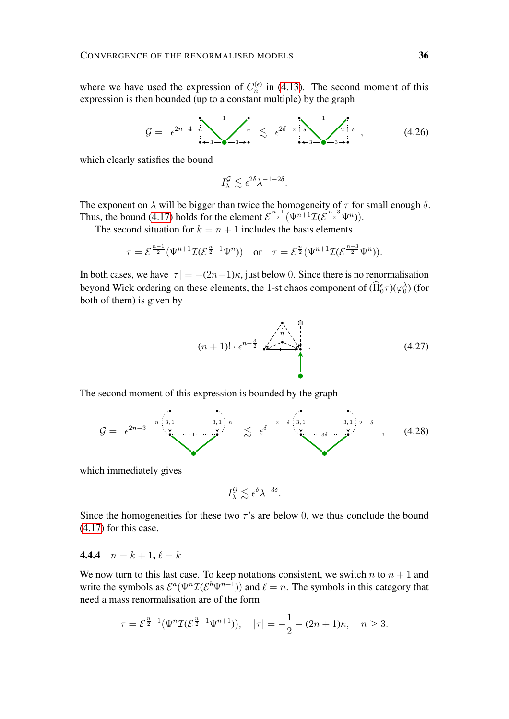where we have used the expression of  $C_n^{(\epsilon)}$  in [\(4.13\)](#page-30-1). The second moment of this expression is then bounded (up to a constant multiple) by the graph

$$
\mathcal{G} = \epsilon^{2n-4} \sum_{i=3}^{n} \sum_{\mathbf{0}\neq 3\neq i}^{n} \lesssim \epsilon^{2\delta} \left(2+\delta \sum_{i=3}^{n} \sum_{\mathbf{0}\neq 3\neq i}^{n} \delta \right), \tag{4.26}
$$

which clearly satisfies the bound

$$
I_{\lambda}^{\mathcal{G}} \lesssim \epsilon^{2\delta} \lambda^{-1-2\delta}.
$$

The exponent on  $\lambda$  will be bigger than twice the homogeneity of  $\tau$  for small enough  $\delta$ . Thus, the bound [\(4.17\)](#page-32-1) holds for the element  $\mathcal{E}^{\frac{n-1}{2}}(\Psi^{n+1}\mathcal{I}(\mathcal{E}^{\frac{n-3}{2}}\Psi^n)).$ 

The second situation for  $k = n + 1$  includes the basis elements

$$
\tau = \mathcal{E}^{\frac{n-1}{2}}(\Psi^{n+1}\mathcal{I}(\mathcal{E}^{\frac{n}{2}-1}\Psi^n)) \quad \text{or} \quad \tau = \mathcal{E}^{\frac{n}{2}}(\Psi^{n+1}\mathcal{I}(\mathcal{E}^{\frac{n-3}{2}}\Psi^n)).
$$

In both cases, we have  $|\tau| = -(2n+1)\kappa$ , just below 0. Since there is no renormalisation beyond Wick ordering on these elements, the 1-st chaos component of  $(\hat{\Pi}_0^{\epsilon}\tau)(\varphi_0^{\lambda})$  (for both of them) is given by

(n + 1)! · n− <sup>3</sup> 2 . . . . . .n . (4.27)

The second moment of this expression is bounded by the graph



which immediately gives

$$
I_{\lambda}^{\mathcal{G}} \lesssim \epsilon^{\delta} \lambda^{-3\delta}.
$$

Since the homogeneities for these two  $\tau$ 's are below 0, we thus conclude the bound [\(4.17\)](#page-32-1) for this case.

# 4.4.4  $n = k + 1, \ell = k$

We now turn to this last case. To keep notations consistent, we switch  $n$  to  $n + 1$  and write the symbols as  $\mathcal{E}^a(\Psi^n \mathcal{I}(\mathcal{E}^b \Psi^{n+1}))$  and  $\ell = n$ . The symbols in this category that need a mass renormalisation are of the form

$$
\tau = \mathcal{E}^{\frac{n}{2}-1}(\Psi^n \mathcal{I}(\mathcal{E}^{\frac{n}{2}-1}\Psi^{n+1})), \quad |\tau| = -\frac{1}{2} - (2n+1)\kappa, \quad n \ge 3.
$$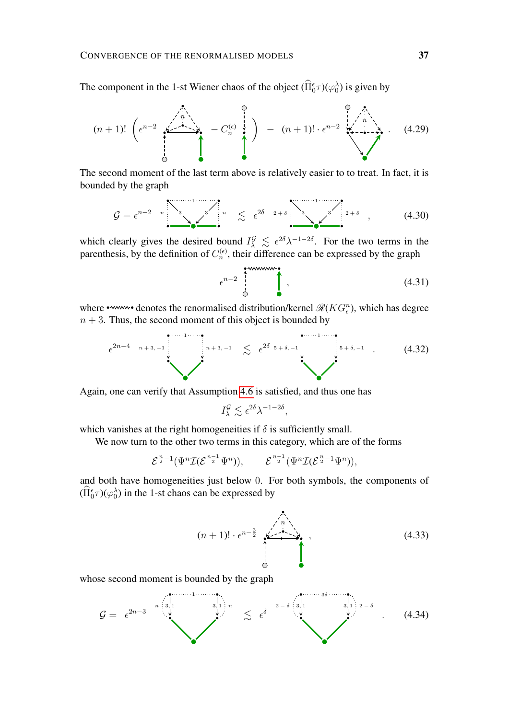The component in the 1-st Wiener chaos of the object  $(\hat{\Pi}_{0}^{\epsilon}\tau)(\varphi_{0}^{\lambda})$  is given by

$$
(n+1)! \left( \epsilon^{n-2} \begin{array}{c} \wedge \\ \wedge \\ \wedge \end{array} \begin{array}{c} \wedge \\ \wedge \\ \wedge \end{array} \begin{array}{c} \wedge \\ \wedge \\ \wedge \end{array} \begin{array}{c} \wedge \\ \wedge \\ \wedge \end{array} \begin{array}{c} \wedge \\ \wedge \\ \wedge \end{array} \begin{array}{c} \wedge \\ \wedge \\ \wedge \end{array} \begin{array}{c} \wedge \\ \wedge \\ \wedge \end{array} \begin{array}{c} \wedge \\ \wedge \\ \wedge \end{array} \begin{array}{c} \wedge \\ \wedge \end{array} \begin{array}{c} \wedge \\ \wedge \end{array} \begin{array}{c} \wedge \\ \wedge \end{array} \begin{array}{c} \wedge \\ \wedge \end{array} \begin{array}{c} \wedge \\ \wedge \end{array} \begin{array}{c} \wedge \\ \wedge \end{array} \begin{array}{c} \wedge \\ \wedge \end{array} \begin{array}{c} \wedge \\ \wedge \end{array} \begin{array}{c} \wedge \wedge \\ \wedge \end{array} \begin{array}{c} \wedge \wedge \\ \wedge \end{array} \begin{array}{c} \wedge \wedge \\ \wedge \end{array} \begin{array}{c} \wedge \wedge \\ \wedge \end{array} \begin{array}{c} \wedge \wedge \\ \wedge \end{array} \begin{array}{c} \wedge \wedge \\ \wedge \end{array} \begin{array}{c} \wedge \wedge \\ \wedge \end{array} \begin{array}{c} \wedge \wedge \\ \wedge \end{array} \begin{array}{c} \wedge \wedge \\ \wedge \end{array} \begin{array}{c} \wedge \wedge \\ \wedge \end{array} \begin{array}{c} \wedge \wedge \\ \wedge \end{array} \begin{array}{c} \wedge \wedge \\ \wedge \end{array} \begin{array}{c} \wedge \wedge \\ \wedge \end{array} \begin{array}{c} \wedge \wedge \\ \wedge \end{array} \begin{array}{c} \wedge \wedge \\ \wedge \end{array} \begin{array}{c} \wedge \wedge \\ \wedge \end{array} \begin{array}{c} \wedge \wedge \wedge \wedge \wedge \\ \wedge \end{array} \begin{array}{c} \wedge \wedge \wedge \wedge \wedge \wedge \
$$

The second moment of the last term above is relatively easier to to treat. In fact, it is bounded by the graph

$$
\mathcal{G} = \epsilon^{n-2} \left[ \begin{array}{ccc} \mathbf{1} & \mathbf{1} & \mathbf{1} & \mathbf{1} \\ \mathbf{1} & \mathbf{1} & \mathbf{1} & \mathbf{1} \\ \mathbf{1} & \mathbf{1} & \mathbf{1} & \mathbf{1} \end{array} \right]^{n} \quad \lesssim \quad \epsilon^{2\delta - 2 + \delta} \left[ \begin{array}{ccc} \mathbf{1} & \mathbf{1} & \mathbf{1} & \mathbf{1} \\ \mathbf{1} & \mathbf{1} & \mathbf{1} & \mathbf{1} \\ \mathbf{1} & \mathbf{1} & \mathbf{1} & \mathbf{1} \end{array} \right]^{2 + \delta} \quad (4.30)
$$

which clearly gives the desired bound  $I^{\mathcal{G}}_{\lambda} \leq \epsilon^{2\delta} \lambda^{-1-2\delta}$ . For the two terms in the parenthesis, by the definition of  $C_n^{(\epsilon)}$ , their difference can be expressed by the graph

 n−2 , (4.31)

where • www • denotes the renormalised distribution/kernel  $\mathcal{R}(KG_{\epsilon}^{n})$ , which has degree  $n + 3$ . Thus, the second moment of this object is bounded by

$$
\epsilon^{2n-4} \quad {}^{n+3,-1} \quad \begin{array}{ccc}\n \stackrel{\cdots}{\sim} & \epsilon^{2\delta} & \stackrel{\cdots}{\sim} & \epsilon^{2\delta+6,-1} \\
 \downarrow^{n+3,-1} & \stackrel{\smile}{\sim} & \epsilon^{2\delta+6,-1} \\
 \end{array} \tag{4.32}
$$

Again, one can verify that Assumption [4.6](#page-28-0) is satisfied, and thus one has

$$
I_\lambda^{\mathcal{G}} \lesssim \epsilon^{2\delta} \lambda^{-1-2\delta},
$$

which vanishes at the right homogeneities if  $\delta$  is sufficiently small.

We now turn to the other two terms in this category, which are of the forms

$$
\mathcal{E}^{\frac{n}{2}-1}(\Psi^n\mathcal{I}(\mathcal{E}^{\frac{n-1}{2}}\Psi^n)), \qquad \mathcal{E}^{\frac{n-1}{2}}(\Psi^n\mathcal{I}(\mathcal{E}^{\frac{n}{2}-1}\Psi^n)),
$$

and both have homogeneities just below 0. For both symbols, the components of  $(\hat{\Pi}_0^{\epsilon}\tau)(\varphi_0^{\lambda})$  in the 1-st chaos can be expressed by

$$
(n+1)! \cdot \epsilon^{n-\frac{3}{2}} \underbrace{\sum_{i=1}^{n} \cdots \sum_{i=1}^{n}}_{\bigcirc} \tag{4.33}
$$

whose second moment is bounded by the graph

$$
\mathcal{G} = \epsilon^{2n-3} \quad \begin{matrix} \begin{matrix} 1 & 1 & 1 & 1 \\ 0 & 1 & 1 \\ 0 & 0 & 0 \end{matrix} \end{matrix} \quad \begin{matrix} 1 & 1 & 1 \\ 0 & 1 & 1 \\ 0 & 0 & 0 \end{matrix} \end{matrix} \quad \begin{matrix} \begin{matrix} 1 & 1 & 1 \\ 0 & 1 & 1 \\ 0 & 0 & 0 \end{matrix} \end{matrix} \quad \begin{matrix} \begin{matrix} 1 & 1 & 1 \\ 0 & 1 & 1 \\ 0 & 0 & 0 \end{matrix} \end{matrix} \tag{4.34}
$$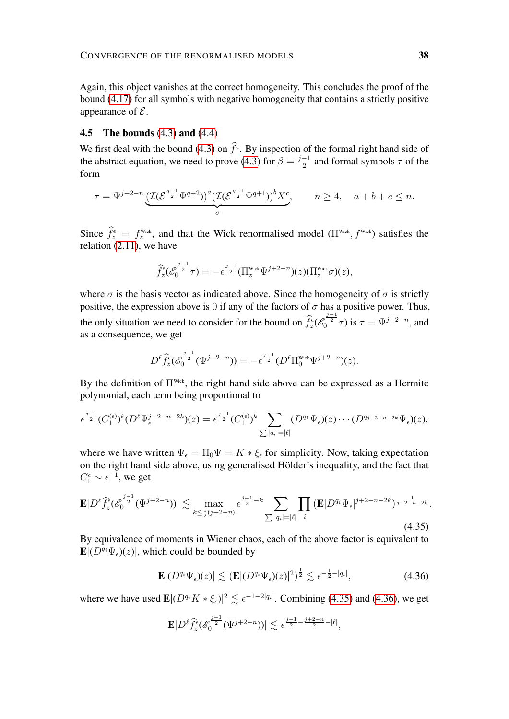Again, this object vanishes at the correct homogeneity. This concludes the proof of the bound [\(4.17\)](#page-32-1) for all symbols with negative homogeneity that contains a strictly positive appearance of  $\mathcal{E}$ .

# 4.5 The bounds [\(4.3\)](#page-26-0) and [\(4.4\)](#page-26-1)

We first deal with the bound [\(4.3\)](#page-26-0) on  $\hat{f}^{\epsilon}$ . By inspection of the formal right hand side of the abstract equation, we need to prove [\(4.3\)](#page-26-0) for  $\beta = \frac{j-1}{2}$  $\frac{-1}{2}$  and formal symbols  $\tau$  of the form

$$
\tau = \Psi^{j+2-n} \underbrace{\left(\mathcal{I}(\mathcal{E}^{\frac{q-1}{2}} \Psi^{q+2})\right)^a \left(\mathcal{I}(\mathcal{E}^{\frac{q-1}{2}} \Psi^{q+1})\right)^b X^c}_{\sigma}, \qquad n \ge 4, \quad a+b+c \le n.
$$

Since  $\hat{f}_z^{\epsilon} = f_z^{\text{Wick}}$ , and that the Wick renormalised model  $(\Pi^{\text{Wick}}, f^{\text{Wick}})$  satisfies the relation [\(2.11\)](#page-11-0), we have

$$
\widehat{f}_z^{\epsilon}(\mathscr{E}_0^{\frac{j-1}{2}}\tau) = -\epsilon^{\frac{j-1}{2}}(\Pi_z^{\text{Wick}}\Psi^{j+2-n})(z)(\Pi_z^{\text{Wick}}\sigma)(z),
$$

where  $\sigma$  is the basis vector as indicated above. Since the homogeneity of  $\sigma$  is strictly positive, the expression above is 0 if any of the factors of  $\sigma$  has a positive power. Thus, the only situation we need to consider for the bound on  $\hat{f}_z^{\epsilon}$  ( $\mathcal{E}_0^{\frac{j-1}{2}}\tau$ ) is  $\tau = \Psi^{j+2-n}$ , and as a consequence, we get

$$
D^{\ell} \hat{f}_z^{\epsilon} ( \mathscr{E}_0^{\frac{j-1}{2}} (\Psi^{j+2-n}) ) = - \epsilon^{\frac{j-1}{2}} ( D^{\ell} \Pi_0^{\text{Wick}} \Psi^{j+2-n} ) (z).
$$

By the definition of  $\Pi^{\text{Wick}}$ , the right hand side above can be expressed as a Hermite polynomial, each term being proportional to

$$
\epsilon^{\frac{j-1}{2}}(C_1^{(\epsilon)})^k(D^{\ell}\Psi_{\epsilon}^{j+2-n-2k})(z)=\epsilon^{\frac{j-1}{2}}(C_1^{(\epsilon)})^k\sum_{\sum|q_i|=|\ell|}(D^{q_1}\Psi_{\epsilon})(z)\cdots(D^{q_{j+2-n-2k}}\Psi_{\epsilon})(z).
$$

<span id="page-37-0"></span>where we have written  $\Psi_{\epsilon} = \Pi_0 \Psi = K * \xi_{\epsilon}$  for simplicity. Now, taking expectation on the right hand side above, using generalised Hölder's inequality, and the fact that  $C_1^{\epsilon} \sim \epsilon^{-1}$ , we get

$$
\mathbf{E}|D^{\ell}\hat{f}_z^{\epsilon}(\mathcal{E}_0^{\frac{j-1}{2}}(\Psi^{j+2-n}))| \lesssim \max_{k \le \frac{1}{2}(j+2-n)} \epsilon^{\frac{j-1}{2}-k} \sum_{\sum |q_i|=|\ell|} \prod_i (\mathbf{E}|D^{q_i}\Psi_{\epsilon}|^{j+2-n-2k})^{\frac{1}{j+2-n-2k}}.
$$
\n(4.35)

By equivalence of moments in Wiener chaos, each of the above factor is equivalent to  $\mathbf{E}|(D^{q_i}\Psi_{\epsilon})(z)|$ , which could be bounded by

<span id="page-37-1"></span>
$$
\mathbf{E}|(D^{q_i}\Psi_{\epsilon})(z)| \lesssim (\mathbf{E}|(D^{q_i}\Psi_{\epsilon})(z)|^2)^{\frac{1}{2}} \lesssim \epsilon^{-\frac{1}{2}-|q_i|},\tag{4.36}
$$

where we have used  $\mathbf{E} | (D^{q_i} K * \xi_{\epsilon})|^2 \lesssim \epsilon^{-1-2|q_i|}$ . Combining [\(4.35\)](#page-37-0) and [\(4.36\)](#page-37-1), we get

$$
\mathbf{E} |D^\ell \widehat{f_z^\epsilon}(\mathscr{E}_0^{\frac{j-1}{2}} (\Psi^{j+2-n}))| \lesssim \epsilon^{\frac{j-1}{2} - \frac{j+2-n}{2} - |\ell|},
$$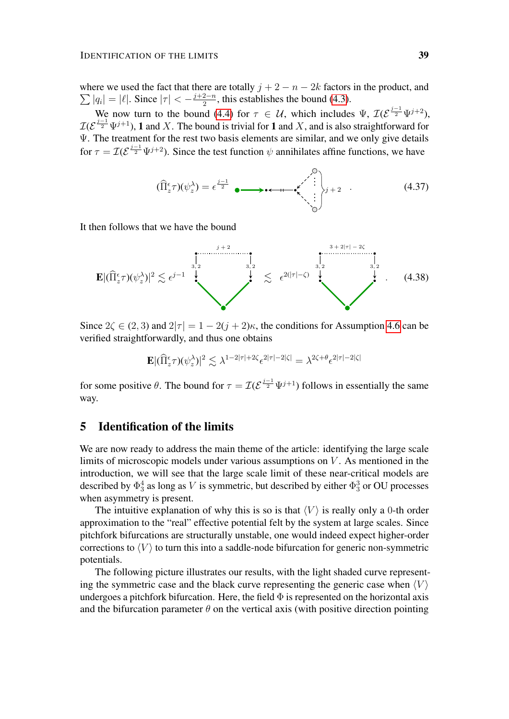where we used the fact that there are totally  $j + 2 - n - 2k$  factors in the product, and  $\sum |q_i| = |\ell|.$  Since  $|\tau| < -\frac{j+2-n}{2}$  $\frac{2-n}{2}$ , this establishes the bound [\(4.3\)](#page-26-0).

We now turn to the bound [\(4.4\)](#page-26-1) for  $\tau \in \mathcal{U}$ , which includes  $\Psi$ ,  $\mathcal{I}(\mathcal{E}^{\frac{j-1}{2}}\Psi^{j+2})$ ,  $\mathcal{I}(\mathcal{E}^{\frac{j-1}{2}}\Psi^{j+1})$ , 1 and X. The bound is trivial for 1 and X, and is also straightforward for Ψ. The treatment for the rest two basis elements are similar, and we only give details for  $\tau = \mathcal{I}(\mathcal{E}^{\frac{j-1}{2}} \Psi^{j+2})$ . Since the test function  $\psi$  annihilates affine functions, we have

(Πb z τ )(ψ λ z ) = j−1 2 . . . . . . <sup>j</sup> + 2 . (4.37)

It then follows that we have the bound

$$
\mathbf{E} |(\widehat{\Pi}_{z}^{\epsilon}\tau)(\psi_{z}^{\lambda})|^{2} \lesssim \epsilon^{j-1} \qquad \qquad \downarrow \qquad \qquad \searrow \qquad \epsilon^{2(|\tau|-\zeta)} \qquad \qquad \downarrow \qquad \searrow \qquad \epsilon^{2(|\tau|-\zeta)} \qquad \qquad \downarrow \qquad (4.38)
$$

Since  $2\zeta \in (2, 3)$  and  $2|\tau| = 1 - 2(j + 2)\kappa$ , the conditions for Assumption [4.6](#page-28-0) can be verified straightforwardly, and thus one obtains

$$
\mathbf{E} |(\widehat{\Pi}_{z}^{\epsilon}\tau)(\psi_{z}^{\lambda})|^{2} \lesssim \lambda^{1-2|\tau|+2\zeta} \epsilon^{2|\tau|-2|\zeta|} = \lambda^{2\zeta+\theta} \epsilon^{2|\tau|-2|\zeta|}
$$

for some positive  $\theta$ . The bound for  $\tau = \mathcal{I}(\mathcal{E}^{\frac{j-1}{2}}\Psi^{j+1})$  follows in essentially the same way.

# <span id="page-38-0"></span>5 Identification of the limits

We are now ready to address the main theme of the article: identifying the large scale limits of microscopic models under various assumptions on  $V$ . As mentioned in the introduction, we will see that the large scale limit of these near-critical models are described by  $\Phi_3^4$  as long as V is symmetric, but described by either  $\Phi_3^3$  or OU processes when asymmetry is present.

The intuitive explanation of why this is so is that  $\langle V \rangle$  is really only a 0-th order approximation to the "real" effective potential felt by the system at large scales. Since pitchfork bifurcations are structurally unstable, one would indeed expect higher-order corrections to  $\langle V \rangle$  to turn this into a saddle-node bifurcation for generic non-symmetric potentials.

The following picture illustrates our results, with the light shaded curve representing the symmetric case and the black curve representing the generic case when  $\langle V \rangle$ undergoes a pitchfork bifurcation. Here, the field  $\Phi$  is represented on the horizontal axis and the bifurcation parameter  $\theta$  on the vertical axis (with positive direction pointing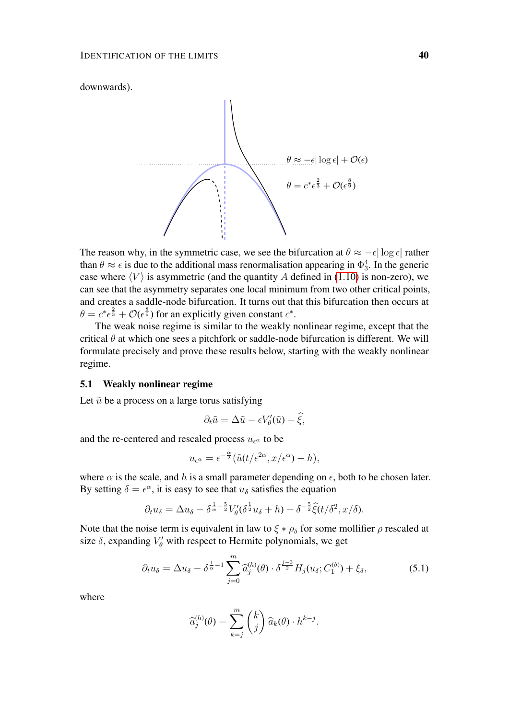

The reason why, in the symmetric case, we see the bifurcation at  $\theta \approx -\epsilon |\log \epsilon|$  rather than  $\theta \approx \epsilon$  is due to the additional mass renormalisation appearing in  $\Phi_3^4$ . In the generic case where  $\langle V \rangle$  is asymmetric (and the quantity A defined in [\(1.10\)](#page-4-1) is non-zero), we can see that the asymmetry separates one local minimum from two other critical points, and creates a saddle-node bifurcation. It turns out that this bifurcation then occurs at  $\theta = c^* \epsilon^{\frac{2}{3}} + \mathcal{O}(\epsilon^{\frac{8}{9}})$  for an explicitly given constant  $c^*$ .

The weak noise regime is similar to the weakly nonlinear regime, except that the critical  $\theta$  at which one sees a pitchfork or saddle-node bifurcation is different. We will formulate precisely and prove these results below, starting with the weakly nonlinear regime.

# 5.1 Weakly nonlinear regime

Let  $\tilde{u}$  be a process on a large torus satisfying

$$
\partial_t \tilde{u} = \Delta \tilde{u} - \epsilon V'_{\theta}(\tilde{u}) + \hat{\xi},
$$

and the re-centered and rescaled process  $u_{\epsilon}$  to be

$$
u_{\epsilon^{\alpha}} = \epsilon^{-\frac{\alpha}{2}} (\tilde{u}(t/\epsilon^{2\alpha}, x/\epsilon^{\alpha}) - h),
$$

where  $\alpha$  is the scale, and h is a small parameter depending on  $\epsilon$ , both to be chosen later. By setting  $\delta = \epsilon^{\alpha}$ , it is easy to see that  $u_{\delta}$  satisfies the equation

$$
\partial_t u_\delta = \Delta u_\delta - \delta^{\frac{1}{\alpha} - \frac{5}{2}} V_\theta'(\delta^{\frac{1}{2}} u_\delta + h) + \delta^{-\frac{5}{2}} \hat{\xi}(t/\delta^2, x/\delta).
$$

Note that the noise term is equivalent in law to  $\xi * \rho_{\delta}$  for some mollifier  $\rho$  rescaled at size  $\delta$ , expanding  $V'_{\theta}$  with respect to Hermite polynomials, we get

$$
\partial_t u_\delta = \Delta u_\delta - \delta^{\frac{1}{\alpha}-1} \sum_{j=0}^m \widehat{a}_j^{(h)}(\theta) \cdot \delta^{\frac{j-3}{2}} H_j(u_\delta; C_1^{(\delta)}) + \xi_\delta, \tag{5.1}
$$

where

<span id="page-39-0"></span>
$$
\widehat{a}_j^{(h)}(\theta) = \sum_{k=j}^m \binom{k}{j} \widehat{a}_k(\theta) \cdot h^{k-j}.
$$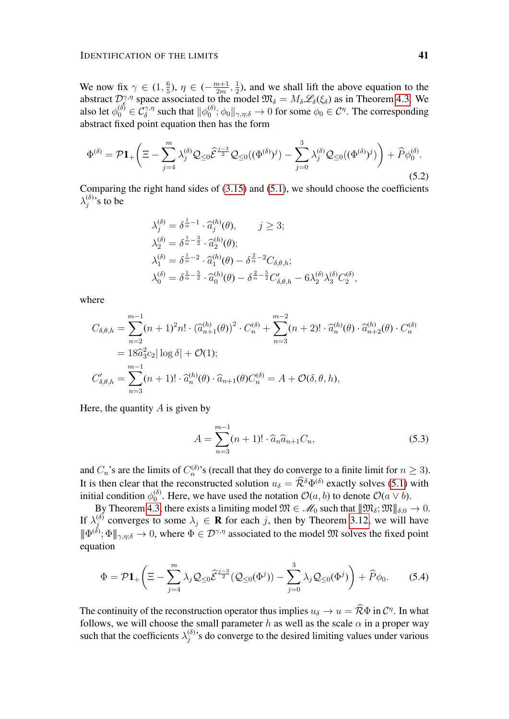We now fix  $\gamma \in (1, \frac{6}{5})$  $\frac{6}{5}$ ),  $\eta \in (-\frac{m+1}{2m})$  $\frac{n+1}{2m}, \frac{1}{2}$  $\frac{1}{2}$ ), and we shall lift the above equation to the abstract  $\mathcal{D}_{\xi}^{\gamma,\eta}$  space associated to the model  $\mathfrak{M}_{\delta} = M_{\delta} \mathscr{L}_{\delta}(\xi_{\delta})$  as in Theorem [4.3.](#page-25-1) We also let  $\phi_0^{(\delta)} \in C^{\gamma, \eta}_{\delta}$  such that  $\|\phi_0^{(\delta)}\|$  $\phi_0^{(\delta)}$ ;  $\phi_0 \|_{\gamma, \eta; \delta} \to 0$  for some  $\phi_0 \in \mathcal{C}^{\eta}$ . The corresponding abstract fixed point equation then has the form

$$
\Phi^{(\delta)} = \mathcal{P}\mathbf{1}_{+}\left(\Xi - \sum_{j=4}^{m} \lambda_j^{(\delta)} \mathcal{Q}_{\leq 0} \widehat{\mathcal{E}}^{\frac{j-3}{2}} \mathcal{Q}_{\leq 0}((\Phi^{(\delta)})^j) - \sum_{j=0}^{3} \lambda_j^{(\delta)} \mathcal{Q}_{\leq 0}((\Phi^{(\delta)})^j)\right) + \widehat{P}\phi_0^{(\delta)}.
$$
\n(5.2)

Comparing the right hand sides of [\(3.15\)](#page-24-1) and [\(5.1\)](#page-39-0), we should choose the coefficients  $\lambda_i^{(\delta)}$  $_j^{(0)}$ 's to be

$$
\lambda_j^{(\delta)} = \delta^{\frac{1}{\alpha}-1} \cdot \hat{a}_j^{(h)}(\theta), \qquad j \ge 3;
$$
  
\n
$$
\lambda_2^{(\delta)} = \delta^{\frac{1}{\alpha}-\frac{3}{2}} \cdot \hat{a}_2^{(h)}(\theta);
$$
  
\n
$$
\lambda_1^{(\delta)} = \delta^{\frac{1}{\alpha}-2} \cdot \hat{a}_1^{(h)}(\theta) - \delta^{\frac{2}{\alpha}-2} C_{\delta,\theta,h};
$$
  
\n
$$
\lambda_0^{(\delta)} = \delta^{\frac{1}{\alpha}-\frac{5}{2}} \cdot \hat{a}_0^{(h)}(\theta) - \delta^{\frac{2}{\alpha}-\frac{5}{2}} C'_{\delta,\theta,h} - 6 \lambda_2^{(\delta)} \lambda_3^{(\delta)} C_2^{(\delta)},
$$

where

$$
C_{\delta,\theta,h} = \sum_{n=2}^{m-1} (n+1)^2 n! \cdot (\widehat{a}_{n+1}^{(h)}(\theta))^2 \cdot C_n^{(\delta)} + \sum_{n=3}^{m-2} (n+2)! \cdot \widehat{a}_n^{(h)}(\theta) \cdot \widehat{a}_{n+2}^{(h)}(\theta) \cdot C_n^{(\delta)}
$$
  
=  $18\widehat{a}_3^2 c_2 |\log \delta| + \mathcal{O}(1);$   

$$
C'_{\delta,\theta,h} = \sum_{n=3}^{m-1} (n+1)! \cdot \widehat{a}_n^{(h)}(\theta) \cdot \widehat{a}_{n+1}(\theta) C_n^{(\delta)} = A + \mathcal{O}(\delta, \theta, h),
$$

Here, the quantity  $A$  is given by

<span id="page-40-0"></span>
$$
A = \sum_{n=3}^{m-1} (n+1)! \cdot \hat{a}_n \hat{a}_{n+1} C_n,
$$
\n(5.3)

and  $C_n$ 's are the limits of  $C_n^{(\delta)}$ 's (recall that they do converge to a finite limit for  $n \geq 3$ ). It is then clear that the reconstructed solution  $u_{\delta} = \widehat{\mathcal{R}}^{\delta} \Phi^{(\delta)}$  exactly solves [\(5.1\)](#page-39-0) with initial condition  $\phi_0^{(\delta)}$  $\mathcal{O}_0^{(0)}$ . Here, we have used the notation  $\mathcal{O}(a, b)$  to denote  $\mathcal{O}(a \vee b)$ .

By Theorem [4.3,](#page-25-1) there exists a limiting model  $\mathfrak{M} \in \mathscr{M}_0$  such that  $\|\mathfrak{M}_{\delta}; \mathfrak{M}\|_{\delta;0} \to 0.$ If  $\lambda_i^{(\delta)}$  $j_j^{(0)}$  converges to some  $\lambda_j \in \mathbf{R}$  for each j, then by Theorem [3.12,](#page-21-1) we will have  $\|\Phi^{(\delta)};\Phi\|_{\gamma,\eta;\delta}\to 0$ , where  $\Phi\in\mathcal{D}^{\gamma,\eta}$  associated to the model  $\mathfrak{M}$  solves the fixed point equation

<span id="page-40-1"></span>
$$
\Phi = \mathcal{P}\mathbf{1}_{+}\left(\Xi - \sum_{j=4}^{m} \lambda_j \mathcal{Q}_{\leq 0} \widehat{\mathcal{E}}^{\frac{j-3}{2}} (\mathcal{Q}_{\leq 0}(\Phi^j)) - \sum_{j=0}^{3} \lambda_j \mathcal{Q}_{\leq 0}(\Phi^j)\right) + \widehat{P}\phi_0.
$$
 (5.4)

The continuity of the reconstruction operator thus implies  $u_{\delta} \to u = \widehat{\mathcal{R}} \Phi$  in  $\mathcal{C}^{\eta}$ . In what follows, we will choose the small parameter h as well as the scale  $\alpha$  in a proper way such that the coefficients  $\lambda_i^{(\delta)}$  $j^{(0)}$ 's do converge to the desired limiting values under various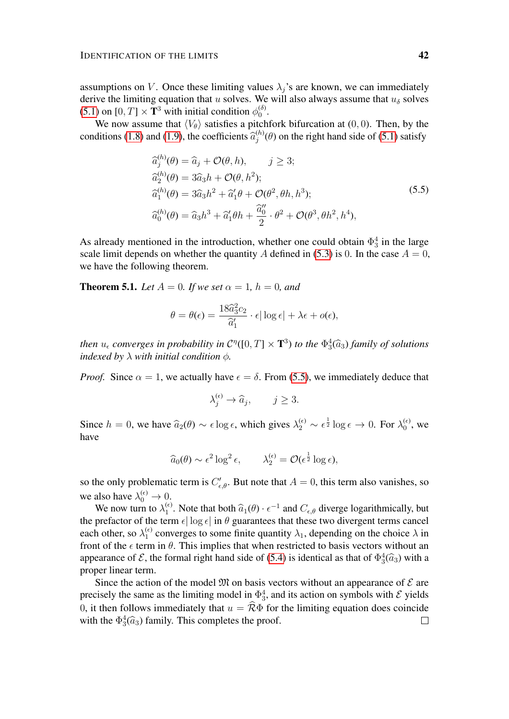assumptions on V. Once these limiting values  $\lambda_j$ 's are known, we can immediately derive the limiting equation that u solves. We will also always assume that  $u_{\delta}$  solves [\(5.1\)](#page-39-0) on [0, T]  $\times$  T<sup>3</sup> with initial condition  $\phi_0^{(\delta)}$  $\binom{0}{0}$ .

We now assume that  $\langle V_{\theta} \rangle$  satisfies a pitchfork bifurcation at (0, 0). Then, by the conditions [\(1.8\)](#page-3-2) and [\(1.9\)](#page-4-2), the coefficients  $\hat{a}_j^{(h)}$  $j_j^{(h)}(\theta)$  on the right hand side of [\(5.1\)](#page-39-0) satisfy

<span id="page-41-0"></span>
$$
\begin{aligned}\n\widehat{a}_j^{(h)}(\theta) &= \widehat{a}_j + \mathcal{O}(\theta, h), \qquad j \ge 3; \\
\widehat{a}_2^{(h)}(\theta) &= 3\widehat{a}_3 h + \mathcal{O}(\theta, h^2); \\
\widehat{a}_1^{(h)}(\theta) &= 3\widehat{a}_3 h^2 + \widehat{a}_1' \theta + \mathcal{O}(\theta^2, \theta h, h^3); \\
\widehat{a}_0^{(h)}(\theta) &= \widehat{a}_3 h^3 + \widehat{a}_1' \theta h + \frac{\widehat{a}_0''}{2} \cdot \theta^2 + \mathcal{O}(\theta^3, \theta h^2, h^4),\n\end{aligned} \tag{5.5}
$$

As already mentioned in the introduction, whether one could obtain  $\Phi_3^4$  in the large scale limit depends on whether the quantity A defined in [\(5.3\)](#page-40-0) is 0. In the case  $A = 0$ , we have the following theorem.

**Theorem 5.1.** *Let*  $A = 0$ *. If we set*  $\alpha = 1$ *,*  $h = 0$ *, and* 

$$
\theta = \theta(\epsilon) = \frac{18\widehat{a}_3^2 c_2}{\widehat{a}_1'} \cdot \epsilon |\log \epsilon| + \lambda \epsilon + o(\epsilon),
$$

*then*  $u_{\epsilon}$  converges in probability in  $C^{\eta}([0,T] \times \mathbf{T}^{3})$  to the  $\Phi_{3}^{4}(\widehat{a}_{3})$  *family of solutions*<br>indexed by ) with initial condition  $\phi$ *indexed by*  $\lambda$  *with initial condition*  $\phi$ *.* 

*Proof.* Since  $\alpha = 1$ , we actually have  $\epsilon = \delta$ . From [\(5.5\)](#page-41-0), we immediately deduce that

$$
\lambda_j^{(\epsilon)} \to \widehat{a}_j, \qquad j \ge 3.
$$

Since  $h = 0$ , we have  $\hat{a}_2(\theta) \sim \epsilon \log \epsilon$ , which gives  $\lambda_2^{(\epsilon)} \sim \epsilon^{\frac{1}{2}} \log \epsilon \to 0$ . For  $\lambda_0^{(\epsilon)}$  $\mathfrak{g}_0^{(\epsilon)}$ , we have

$$
\widehat{a}_0(\theta) \sim \epsilon^2 \log^2 \epsilon, \qquad \lambda_2^{(\epsilon)} = \mathcal{O}(\epsilon^{\frac{1}{2}} \log \epsilon),
$$

so the only problematic term is  $C'_{\epsilon,\theta}$ . But note that  $A = 0$ , this term also vanishes, so we also have  $\lambda_0^{(\epsilon)} \to 0$ .

We now turn to  $\lambda_1^{(\epsilon)}$ <sup>(e)</sup>. Note that both  $\hat{a}_1(\theta) \cdot \epsilon^{-1}$  and  $C_{\epsilon,\theta}$  diverge logarithmically, but<br>expanding class in  $\theta$  quarantees that these two divergent terms cancel the prefactor of the term  $\epsilon |\log \epsilon|$  in  $\theta$  guarantees that these two divergent terms cancel each other, so  $\lambda_1^{(\epsilon)}$  $\frac{1}{1}$  converges to some finite quantity  $\lambda_1$ , depending on the choice  $\lambda$  in front of the  $\epsilon$  term in  $\theta$ . This implies that when restricted to basis vectors without an appearance of  $\mathcal{E}$ , the formal right hand side of [\(5.4\)](#page-40-1) is identical as that of  $\Phi_3^4(\hat{a}_3)$  with a proporting term proper linear term.

Since the action of the model  $\mathfrak{M}$  on basis vectors without an appearance of  $\mathcal E$  are precisely the same as the limiting model in  $\Phi_3^4$ , and its action on symbols with  $\mathcal E$  yields 0, it then follows immediately that  $u = \hat{\mathcal{R}} \Phi$  for the limiting equation does coincide with the  $\Phi_3^4(\hat{a}_3)$  family. This completes the proof. with the  $\Phi_3^4(\hat{a}_3)$  family. This completes the proof.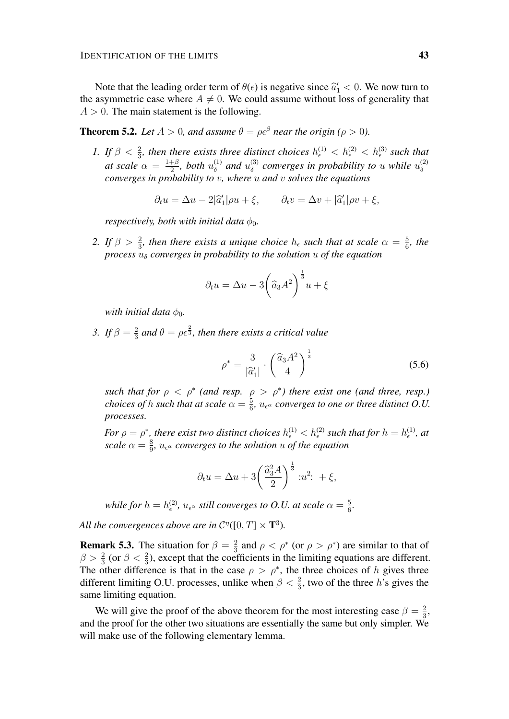Note that the leading order term of  $\theta(\epsilon)$  is negative since  $\hat{a}'_1 < 0$ . We now turn to assume trie case where  $A \neq 0$ . We could assume without loss of generality that the asymmetric case where  $A \neq 0$ . We could assume without loss of generality that  $A > 0$ . The main statement is the following.

<span id="page-42-0"></span>**Theorem 5.2.** *Let*  $A > 0$ *, and assume*  $\theta = \rho \epsilon^{\beta}$  *near the origin* ( $\rho > 0$ ).

*1.* If  $\beta < \frac{2}{3}$ , then there exists three distinct choices  $h_{\epsilon}^{(1)} < h_{\epsilon}^{(2)} < h_{\epsilon}^{(3)}$  such that *at scale*  $\alpha = \frac{1+\beta}{2}$  $rac{+\beta}{2}$ , both  $u_{\delta}^{(1)}$  $u_\delta^{(1)}$  and  $u_\delta^{(3)}$  $\delta^{(3)}$  converges in probability to u while  $u_{\delta}^{(2)}$ δ *converges in probability to* v*, where* u *and* v *solves the equations*

$$
\partial_t u = \Delta u - 2|\hat{a}'_1|\rho u + \xi, \qquad \partial_t v = \Delta v + |\hat{a}'_1|\rho v + \xi,
$$

*respectively, both with initial data*  $\phi_0$ *.* 

2. If  $\beta > \frac{2}{3}$ , then there exists a unique choice  $h_{\epsilon}$  such that at scale  $\alpha = \frac{5}{6}$  $\frac{5}{6}$ , the *process*  $u_{\delta}$  *converges in probability to the solution* u *of the equation* 

$$
\partial_t u = \Delta u - 3\left(\widehat{a}_3 A^2\right)^{\frac{1}{3}} u + \xi
$$

*with initial data*  $\phi_0$ *.* 

*3. If*  $\beta = \frac{2}{3}$  $\frac{2}{3}$  and  $\theta = \rho \epsilon^{\frac{2}{3}}$ , then there exists a critical value

<span id="page-42-1"></span>
$$
\rho^* = \frac{3}{|\widehat{a}'_1|} \cdot \left(\frac{\widehat{a}_3 A^2}{4}\right)^{\frac{1}{3}}
$$
\n(5.6)

*such that for*  $\rho < \rho^*$  (and resp.  $\rho > \rho^*$ ) there exist one (and three, resp.) *choices of h such that at scale*  $\alpha = \frac{5}{6}$  $\frac{5}{6}$ ,  $u_{\epsilon}$  *converges to one or three distinct O.U. processes.*

*For*  $\rho = \rho^*$ , there exist two distinct choices  $h_{\epsilon}^{(1)} < h_{\epsilon}^{(2)}$  such that for  $h = h_{\epsilon}^{(1)}$ , at *scale*  $\alpha = \frac{8}{9}$  $\frac{8}{9}$ ,  $u_{\epsilon}$  *converges to the solution u of the equation* 

$$
\partial_t u = \Delta u + 3 \left( \frac{\widehat{a}_3^2 A}{2} \right)^{\frac{1}{3}} : u^2 : + \xi,
$$

while for  $h=h^{(2)}_\epsilon,$   $u_{\epsilon^\alpha}$  still converges to O.U. at scale  $\alpha=\frac{5}{6}$  $\frac{5}{6}$ .

All the convergences above are in  $\mathcal{C}^{\eta}([0,T] \times \mathbf{T}^3)$ .

**Remark 5.3.** The situation for  $\beta = \frac{2}{3}$  $\frac{2}{3}$  and  $\rho < \rho^*$  (or  $\rho > \rho^*$ ) are similar to that of  $\beta > \frac{2}{3}$  (or  $\beta < \frac{2}{3}$ ), except that the coefficients in the limiting equations are different. The other difference is that in the case  $\rho > \rho^*$ , the three choices of h gives three different limiting O.U. processes, unlike when  $\beta < \frac{2}{3}$ , two of the three h's gives the same limiting equation.

We will give the proof of the above theorem for the most interesting case  $\beta = \frac{2}{3}$  $\frac{2}{3}$ and the proof for the other two situations are essentially the same but only simpler. We will make use of the following elementary lemma.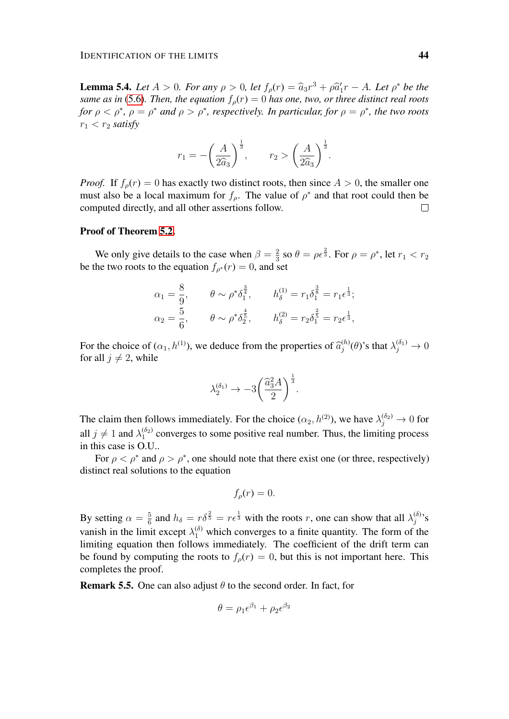**Lemma 5.4.** *Let*  $A > 0$ *. For any*  $\rho > 0$ *, let*  $f_{\rho}(r) = \hat{a}_3 r^3 + \rho \hat{a}_1^{\prime} r - A$ *. Let*  $\rho^*$  *be the* same as in (5.6). Then the equation  $f(r) = 0$  has one two or three distinct real roots *same as in* [\(5.6\)](#page-42-1)*. Then, the equation*  $f_o(r) = 0$  *has one, two, or three distinct real roots for*  $\rho < \rho^*$ ,  $\rho = \rho^*$  *and*  $\rho > \rho^*$ *, respectively. In particular, for*  $\rho = \rho^*$ *, the two roots*  $r_1 < r_2$  *satisfy* 

$$
r_1 = -\left(\frac{A}{2\widehat{a}_3}\right)^{\frac{1}{3}}, \qquad r_2 > \left(\frac{A}{2\widehat{a}_3}\right)^{\frac{1}{3}}.
$$

*Proof.* If  $f_o(r) = 0$  has exactly two distinct roots, then since  $A > 0$ , the smaller one must also be a local maximum for  $f_{\rho}$ . The value of  $\rho^*$  and that root could then be computed directly, and all other assertions follow.  $\Box$ 

### Proof of Theorem [5.2.](#page-42-0)

We only give details to the case when  $\beta = \frac{2}{3}$  $\frac{2}{3}$  so  $\theta = \rho \epsilon^{\frac{2}{3}}$ . For  $\rho = \rho^*$ , let  $r_1 < r_2$ be the two roots to the equation  $f_{\rho^*}(r) = 0$ , and set

$$
\alpha_1 = \frac{8}{9}, \qquad \theta \sim \rho^* \delta_1^{\frac{3}{4}}, \qquad h_\delta^{(1)} = r_1 \delta_1^{\frac{3}{8}} = r_1 \epsilon^{\frac{1}{3}};
$$
  

$$
\alpha_2 = \frac{5}{6}, \qquad \theta \sim \rho^* \delta_2^{\frac{4}{5}}, \qquad h_\delta^{(2)} = r_2 \delta_1^{\frac{2}{5}} = r_2 \epsilon^{\frac{1}{3}},
$$

For the choice of  $(\alpha_1, h^{(1)})$ , we deduce from the properties of  $\hat{a}_j^{(h)}$ <br>for all  $j \neq 2$  while  $\lambda_j^{(h)}(\theta)$ 's that  $\lambda_j^{(\delta_1)}\to 0$ for all  $j \neq 2$ , while

$$
\lambda_2^{(\delta_1)} \to -3\bigg(\frac{\widehat{a}_3^2 A}{2}\bigg)^{\frac{1}{3}}.
$$

The claim then follows immediately. For the choice  $(\alpha_2, h^{(2)})$ , we have  $\lambda_j^{(\delta_2)} \to 0$  for all  $j \neq 1$  and  $\lambda_1^{(\delta_2)}$  converges to some positive real number. Thus, the limiting process in this case is O.U..

For  $\rho < \rho^*$  and  $\rho > \rho^*$ , one should note that there exist one (or three, respectively) distinct real solutions to the equation

$$
f_{\rho}(r)=0.
$$

By setting  $\alpha = \frac{5}{6}$  $\frac{5}{6}$  and  $h_{\delta} = r\delta^{\frac{2}{5}} = r\epsilon^{\frac{1}{3}}$  with the roots r, one can show that all  $\lambda_j^{(\delta)}$  $j^{(0)}$ 's vanish in the limit except  $\lambda_1^{(\delta)}$  which converges to a finite quantity. The form of the limiting equation then follows immediately. The coefficient of the drift term can be found by computing the roots to  $f_{\rho}(r) = 0$ , but this is not important here. This completes the proof.

<span id="page-43-0"></span>**Remark 5.5.** One can also adjust  $\theta$  to the second order. In fact, for

$$
\theta = \rho_1 \epsilon^{\beta_1} + \rho_2 \epsilon^{\beta_2}
$$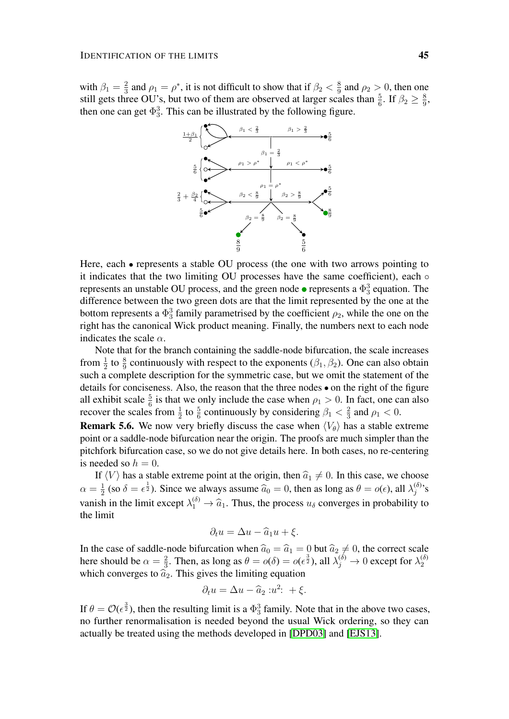with  $\beta_1 = \frac{2}{3}$  $\frac{2}{3}$  and  $\rho_1 = \rho^*$ , it is not difficult to show that if  $\beta_2 < \frac{8}{9}$  $\frac{8}{9}$  and  $\rho_2 > 0$ , then one still gets three OU's, but two of them are observed at larger scales than  $\frac{5}{6}$ . If  $\beta_2 \ge \frac{8}{9}$  $\frac{8}{9}$ then one can get  $\Phi_3^3$ . This can be illustrated by the following figure.



Here, each  $\bullet$  represents a stable OU process (the one with two arrows pointing to it indicates that the two limiting OU processes have the same coefficient), each represents an unstable OU process, and the green node  $\bullet$  represents a  $\Phi_3^3$  equation. The difference between the two green dots are that the limit represented by the one at the bottom represents a  $\Phi_3^3$  family parametrised by the coefficient  $\rho_2$ , while the one on the right has the canonical Wick product meaning. Finally, the numbers next to each node indicates the scale  $\alpha$ .

Note that for the branch containing the saddle-node bifurcation, the scale increases from  $\frac{1}{2}$  to  $\frac{8}{9}$  continuously with respect to the exponents ( $\beta_1$ ,  $\beta_2$ ). One can also obtain such a complete description for the symmetric case, but we omit the statement of the details for conciseness. Also, the reason that the three nodes  $\bullet$  on the right of the figure all exhibit scale  $\frac{5}{6}$  is that we only include the case when  $\rho_1 > 0$ . In fact, one can also recover the scales from  $\frac{1}{2}$  to  $\frac{5}{6}$  continuously by considering  $\beta_1 < \frac{2}{3}$  $rac{2}{3}$  and  $\rho_1 < 0$ .

**Remark 5.6.** We now very briefly discuss the case when  $\langle V_{\theta} \rangle$  has a stable extreme point or a saddle-node bifurcation near the origin. The proofs are much simpler than the pitchfork bifurcation case, so we do not give details here. In both cases, no re-centering is needed so  $h = 0$ .

If  $\langle V \rangle$  has a stable extreme point at the origin, then  $\hat{a}_1 \neq 0$ . In this case, we choose  $\alpha = \frac{1}{2}$  $\frac{1}{2}$  (so  $\delta = \epsilon^{\frac{1}{2}}$ ). Since we always assume  $\hat{a}_0 = 0$ , then as long as  $\theta = o(\epsilon)$ , all  $\lambda_j^{(\delta)}$  $j^{(0)}$ 's vanish in the limit except  $\lambda_1^{(\delta)} \to \hat{a}_1$ . Thus, the process  $u_{\delta}$  converges in probability to the limit the limit

$$
\partial_t u = \Delta u - \widehat{a}_1 u + \xi.
$$

In the case of saddle-node bifurcation when  $\hat{a}_0 = \hat{a}_1 = 0$  but  $\hat{a}_2 \neq 0$ , the correct scale here should be  $\alpha = \frac{2}{3}$ . Then, as long as  $\theta = o(\delta) = o(\epsilon^{\frac{3}{2}})$ , all  $\lambda_i^{(\delta)} \to 0$  except for  $\lambda_2^{(\delta)}$  $\frac{2}{3}$ . Then, as long as  $\theta = o(\delta) = o(\epsilon^{\frac{3}{2}})$ , all  $\lambda_j^{(\delta)} \to 0$  except for  $\lambda_2^{(\delta)}$ 2 which converges to  $\hat{a}_2$ . This gives the limiting equation

$$
\partial_t u = \Delta u - \widehat{a}_2 : u^2: + \xi.
$$

If  $\theta = \mathcal{O}(\epsilon^{\frac{3}{2}})$ , then the resulting limit is a  $\Phi_3^3$  family. Note that in the above two cases, no further renormalisation is needed beyond the usual Wick ordering, so they can actually be treated using the methods developed in [\[DPD03\]](#page-49-3) and [\[EJS13\]](#page-49-1).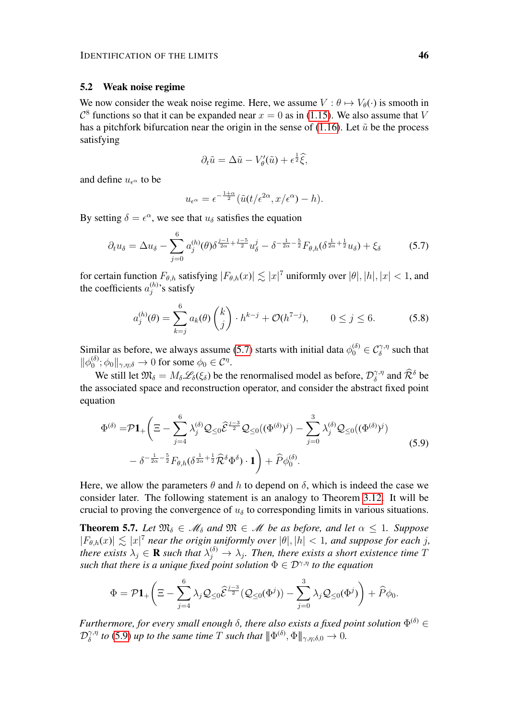# 5.2 Weak noise regime

We now consider the weak noise regime. Here, we assume  $V : \theta \mapsto V_{\theta}(\cdot)$  is smooth in  $\mathcal{C}^8$  functions so that it can be expanded near  $x = 0$  as in [\(1.15\)](#page-6-1). We also assume that V has a pitchfork bifurcation near the origin in the sense of [\(1.16\)](#page-6-2). Let  $\tilde{u}$  be the process satisfying

<span id="page-45-0"></span>
$$
\partial_t \tilde{u} = \Delta \tilde{u} - V_{\theta}'(\tilde{u}) + \epsilon^{\frac{1}{2}} \hat{\xi},
$$

and define  $u_{\epsilon^{\alpha}}$  to be

$$
u_{\epsilon^{\alpha}} = \epsilon^{-\frac{1+\alpha}{2}} (\tilde{u}(t/\epsilon^{2\alpha}, x/\epsilon^{\alpha}) - h).
$$

By setting  $\delta = \epsilon^{\alpha}$ , we see that  $u_{\delta}$  satisfies the equation

$$
\partial_t u_\delta = \Delta u_\delta - \sum_{j=0}^6 a_j^{(h)}(\theta) \delta^{\frac{j-1}{2\alpha} + \frac{j-5}{2}} u_\delta^j - \delta^{-\frac{1}{2\alpha} - \frac{5}{2}} F_{\theta,h}(\delta^{\frac{1}{2\alpha} + \frac{1}{2}} u_\delta) + \xi_\delta \tag{5.7}
$$

for certain function  $F_{\theta,h}$  satisfying  $|F_{\theta,h}(x)| \lesssim |x|^7$  uniformly over  $|\theta|, |h|, |x| < 1$ , and the coefficients  $a_i^{(h)}$  $j^{(n)}$ 's satisfy

<span id="page-45-3"></span>
$$
a_j^{(h)}(\theta) = \sum_{k=j}^{6} a_k(\theta) \binom{k}{j} \cdot h^{k-j} + \mathcal{O}(h^{7-j}), \qquad 0 \le j \le 6. \tag{5.8}
$$

Similar as before, we always assume [\(5.7\)](#page-45-0) starts with initial data  $\phi_0^{(\delta)} \in C_\delta^{\gamma,\eta}$  such that  $\|\phi_0^{(\delta)}\|$  $\phi_0^{(\delta)}$ ;  $\phi_0 \|_{\gamma,\eta;\delta} \to 0$  for some  $\phi_0 \in \mathcal{C}^{\eta}$ .

We still let  $\mathfrak{M}_{\delta} = M_{\delta} \mathcal{L}_{\delta}(\xi_{\delta})$  be the renormalised model as before,  $\mathcal{D}_{\delta}^{\gamma,\eta}$  $\widehat{\delta}^{\gamma,\eta}$  and  $\widehat{\mathcal{R}}^{\delta}$  be the associated space and reconstruction operator, and consider the abstract fixed point equation

<span id="page-45-1"></span>
$$
\Phi^{(\delta)} = \mathcal{P} \mathbf{1}_{+} \left( \Xi - \sum_{j=4}^{6} \lambda_j^{(\delta)} \mathcal{Q}_{\leq 0} \widehat{\mathcal{E}}^{\frac{j-3}{2}} \mathcal{Q}_{\leq 0} ((\Phi^{(\delta)})^j) - \sum_{j=0}^{3} \lambda_j^{(\delta)} \mathcal{Q}_{\leq 0} ((\Phi^{(\delta)})^j) - \delta^{-\frac{1}{2\alpha} - \frac{5}{2}} F_{\theta, h} (\delta^{\frac{1}{2\alpha} + \frac{1}{2}} \widehat{\mathcal{R}}^{\delta} \Phi^{\delta}) \cdot \mathbf{1} \right) + \widehat{P} \phi_0^{(\delta)}.
$$
\n(5.9)

Here, we allow the parameters  $\theta$  and h to depend on  $\delta$ , which is indeed the case we consider later. The following statement is an analogy to Theorem [3.12.](#page-21-1) It will be crucial to proving the convergence of  $u_{\delta}$  to corresponding limits in various situations.

<span id="page-45-2"></span>**Theorem 5.7.** Let  $\mathfrak{M}_{\delta} \in \mathcal{M}_{\delta}$  and  $\mathfrak{M} \in \mathcal{M}$  be as before, and let  $\alpha \leq 1$ . Suppose  $|F_{\theta,h}(x)| \lesssim |x|^7$  *near the origin uniformly over*  $|\theta|, |h| < 1$ *, and suppose for each j,* there exists  $\lambda_j \in \mathbf{R}$  such that  $\lambda_j^{(\delta)} \to \lambda_j$ . Then, there exists a short existence time T *such that there is a unique fixed point solution*  $\Phi \in \mathcal{D}^{\gamma,\eta}$  *to the equation* 

$$
\Phi = \mathcal{P}{\bf 1}_+\left(\Xi - \sum_{j=4}^6\lambda_j\mathcal{Q}_{\leq 0}\widehat{\mathcal{E}}^{\frac{j-3}{2}}(\mathcal{Q}_{\leq 0}(\Phi^j)) - \sum_{j=0}^3\lambda_j\mathcal{Q}_{\leq 0}(\Phi^j)\right) + \widehat{P}\phi_0.
$$

*Furthermore, for every small enough*  $\delta$ , there also exists a fixed point solution  $\Phi^{(\delta)}$   $\in$  $\mathcal{D}_{\delta}^{\gamma,\eta}$  $\delta^{\gamma,\eta}$  to [\(5.9\)](#page-45-1) up to the same time  $T$  such that  $\|\Phi^{(\delta)},\Phi\|_{\gamma,\eta;\delta,0}\to 0.$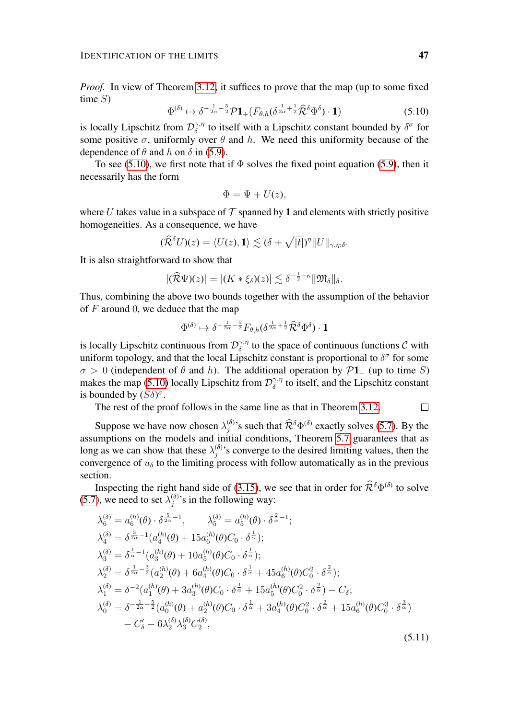<span id="page-46-0"></span>*Proof.* In view of Theorem [3.12,](#page-21-1) it suffices to prove that the map (up to some fixed time  $S$ )

$$
\Phi^{(\delta)} \mapsto \delta^{-\frac{1}{2\alpha} - \frac{5}{2}} \mathcal{P} \mathbf{1}_{+} (F_{\theta,h} (\delta^{\frac{1}{2\alpha} + \frac{1}{2}} \widehat{\mathcal{R}}^{\delta} \Phi^{\delta}) \cdot \mathbf{1}) \tag{5.10}
$$

is locally Lipschitz from  $\mathcal{D}_{\delta}^{\gamma,\eta}$  $\delta^{\gamma,\eta}$  to itself with a Lipschitz constant bounded by  $\delta^{\sigma}$  for some positive  $\sigma$ , uniformly over  $\theta$  and h. We need this uniformity because of the dependence of  $\theta$  and  $h$  on  $\delta$  in [\(5.9\)](#page-45-1).

To see [\(5.10\)](#page-46-0), we first note that if  $\Phi$  solves the fixed point equation [\(5.9\)](#page-45-1), then it necessarily has the form

$$
\Phi = \Psi + U(z),
$$

where U takes value in a subspace of  $\mathcal T$  spanned by 1 and elements with strictly positive homogeneities. As a consequence, we have

$$
(\widehat{\mathcal{R}}^{\delta}U)(z) = \langle U(z), \mathbf{1} \rangle \lesssim (\delta + \sqrt{|t|})^{\eta} ||U||_{\gamma, \eta; \delta}.
$$

It is also straightforward to show that

$$
|(\widehat{\mathcal{R}}\Psi)(z)| = |(K * \xi_\delta)(z)| \lesssim \delta^{-\frac{1}{2} - \kappa} \|\mathfrak{M}_\delta\|_{\delta}.
$$

Thus, combining the above two bounds together with the assumption of the behavior of  $F$  around 0, we deduce that the map

$$
\Phi^{(\delta)} \mapsto \delta^{-\frac{1}{2\alpha} - \frac{5}{2}} F_{\theta,h} (\delta^{\frac{1}{2\alpha} + \frac{1}{2}} \widehat{\mathcal{R}}^{\delta} \Phi^{\delta}) \cdot \mathbf{1}
$$

is locally Lipschitz continuous from  $\mathcal{D}_{\delta}^{\gamma,\eta}$  $\delta^{\gamma,\eta}_{\delta}$  to the space of continuous functions C with uniform topology, and that the local Lipschitz constant is proportional to  $\delta^{\sigma}$  for some  $\sigma > 0$  (independent of  $\theta$  and h). The additional operation by  $\mathcal{P}1_+$  (up to time S) makes the map [\(5.10\)](#page-46-0) locally Lipschitz from  $\mathcal{D}_{\delta}^{\gamma,\eta}$  $\delta^{\gamma,\eta}_{\delta}$  to itself, and the Lipschitz constant is bounded by  $(S\delta)^{\sigma}$ .

The rest of the proof follows in the same line as that in Theorem [3.12.](#page-21-1)  $\Box$ 

Suppose we have now chosen  $\lambda_i^{(\delta)}$ <sup>(δ)</sup>'s such that  $\hat{\mathcal{R}}^{\delta} \Phi^{(\delta)}$  exactly solves [\(5.7\)](#page-45-0). By the assumptions on the models and initial conditions, Theorem [5.7](#page-45-2) guarantees that as long as we can show that these  $\lambda_i^{(\delta)}$  $j^{(0)}$ 's converge to the desired limiting values, then the convergence of  $u_{\delta}$  to the limiting process with follow automatically as in the previous section.

Inspecting the right hand side of [\(3.15\)](#page-24-1), we see that in order for  $\hat{\mathcal{R}}^{\delta}\Phi^{(\delta)}$  to solve [\(5.7\)](#page-45-0), we need to set  $\lambda_i^{(\delta)}$  $j^{(0)}$ 's in the following way:

<span id="page-46-1"></span>
$$
\lambda_{6}^{(\delta)} = a_{6}^{(h)}(\theta) \cdot \delta^{\frac{5}{2\alpha}-1}, \qquad \lambda_{5}^{(\delta)} = a_{5}^{(h)}(\theta) \cdot \delta^{\frac{2}{\alpha}-1};
$$
\n
$$
\lambda_{4}^{(\delta)} = \delta^{\frac{3}{2\alpha}-1}(a_{4}^{(h)}(\theta) + 15a_{6}^{(h)}(\theta)C_{0} \cdot \delta^{\frac{1}{\alpha}});
$$
\n
$$
\lambda_{3}^{(\delta)} = \delta^{\frac{1}{\alpha}-1}(a_{3}^{(h)}(\theta) + 10a_{5}^{(h)}(\theta)C_{0} \cdot \delta^{\frac{1}{\alpha}});
$$
\n
$$
\lambda_{2}^{(\delta)} = \delta^{\frac{1}{2\alpha}-\frac{3}{2}}(a_{2}^{(h)}(\theta) + 6a_{4}^{(h)}(\theta)C_{0} \cdot \delta^{\frac{1}{\alpha}} + 45a_{6}^{(h)}(\theta)C_{0}^{2} \cdot \delta^{\frac{2}{\alpha}});
$$
\n
$$
\lambda_{1}^{(\delta)} = \delta^{-2}(a_{1}^{(h)}(\theta) + 3a_{3}^{(h)}(\theta)C_{0} \cdot \delta^{\frac{1}{\alpha}} + 15a_{5}^{(h)}(\theta)C_{0}^{2} \cdot \delta^{\frac{2}{\alpha}}) - C_{\delta};
$$
\n
$$
\lambda_{0}^{(\delta)} = \delta^{-\frac{1}{2\alpha}-\frac{5}{2}}(a_{0}^{(h)}(\theta) + a_{2}^{(h)}(\theta)C_{0} \cdot \delta^{\frac{1}{\alpha}} + 3a_{4}^{(h)}(\theta)C_{0}^{2} \cdot \delta^{\frac{2}{\alpha}} + 15a_{6}^{(h)}(\theta)C_{0}^{3} \cdot \delta^{\frac{3}{\alpha}})
$$
\n
$$
- C_{\delta}' - 6\lambda_{2}^{(\delta)}\lambda_{3}^{(\delta)}C_{2}^{(\delta)}, \qquad (5.11)
$$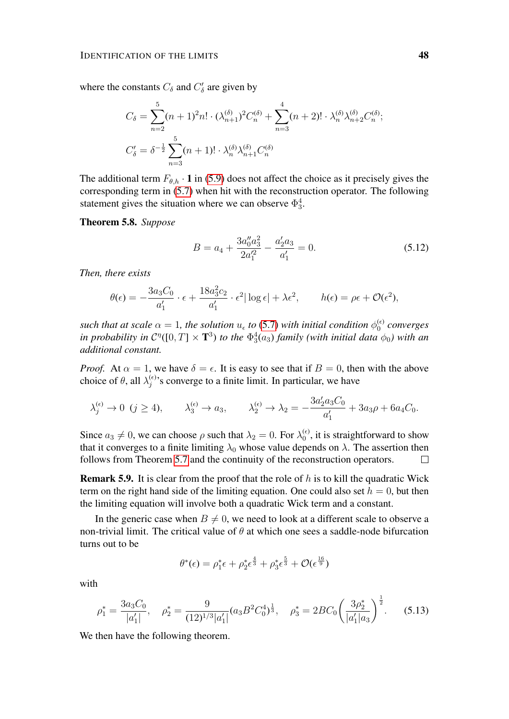where the constants  $C_{\delta}$  and  $C'_{\delta}$  are given by

$$
C_{\delta} = \sum_{n=2}^{5} (n+1)^2 n! \cdot (\lambda_{n+1}^{(\delta)})^2 C_n^{(\delta)} + \sum_{n=3}^{4} (n+2)! \cdot \lambda_n^{(\delta)} \lambda_{n+2}^{(\delta)} C_n^{(\delta)};
$$
  

$$
C_{\delta}' = \delta^{-\frac{1}{2}} \sum_{n=3}^{5} (n+1)! \cdot \lambda_n^{(\delta)} \lambda_{n+1}^{(\delta)} C_n^{(\delta)}
$$

The additional term  $F_{\theta,h} \cdot \mathbf{1}$  in [\(5.9\)](#page-45-1) does not affect the choice as it precisely gives the corresponding term in [\(5.7\)](#page-45-0) when hit with the reconstruction operator. The following statement gives the situation where we can observe  $\Phi_3^4$ .

<span id="page-47-0"></span>Theorem 5.8. *Suppose*

$$
B = a_4 + \frac{3a_0''a_3^2}{2a_1'^2} - \frac{a_2'a_3}{a_1'} = 0.
$$
 (5.12)

*Then, there exists*

$$
\theta(\epsilon) = -\frac{3a_3C_0}{a'_1} \cdot \epsilon + \frac{18a_3^2c_2}{a'_1} \cdot \epsilon^2 |\log \epsilon| + \lambda \epsilon^2, \qquad h(\epsilon) = \rho \epsilon + \mathcal{O}(\epsilon^2),
$$

such that at scale  $\alpha = 1$ , the solution  $u_{\epsilon}$  to [\(5.7\)](#page-45-0) with initial condition  $\phi_0^{(\epsilon)}$ 0 *converges in probability in*  $C^{\eta}([0,T] \times \mathbf{T}^3)$  *to the*  $\Phi_3^4(a_3)$  *family (with initial data*  $\phi_0$ ) with an *additional constant.*

*Proof.* At  $\alpha = 1$ , we have  $\delta = \epsilon$ . It is easy to see that if  $B = 0$ , then with the above choice of  $\theta$ , all  $\lambda_i^{(\epsilon)}$  $j_j^{(ε)}$ 's converge to a finite limit. In particular, we have

$$
\lambda_j^{(\epsilon)} \to 0 \ (j \ge 4), \qquad \lambda_3^{(\epsilon)} \to a_3, \qquad \lambda_2^{(\epsilon)} \to \lambda_2 = -\frac{3a'_2a_3C_0}{a'_1} + 3a_3\rho + 6a_4C_0.
$$

Since  $a_3 \neq 0$ , we can choose  $\rho$  such that  $\lambda_2 = 0$ . For  $\lambda_0^{(\epsilon)}$  $\binom{6}{0}$ , it is straightforward to show that it converges to a finite limiting  $\lambda_0$  whose value depends on  $\lambda$ . The assertion then follows from Theorem [5.7](#page-45-2) and the continuity of the reconstruction operators.  $\Box$ 

**Remark 5.9.** It is clear from the proof that the role of  $h$  is to kill the quadratic Wick term on the right hand side of the limiting equation. One could also set  $h = 0$ , but then the limiting equation will involve both a quadratic Wick term and a constant.

In the generic case when  $B \neq 0$ , we need to look at a different scale to observe a non-trivial limit. The critical value of  $\theta$  at which one sees a saddle-node bifurcation turns out to be

$$
\theta^*(\epsilon) = \rho_1^* \epsilon + \rho_2^* \epsilon^{\frac{4}{3}} + \rho_3^* \epsilon^{\frac{5}{3}} + \mathcal{O}(\epsilon^{\frac{16}{9}})
$$

<span id="page-47-2"></span>with

$$
\rho_1^* = \frac{3a_3C_0}{|a_1'|}, \quad \rho_2^* = \frac{9}{(12)^{1/3}|a_1'|}(a_3B^2C_0^4)^{\frac{1}{3}}, \quad \rho_3^* = 2BC_0\left(\frac{3\rho_2^*}{|a_1'|a_3}\right)^{\frac{1}{2}}.
$$
 (5.13)

<span id="page-47-1"></span>We then have the following theorem.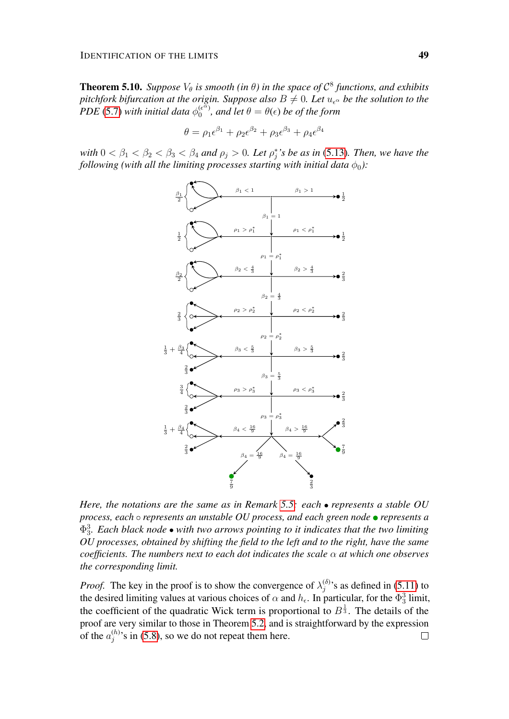**Theorem 5.10.** Suppose  $V_{\theta}$  is smooth (in  $\theta$ ) in the space of  $\mathcal{C}^8$  functions, and exhibits *pitchfork bifurcation at the origin. Suppose also*  $B \neq 0$ *. Let*  $u_{\epsilon}$ <sup> $\alpha$ </sup> *be the solution to the*  $PDE$  [\(5.7\)](#page-45-0) with initial data  $\phi_0^{(e^{i\alpha})}$  $\theta_0^{(\epsilon^{\alpha})}$ , and let  $\theta = \theta(\epsilon)$  be of the form

$$
\theta = \rho_1 \epsilon^{\beta_1} + \rho_2 \epsilon^{\beta_2} + \rho_3 \epsilon^{\beta_3} + \rho_4 \epsilon^{\beta_4}
$$

with  $0 < \beta_1 < \beta_2 < \beta_3 < \beta_4$  and  $\rho_j > 0$ . Let  $\rho_j^*$ 's be as in [\(5.13\)](#page-47-2). Then, we have the *following (with all the limiting processes starting with initial data*  $\phi_0$ ):



*Here, the notations are the same as in Remark [5.5:](#page-43-0) each represents a stable OU process, each represents an unstable OU process, and each green node represents a*  $\Phi_3^3$ *. Each black node* ● with two arrows pointing to it indicates that the two limiting *OU processes, obtained by shifting the field to the left and to the right, have the same coefficients. The numbers next to each dot indicates the scale* α *at which one observes the corresponding limit.*

*Proof.* The key in the proof is to show the convergence of  $\lambda_i^{(\delta)}$  $j^{(0)}$ 's as defined in [\(5.11\)](#page-46-1) to the desired limiting values at various choices of  $\alpha$  and  $h_{\epsilon}$ . In particular, for the  $\Phi_3^3$  limit, the coefficient of the quadratic Wick term is proportional to  $B^{\frac{1}{3}}$ . The details of the proof are very similar to those in Theorem [5.2,](#page-42-0) and is straightforward by the expression of the  $a_i^{(h)}$  $j_j^{(n)}$ 's in [\(5.8\)](#page-45-3), so we do not repeat them here.  $\Box$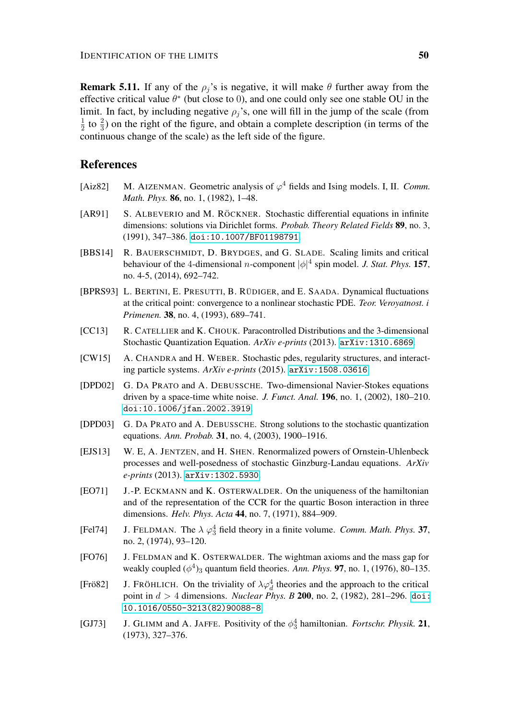**Remark 5.11.** If any of the  $\rho_i$ 's is negative, it will make  $\theta$  further away from the effective critical value  $\theta^*$  (but close to 0), and one could only see one stable OU in the limit. In fact, by including negative  $\rho_i$ 's, one will fill in the jump of the scale (from 1  $\frac{1}{2}$  to  $\frac{2}{3}$ ) on the right of the figure, and obtain a complete description (in terms of the continuous change of the scale) as the left side of the figure.

# References

- <span id="page-49-10"></span>[Aiz82] M. AIZENMAN. Geometric analysis of  $\varphi^4$  fields and Ising models. I, II. *Comm. Math. Phys.* 86, no. 1, (1982), 1–48.
- <span id="page-49-8"></span>[AR91] S. ALBEVERIO and M. RÖCKNER. Stochastic differential equations in infinite dimensions: solutions via Dirichlet forms. *Probab. Theory Related Fields* 89, no. 3, (1991), 347–386. [doi:10.1007/BF01198791](http://dx.doi.org/10.1007/BF01198791).
- <span id="page-49-11"></span>[BBS14] R. BAUERSCHMIDT, D. BRYDGES, and G. SLADE. Scaling limits and critical behaviour of the 4-dimensional *n*-component  $|\phi|^4$  spin model. *J. Stat. Phys.* 157, no. 4-5, (2014), 692–742.
- <span id="page-49-12"></span>[BPRS93] L. BERTINI, E. PRESUTTI, B. RÜDIGER, and E. SAADA. Dynamical fluctuations at the critical point: convergence to a nonlinear stochastic PDE. *Teor. Veroyatnost. i Primenen.* 38, no. 4, (1993), 689–741.
- <span id="page-49-0"></span>[CC13] R. CATELLIER and K. CHOUK. Paracontrolled Distributions and the 3-dimensional Stochastic Quantization Equation. *ArXiv e-prints* (2013). [arXiv:1310.6869](http://arxiv.org/abs/1310.6869).
- <span id="page-49-13"></span>[CW15] A. CHANDRA and H. WEBER. Stochastic pdes, regularity structures, and interacting particle systems. *ArXiv e-prints* (2015). [arXiv:1508.03616](http://arxiv.org/abs/1508.03616).
- <span id="page-49-2"></span>[DPD02] G. DA PRATO and A. DEBUSSCHE. Two-dimensional Navier-Stokes equations driven by a space-time white noise. *J. Funct. Anal.* 196, no. 1, (2002), 180–210. [doi:10.1006/jfan.2002.3919](http://dx.doi.org/10.1006/jfan.2002.3919).
- <span id="page-49-3"></span>[DPD03] G. DA PRATO and A. DEBUSSCHE. Strong solutions to the stochastic quantization equations. *Ann. Probab.* 31, no. 4, (2003), 1900–1916.
- <span id="page-49-1"></span>[EJS13] W. E, A. JENTZEN, and H. SHEN. Renormalized powers of Ornstein-Uhlenbeck processes and well-posedness of stochastic Ginzburg-Landau equations. *ArXiv e-prints* (2013). [arXiv:1302.5930](http://arxiv.org/abs/1302.5930).
- <span id="page-49-6"></span>[EO71] J.-P. ECKMANN and K. OSTERWALDER. On the uniqueness of the hamiltonian and of the representation of the CCR for the quartic Boson interaction in three dimensions. *Helv. Phys. Acta* 44, no. 7, (1971), 884–909.
- <span id="page-49-5"></span>[Fel74] J. FELDMAN. The  $\lambda \varphi_3^4$  field theory in a finite volume. *Comm. Math. Phys.* 37, no. 2, (1974), 93–120.
- <span id="page-49-7"></span>[FO76] J. FELDMAN and K. OSTERWALDER. The wightman axioms and the mass gap for weakly coupled  $(\phi^4)_3$  quantum field theories. *Ann. Phys.* **97**, no. 1, (1976), 80–135.
- <span id="page-49-9"></span>[Frö82] **J.** FRÖHLICH. On the triviality of  $\lambda \varphi_d^4$  theories and the approach to the critical point in d > 4 dimensions. *Nuclear Phys. B* 200, no. 2, (1982), 281–296. [doi:](http://dx.doi.org/10.1016/0550-3213(82)90088-8) [10.1016/0550-3213\(82\)90088-8](http://dx.doi.org/10.1016/0550-3213(82)90088-8).
- <span id="page-49-4"></span>[GJ73] J. GLIMM and A. JAFFE. Positivity of the  $\phi_3^4$  hamiltonian. *Fortschr. Physik.* 21, (1973), 327–376.